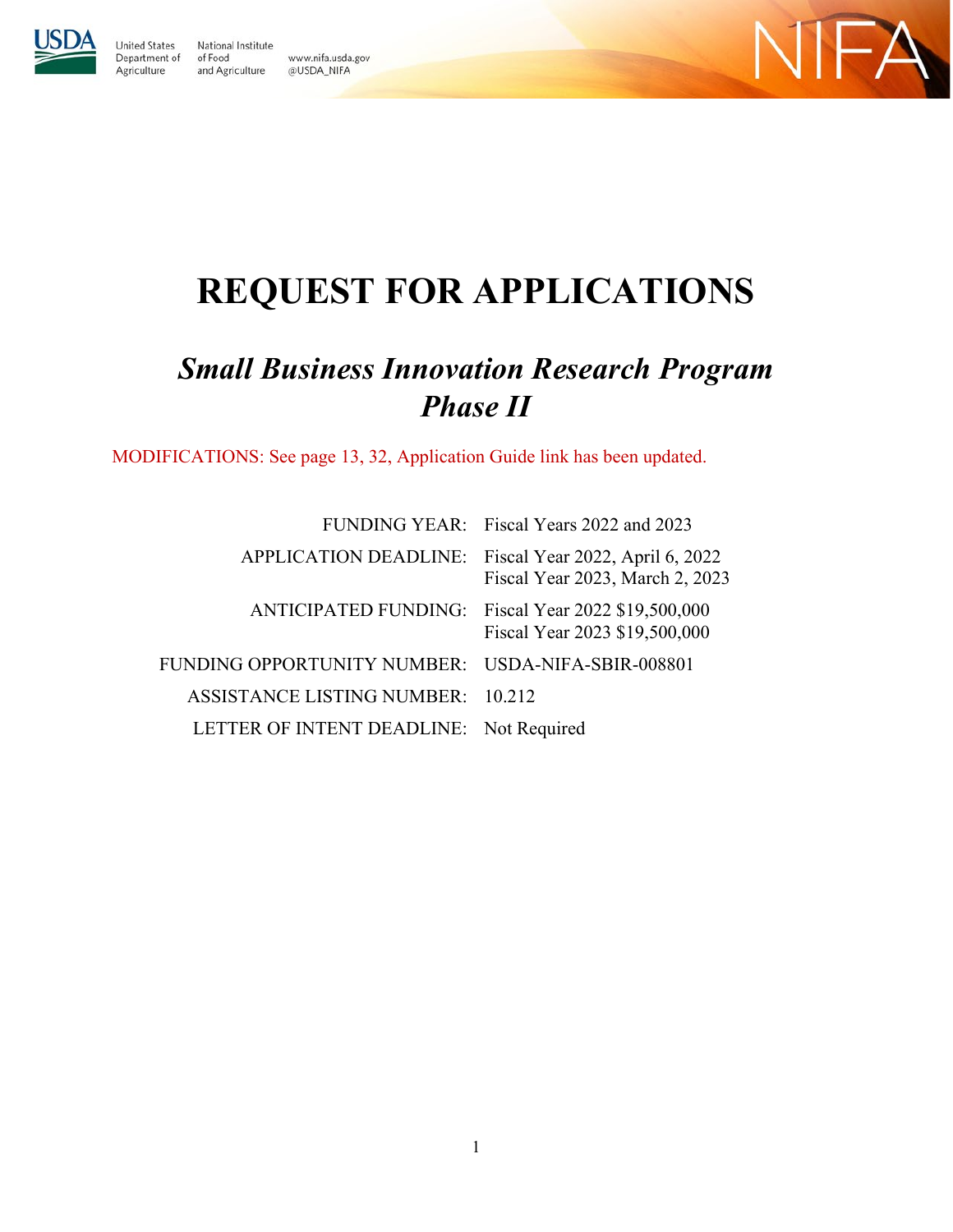

**United States** 

Agriculture

National Institute Department of of Food www.nifa.usda.gov and Agriculture @USDA\_NIFA



# **REQUEST FOR APPLICATIONS**

# *Small Business Innovation Research Program Phase II*

MODIFICATIONS: See page 13, 32, Application Guide link has been updated.

|                                                   | FUNDING YEAR: Fiscal Years 2022 and 2023                                                 |
|---------------------------------------------------|------------------------------------------------------------------------------------------|
|                                                   | APPLICATION DEADLINE: Fiscal Year 2022, April 6, 2022<br>Fiscal Year 2023, March 2, 2023 |
|                                                   | ANTICIPATED FUNDING: Fiscal Year 2022 \$19,500,000<br>Fiscal Year 2023 \$19,500,000      |
| FUNDING OPPORTUNITY NUMBER: USDA-NIFA-SBIR-008801 |                                                                                          |
| <b>ASSISTANCE LISTING NUMBER: 10.212</b>          |                                                                                          |
| LETTER OF INTENT DEADLINE: Not Required           |                                                                                          |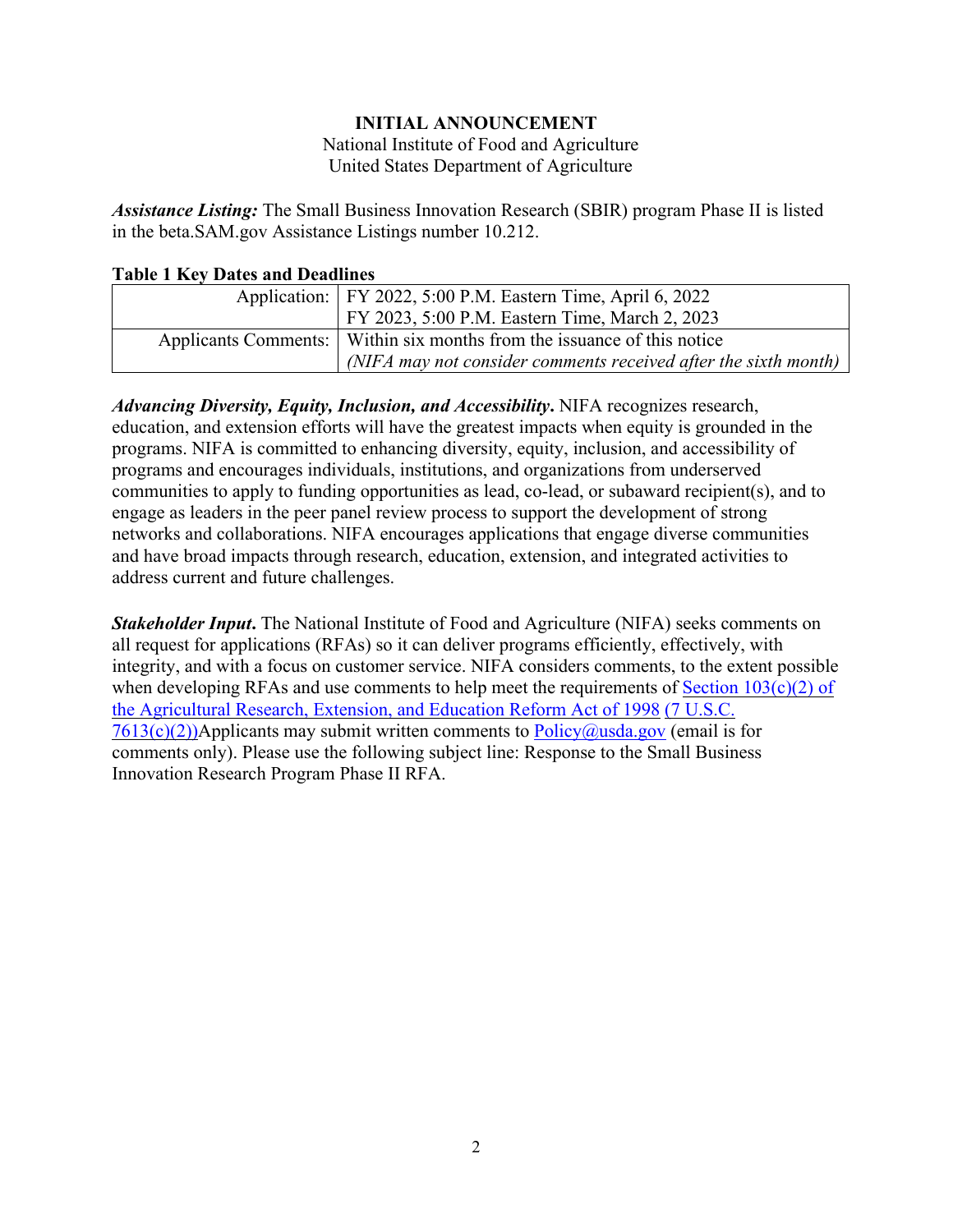## **INITIAL ANNOUNCEMENT**

National Institute of Food and Agriculture United States Department of Agriculture

<span id="page-1-0"></span>*Assistance Listing:* The Small Business Innovation Research (SBIR) program Phase II is listed in the beta.SAM.gov Assistance Listings number 10.212.

#### <span id="page-1-1"></span>**Table 1 Key Dates and Deadlines**

| Application:   FY 2022, 5:00 P.M. Eastern Time, April 6, 2022             |
|---------------------------------------------------------------------------|
| FY 2023, 5:00 P.M. Eastern Time, March 2, 2023                            |
| Applicants Comments:   Within six months from the issuance of this notice |
| (NIFA may not consider comments received after the sixth month)           |

*Advancing Diversity, Equity, Inclusion, and Accessibility***.** NIFA recognizes research, education, and extension efforts will have the greatest impacts when equity is grounded in the programs. NIFA is committed to enhancing diversity, equity, inclusion, and accessibility of programs and encourages individuals, institutions, and organizations from underserved communities to apply to funding opportunities as lead, co-lead, or subaward recipient(s), and to engage as leaders in the peer panel review process to support the development of strong networks and collaborations. NIFA encourages applications that engage diverse communities and have broad impacts through research, education, extension, and integrated activities to address current and future challenges.

*Stakeholder Input***.** The National Institute of Food and Agriculture (NIFA) seeks comments on all request for applications (RFAs) so it can deliver programs efficiently, effectively, with integrity, and with a focus on customer service. NIFA considers comments, to the extent possible when developing RFAs and use comments to help meet the requirements of Section  $103(c)(2)$  of [the Agricultural Research, Extension, and Education Reform Act of 1998](https://nifa.usda.gov/resource/agricultural-research-extension-and-education-reform-act-1998) [\(7 U.S.C.](https://uscode.house.gov/view.xhtml?req=(title:7%20section:7613%20edition:prelim)%20OR%20(granuleid:USC-prelim-title7-section7613)&f=treesort&edition=prelim&num=0&jumpTo=true)   $7613(c)(2)$ )Applicants may submit written comments to  $Policy@usda.gov$  (email is for comments only). Please use the following subject line: Response to the Small Business Innovation Research Program Phase II RFA.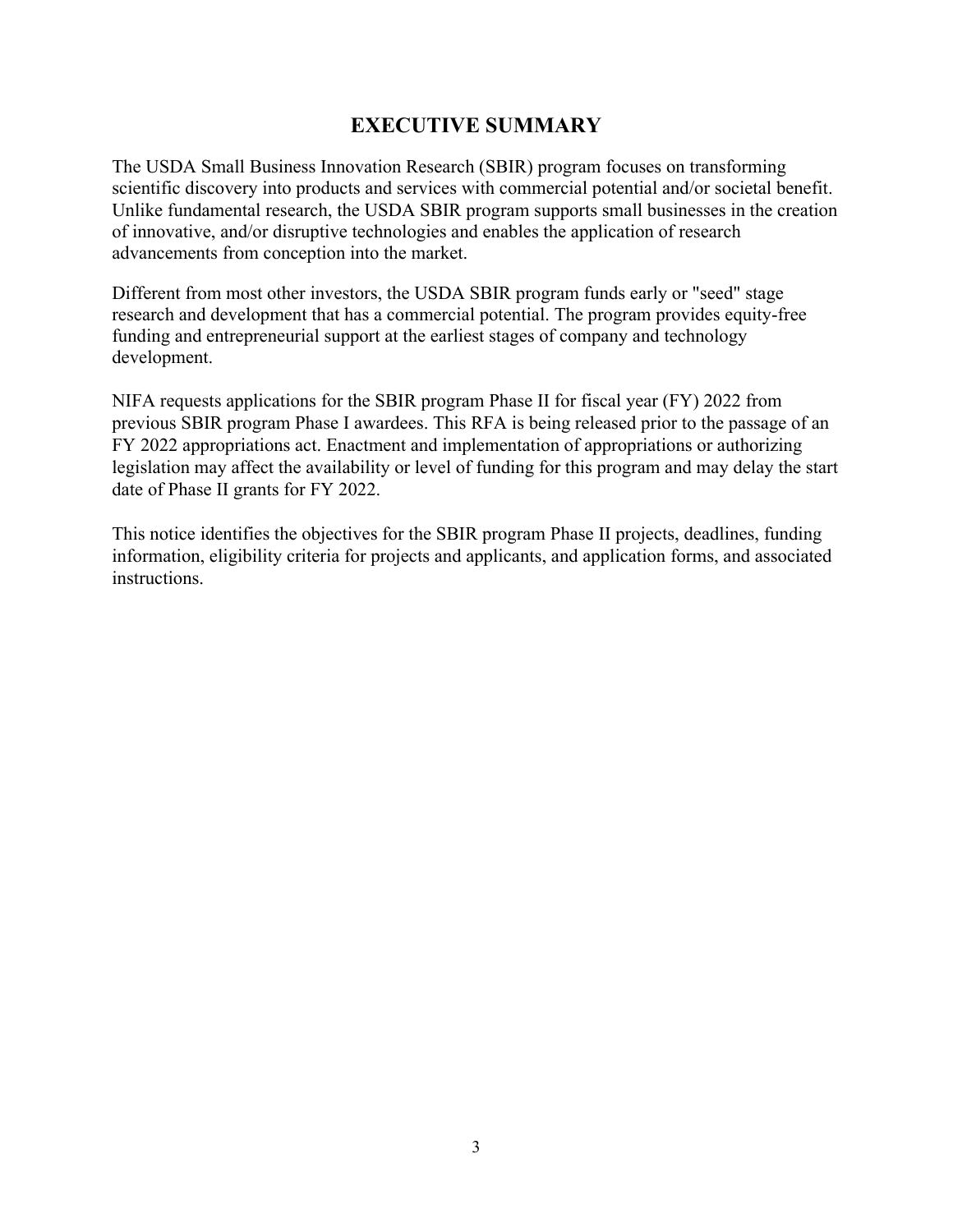# **EXECUTIVE SUMMARY**

<span id="page-2-0"></span>The USDA Small Business Innovation Research (SBIR) program focuses on transforming scientific discovery into products and services with commercial potential and/or societal benefit. Unlike fundamental research, the USDA SBIR program supports small businesses in the creation of innovative, and/or disruptive technologies and enables the application of research advancements from conception into the market.

Different from most other investors, the USDA SBIR program funds early or "seed" stage research and development that has a commercial potential. The program provides equity-free funding and entrepreneurial support at the earliest stages of company and technology development.

NIFA requests applications for the SBIR program Phase II for fiscal year (FY) 2022 from previous SBIR program Phase I awardees. This RFA is being released prior to the passage of an FY 2022 appropriations act. Enactment and implementation of appropriations or authorizing legislation may affect the availability or level of funding for this program and may delay the start date of Phase II grants for FY 2022.

This notice identifies the objectives for the SBIR program Phase II projects, deadlines, funding information, eligibility criteria for projects and applicants, and application forms, and associated instructions.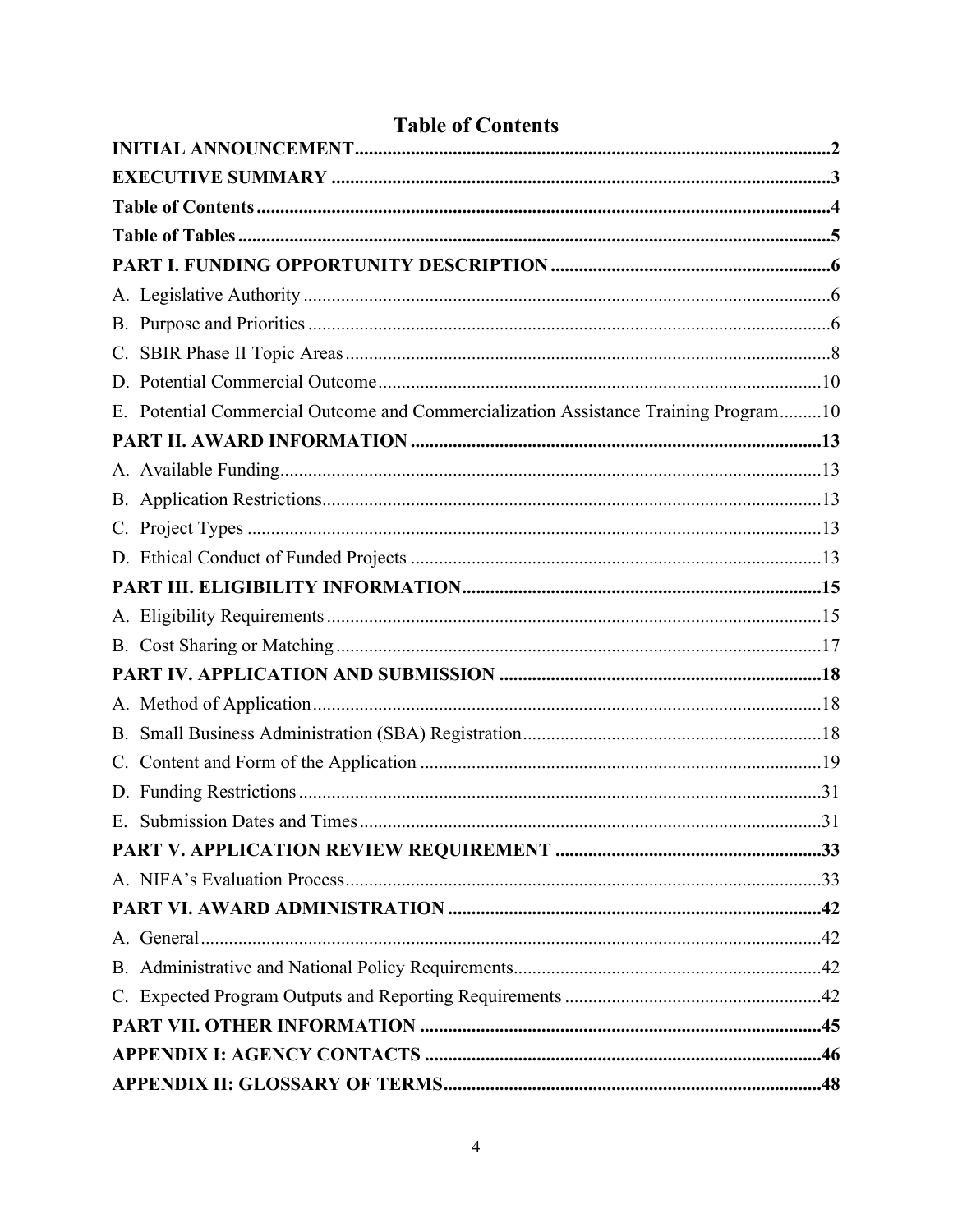<span id="page-3-0"></span>

|    | E. Potential Commercial Outcome and Commercialization Assistance Training Program10 |  |
|----|-------------------------------------------------------------------------------------|--|
|    |                                                                                     |  |
|    |                                                                                     |  |
|    |                                                                                     |  |
|    |                                                                                     |  |
|    |                                                                                     |  |
|    |                                                                                     |  |
|    |                                                                                     |  |
|    |                                                                                     |  |
|    |                                                                                     |  |
|    |                                                                                     |  |
| В. |                                                                                     |  |
|    |                                                                                     |  |
|    |                                                                                     |  |
|    |                                                                                     |  |
|    |                                                                                     |  |
|    |                                                                                     |  |
|    |                                                                                     |  |
|    |                                                                                     |  |
|    |                                                                                     |  |
|    |                                                                                     |  |
|    |                                                                                     |  |
|    |                                                                                     |  |
|    |                                                                                     |  |

# **Table of Contents**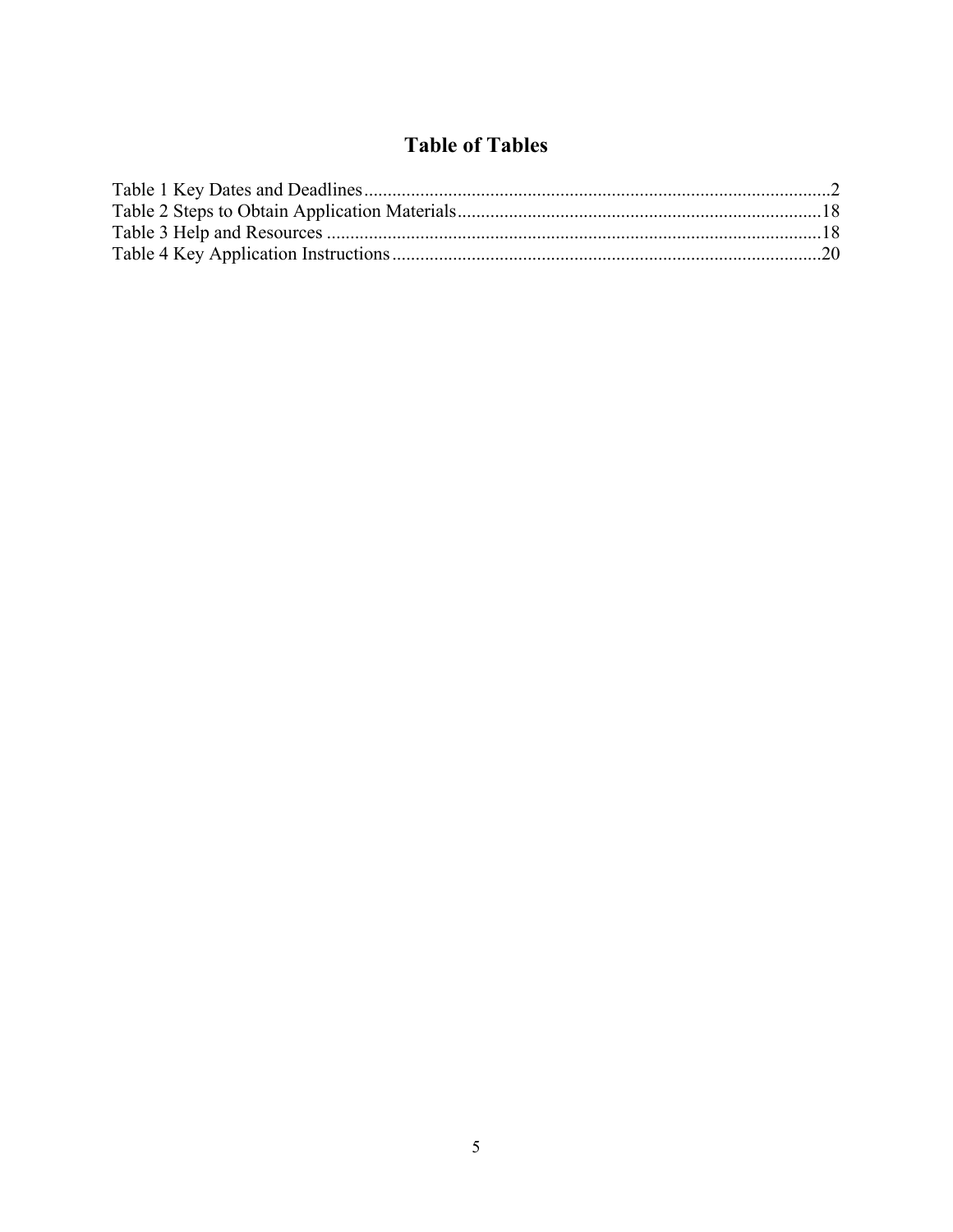# **Table of Tables**

<span id="page-4-0"></span>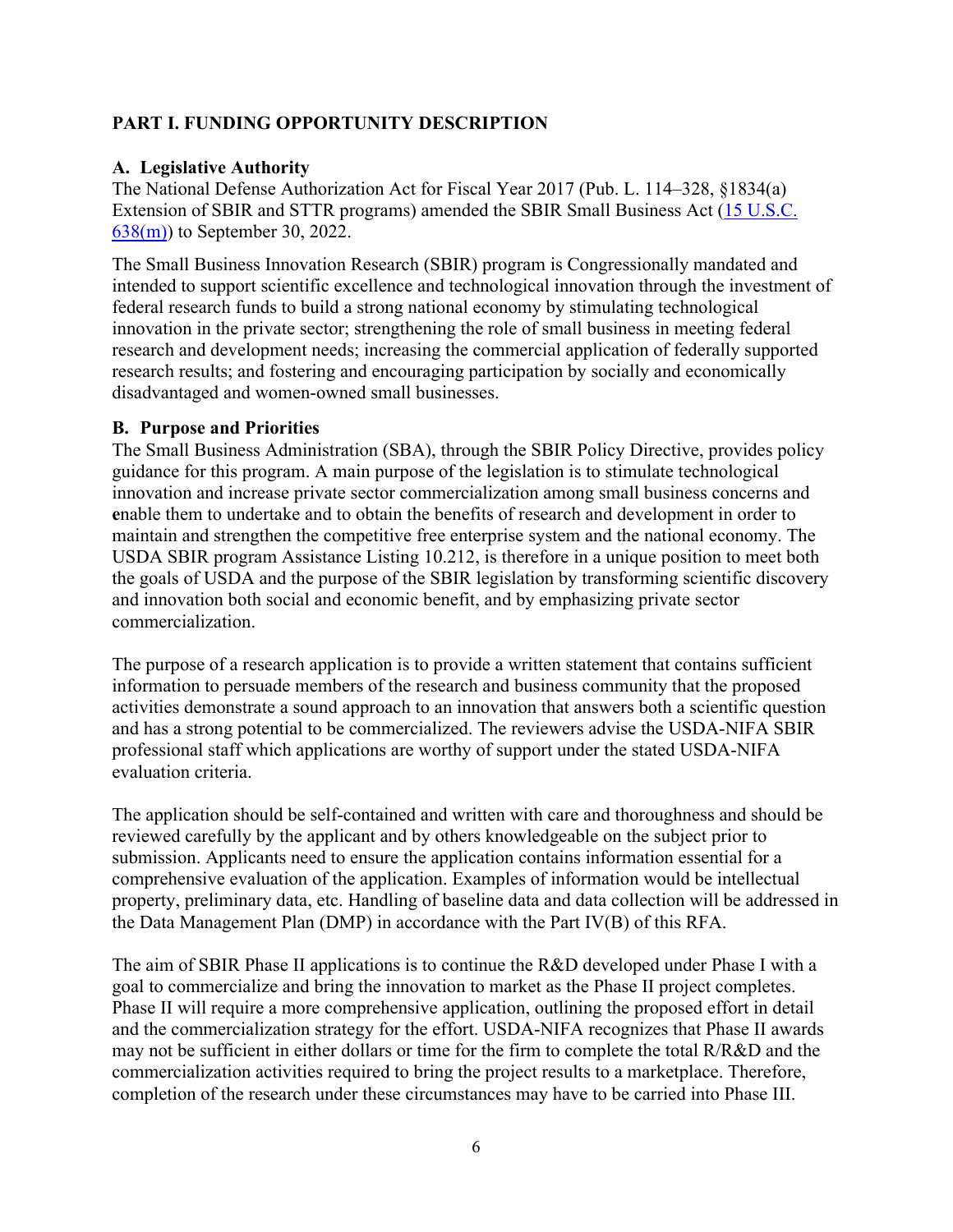## <span id="page-5-0"></span>**PART I. FUNDING OPPORTUNITY DESCRIPTION**

#### <span id="page-5-1"></span>**A. Legislative Authority**

The National Defense Authorization Act for Fiscal Year 2017 (Pub. L. 114–328, §1834(a) Extension of SBIR and STTR programs) amended the SBIR Small Business Act (15 [U.S.C.](https://uscode.house.gov/view.xhtml?req=(title:15%20section:638%20edition:prelim)%20OR%20(granuleid:USC-prelim-title15-section638)&f=treesort&edition=prelim&num=0&jumpTo=true) [638\(m\)\)](https://uscode.house.gov/view.xhtml?req=(title:15%20section:638%20edition:prelim)%20OR%20(granuleid:USC-prelim-title15-section638)&f=treesort&edition=prelim&num=0&jumpTo=true) to September 30, 2022.

The Small Business Innovation Research (SBIR) program is Congressionally mandated and intended to support scientific excellence and technological innovation through the investment of federal research funds to build a strong national economy by stimulating technological innovation in the private sector; strengthening the role of small business in meeting federal research and development needs; increasing the commercial application of federally supported research results; and fostering and encouraging participation by socially and economically disadvantaged and women-owned small businesses.

#### <span id="page-5-2"></span>**B. Purpose and Priorities**

The Small Business Administration (SBA), through the SBIR Policy Directive, provides policy guidance for this program. A main purpose of the legislation is to stimulate technological innovation and increase private sector commercialization among small business concerns and **e**nable them to undertake and to obtain the benefits of research and development in order to maintain and strengthen the competitive free enterprise system and the national economy. The USDA SBIR program Assistance Listing 10.212, is therefore in a unique position to meet both the goals of USDA and the purpose of the SBIR legislation by transforming scientific discovery and innovation both social and economic benefit, and by emphasizing private sector commercialization.

The purpose of a research application is to provide a written statement that contains sufficient information to persuade members of the research and business community that the proposed activities demonstrate a sound approach to an innovation that answers both a scientific question and has a strong potential to be commercialized. The reviewers advise the USDA-NIFA SBIR professional staff which applications are worthy of support under the stated USDA-NIFA evaluation criteria.

The application should be self-contained and written with care and thoroughness and should be reviewed carefully by the applicant and by others knowledgeable on the subject prior to submission. Applicants need to ensure the application contains information essential for a comprehensive evaluation of the application. Examples of information would be intellectual property, preliminary data, etc. Handling of baseline data and data collection will be addressed in the Data Management Plan (DMP) in accordance with the Part IV(B) of this RFA.

The aim of SBIR Phase II applications is to continue the R&D developed under Phase I with a goal to commercialize and bring the innovation to market as the Phase II project completes. Phase II will require a more comprehensive application, outlining the proposed effort in detail and the commercialization strategy for the effort. USDA-NIFA recognizes that Phase II awards may not be sufficient in either dollars or time for the firm to complete the total R/R&D and the commercialization activities required to bring the project results to a marketplace. Therefore, completion of the research under these circumstances may have to be carried into Phase III.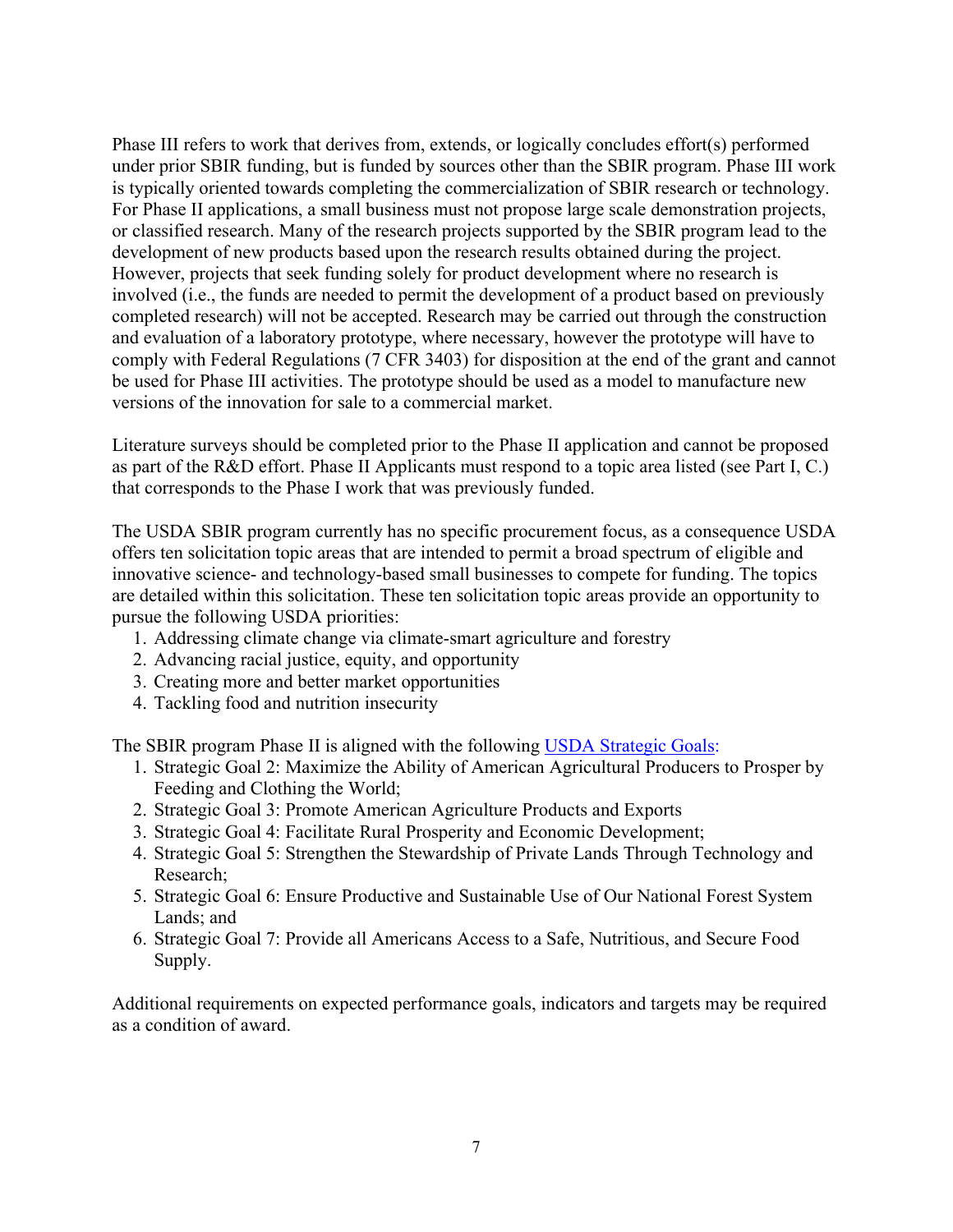Phase III refers to work that derives from, extends, or logically concludes effort(s) performed under prior SBIR funding, but is funded by sources other than the SBIR program. Phase III work is typically oriented towards completing the commercialization of SBIR research or technology. For Phase II applications, a small business must not propose large scale demonstration projects, or classified research. Many of the research projects supported by the SBIR program lead to the development of new products based upon the research results obtained during the project. However, projects that seek funding solely for product development where no research is involved (i.e., the funds are needed to permit the development of a product based on previously completed research) will not be accepted. Research may be carried out through the construction and evaluation of a laboratory prototype, where necessary, however the prototype will have to comply with Federal Regulations (7 CFR 3403) for disposition at the end of the grant and cannot be used for Phase III activities. The prototype should be used as a model to manufacture new versions of the innovation for sale to a commercial market.

Literature surveys should be completed prior to the Phase II application and cannot be proposed as part of the R&D effort. Phase II Applicants must respond to a topic area listed (see Part I, C.) that corresponds to the Phase I work that was previously funded.

The USDA SBIR program currently has no specific procurement focus, as a consequence USDA offers ten solicitation topic areas that are intended to permit a broad spectrum of eligible and innovative science- and technology-based small businesses to compete for funding. The topics are detailed within this solicitation. These ten solicitation topic areas provide an opportunity to pursue the following USDA priorities:

- 1. Addressing climate change via climate-smart agriculture and forestry
- 2. Advancing racial justice, equity, and opportunity
- 3. Creating more and better market opportunities
- 4. Tackling food and nutrition insecurity

The SBIR program Phase II is aligned with the following USDA [Strategic](https://www.usda.gov/sites/default/files/documents/usda-strategic-plan-2018-2022.pdf) Goals:

- 1. Strategic Goal 2: Maximize the Ability of American Agricultural Producers to Prosper by Feeding and Clothing the World;
- 2. Strategic Goal 3: Promote American Agriculture Products and Exports
- 3. Strategic Goal 4: Facilitate Rural Prosperity and Economic Development;
- 4. Strategic Goal 5: Strengthen the Stewardship of Private Lands Through Technology and Research;
- 5. Strategic Goal 6: Ensure Productive and Sustainable Use of Our National Forest System Lands; and
- 6. Strategic Goal 7: Provide all Americans Access to a Safe, Nutritious, and Secure Food Supply.

Additional requirements on expected performance goals, indicators and targets may be required as a condition of award.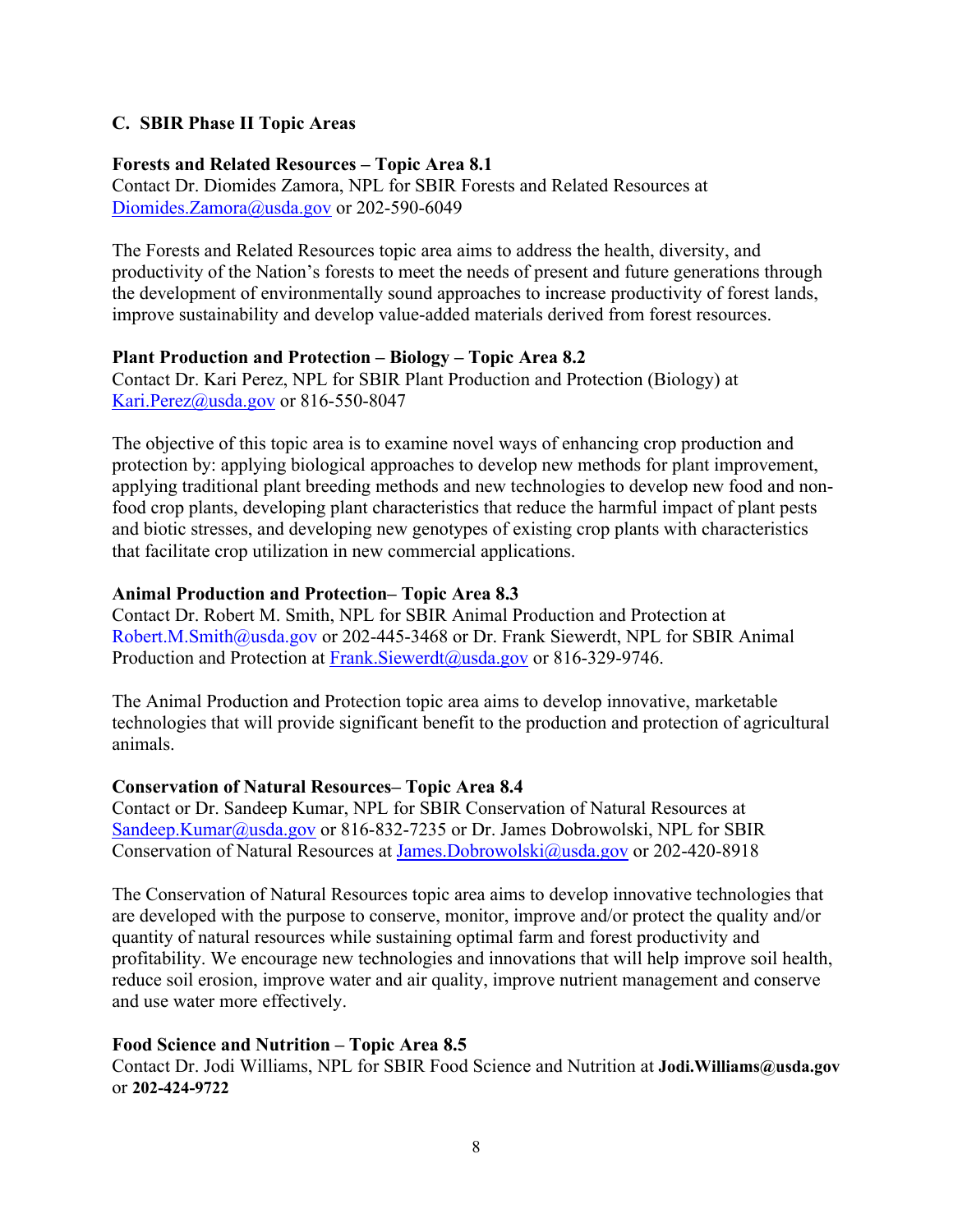#### <span id="page-7-0"></span>**C. SBIR Phase II Topic Areas**

#### **Forests and Related Resources – Topic Area 8.1**

Contact Dr. Diomides Zamora, NPL for SBIR Forests and Related Resources at [Diomides.Zamora@usda.gov](mailto:Diomides.Zamora@usda.gov) or 202-590-6049

The Forests and Related Resources topic area aims to address the health, diversity, and productivity of the Nation's forests to meet the needs of present and future generations through the development of environmentally sound approaches to increase productivity of forest lands, improve sustainability and develop value-added materials derived from forest resources.

#### **Plant Production and Protection – Biology – Topic Area 8.2**

Contact Dr. Kari Perez, NPL for SBIR Plant Production and Protection (Biology) at [Kari.Perez@usda.gov](mailto:Kari.Perez@usda.gov) or 816-550-8047

The objective of this topic area is to examine novel ways of enhancing crop production and protection by: applying biological approaches to develop new methods for plant improvement, applying traditional plant breeding methods and new technologies to develop new food and nonfood crop plants, developing plant characteristics that reduce the harmful impact of plant pests and biotic stresses, and developing new genotypes of existing crop plants with characteristics that facilitate crop utilization in new commercial applications.

#### **Animal Production and Protection– Topic Area 8.3**

Contact Dr. Robert M. Smith, NPL for SBIR Animal Production and Protection at Robert.M.Smith@usda.gov or 202-445-3468 or Dr. Frank Siewerdt, NPL for SBIR Animal Production and Protection at [Frank.Siewerdt@usda.gov](mailto:Frank.Siewerdt@usda.gov) or 816-329-9746.

The Animal Production and Protection topic area aims to develop innovative, marketable technologies that will provide significant benefit to the production and protection of agricultural animals.

#### **Conservation of Natural Resources– Topic Area 8.4**

Contact or Dr. Sandeep Kumar, NPL for SBIR Conservation of Natural Resources at [Sandeep.Kumar@usda.gov](mailto:Sandeep.Kumar@usda.gov) or 816-832-7235 or Dr. James Dobrowolski, NPL for SBIR Conservation of Natural Resources at [James.Dobrowolski@usda.gov](mailto:James.Dobrowolski@usda.gov) or 202-420-8918

The Conservation of Natural Resources topic area aims to develop innovative technologies that are developed with the purpose to conserve, monitor, improve and/or protect the quality and/or quantity of natural resources while sustaining optimal farm and forest productivity and profitability. We encourage new technologies and innovations that will help improve soil health, reduce soil erosion, improve water and air quality, improve nutrient management and conserve and use water more effectively.

#### **Food Science and Nutrition – Topic Area 8.5**

Contact Dr. Jodi Williams, NPL for SBIR Food Science and Nutrition at Jodi. Williams@usda.gov or **202-424-9722**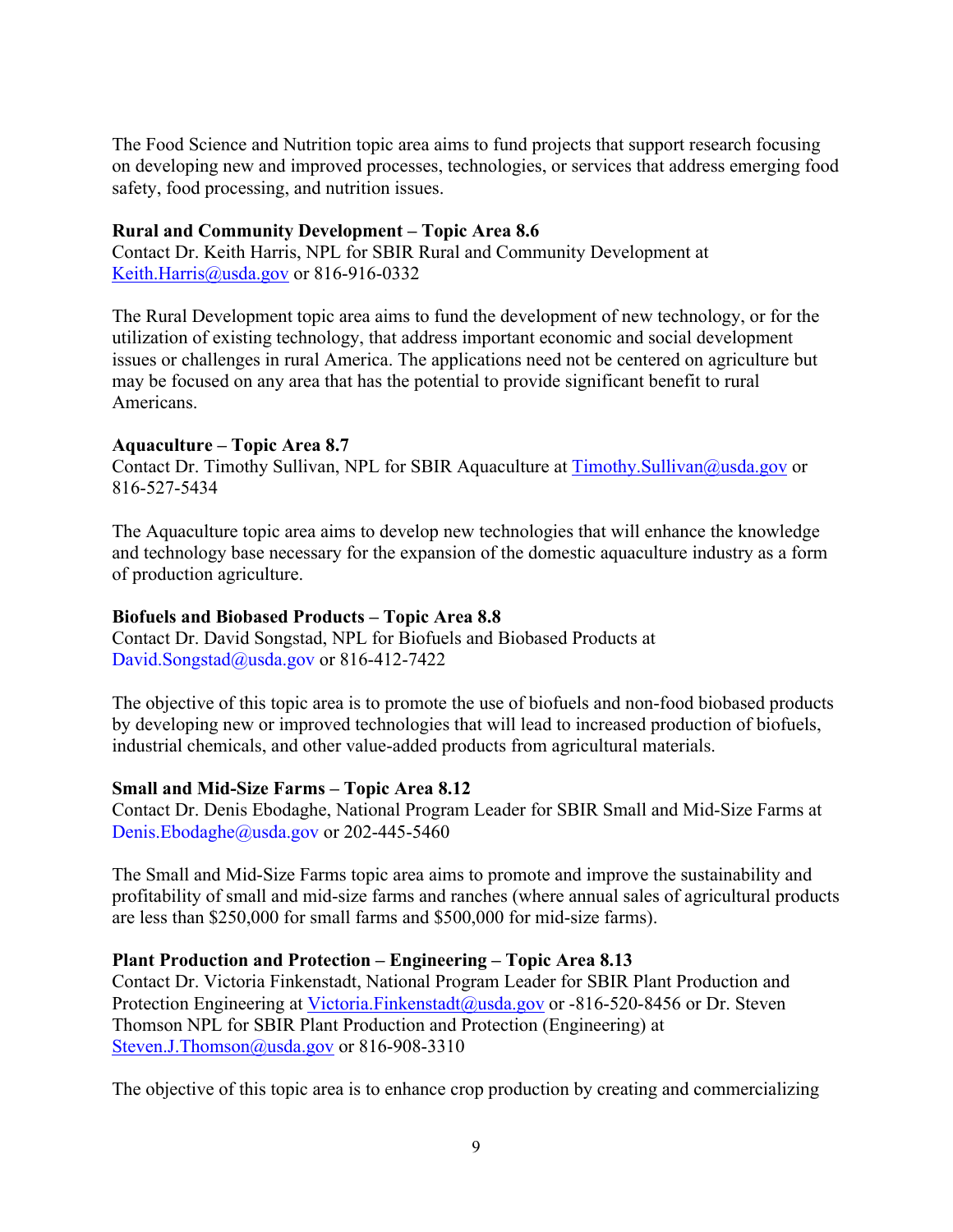The Food Science and Nutrition topic area aims to fund projects that support research focusing on developing new and improved processes, technologies, or services that address emerging food safety, food processing, and nutrition issues.

#### **Rural and Community Development – Topic Area 8.6**

Contact Dr. Keith Harris, NPL for SBIR Rural and Community Development at [Keith.Harris@usda.gov](mailto:Keith.Harris@usda.gov) or 816-916-0332

The Rural Development topic area aims to fund the development of new technology, or for the utilization of existing technology, that address important economic and social development issues or challenges in rural America. The applications need not be centered on agriculture but may be focused on any area that has the potential to provide significant benefit to rural Americans.

#### **Aquaculture – Topic Area 8.7**

Contact Dr. Timothy Sullivan, NPL for SBIR Aquaculture at [Timothy.Sullivan@usda.gov](mailto:Timothy.Sullivan@usda.gov) or 816-527-5434

The Aquaculture topic area aims to develop new technologies that will enhance the knowledge and technology base necessary for the expansion of the domestic aquaculture industry as a form of production agriculture.

#### **Biofuels and Biobased Products – Topic Area 8.8**

Contact Dr. David Songstad, NPL for Biofuels and Biobased Products at David.Songstad@usda.gov or 816-412-7422

The objective of this topic area is to promote the use of biofuels and non-food biobased products by developing new or improved technologies that will lead to increased production of biofuels, industrial chemicals, and other value-added products from agricultural materials.

## **Small and Mid-Size Farms – Topic Area 8.12**

Contact Dr. Denis Ebodaghe, National Program Leader for SBIR Small and Mid-Size Farms at Denis.Ebodaghe@usda.gov or 202-445-5460

The Small and Mid-Size Farms topic area aims to promote and improve the sustainability and profitability of small and mid-size farms and ranches (where annual sales of agricultural products are less than \$250,000 for small farms and \$500,000 for mid-size farms).

## **Plant Production and Protection – Engineering – Topic Area 8.13**

Contact Dr. Victoria Finkenstadt, National Program Leader for SBIR Plant Production and Protection Engineering at [Victoria.Finkenstadt@usda.gov](mailto:Victoria.Finkenstadt@usda.gov) or -816-520-8456 or Dr. Steven Thomson NPL for SBIR Plant Production and Protection (Engineering) at Steven.J.Thomson@usda.gov or 816-908-3310

The objective of this topic area is to enhance crop production by creating and commercializing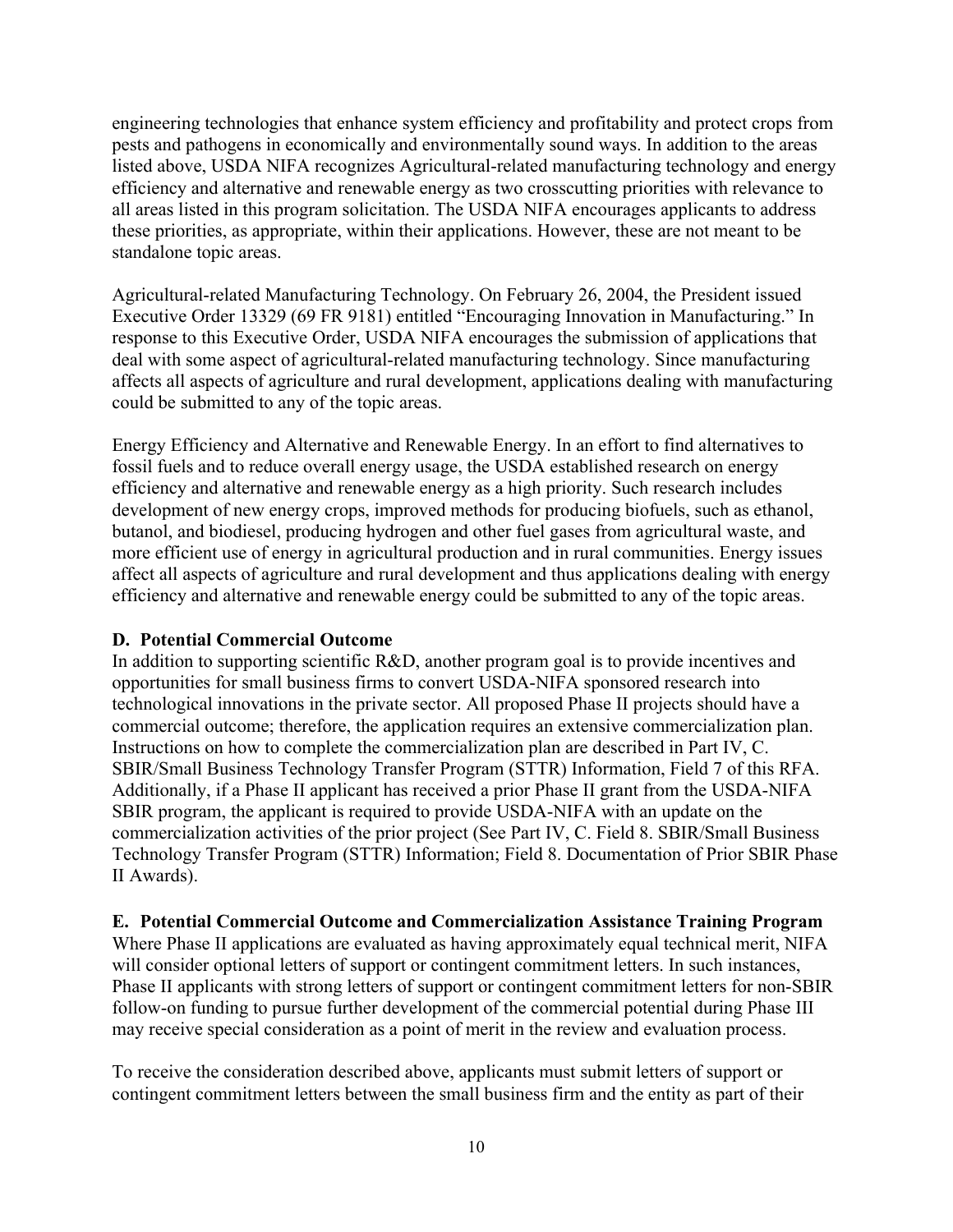engineering technologies that enhance system efficiency and profitability and protect crops from pests and pathogens in economically and environmentally sound ways. In addition to the areas listed above, USDA NIFA recognizes Agricultural-related manufacturing technology and energy efficiency and alternative and renewable energy as two crosscutting priorities with relevance to all areas listed in this program solicitation. The USDA NIFA encourages applicants to address these priorities, as appropriate, within their applications. However, these are not meant to be standalone topic areas.

Agricultural-related Manufacturing Technology. On February 26, 2004, the President issued Executive Order 13329 (69 FR 9181) entitled "Encouraging Innovation in Manufacturing." In response to this Executive Order, USDA NIFA encourages the submission of applications that deal with some aspect of agricultural-related manufacturing technology. Since manufacturing affects all aspects of agriculture and rural development, applications dealing with manufacturing could be submitted to any of the topic areas.

Energy Efficiency and Alternative and Renewable Energy. In an effort to find alternatives to fossil fuels and to reduce overall energy usage, the USDA established research on energy efficiency and alternative and renewable energy as a high priority. Such research includes development of new energy crops, improved methods for producing biofuels, such as ethanol, butanol, and biodiesel, producing hydrogen and other fuel gases from agricultural waste, and more efficient use of energy in agricultural production and in rural communities. Energy issues affect all aspects of agriculture and rural development and thus applications dealing with energy efficiency and alternative and renewable energy could be submitted to any of the topic areas.

#### <span id="page-9-0"></span>**D. Potential Commercial Outcome**

In addition to supporting scientific R&D, another program goal is to provide incentives and opportunities for small business firms to convert USDA-NIFA sponsored research into technological innovations in the private sector. All proposed Phase II projects should have a commercial outcome; therefore, the application requires an extensive commercialization plan. Instructions on how to complete the commercialization plan are described in Part IV, C. SBIR/Small Business Technology Transfer Program (STTR) Information, Field 7 of this RFA. Additionally, if a Phase II applicant has received a prior Phase II grant from the USDA-NIFA SBIR program, the applicant is required to provide USDA-NIFA with an update on the commercialization activities of the prior project (See Part IV, C. Field 8. SBIR/Small Business Technology Transfer Program (STTR) Information; Field 8. Documentation of Prior SBIR Phase II Awards).

## <span id="page-9-1"></span>**E. Potential Commercial Outcome and Commercialization Assistance Training Program**

Where Phase II applications are evaluated as having approximately equal technical merit, NIFA will consider optional letters of support or contingent commitment letters. In such instances, Phase II applicants with strong letters of support or contingent commitment letters for non-SBIR follow-on funding to pursue further development of the commercial potential during Phase III may receive special consideration as a point of merit in the review and evaluation process.

To receive the consideration described above, applicants must submit letters of support or contingent commitment letters between the small business firm and the entity as part of their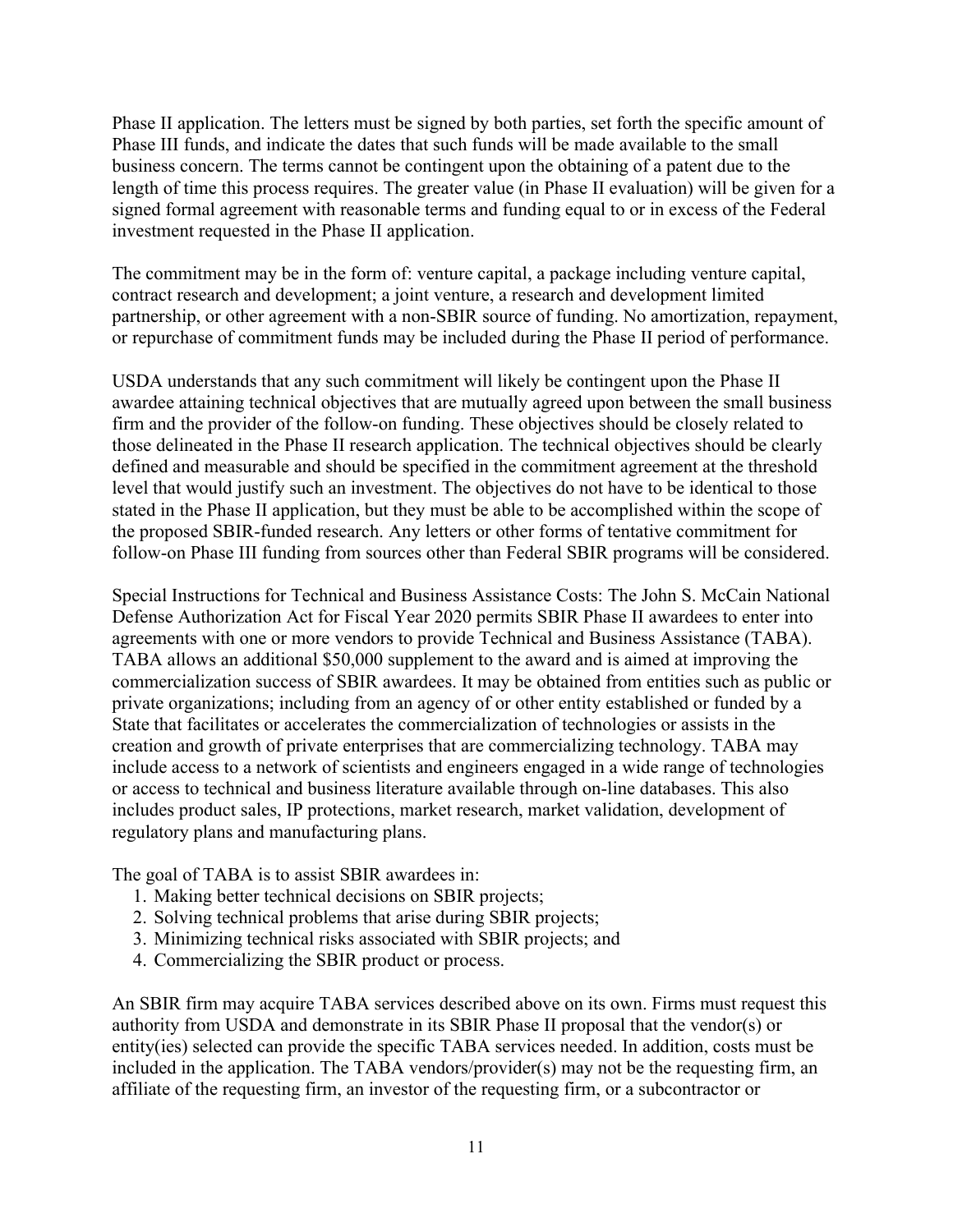Phase II application. The letters must be signed by both parties, set forth the specific amount of Phase III funds, and indicate the dates that such funds will be made available to the small business concern. The terms cannot be contingent upon the obtaining of a patent due to the length of time this process requires. The greater value (in Phase II evaluation) will be given for a signed formal agreement with reasonable terms and funding equal to or in excess of the Federal investment requested in the Phase II application.

The commitment may be in the form of: venture capital, a package including venture capital, contract research and development; a joint venture, a research and development limited partnership, or other agreement with a non-SBIR source of funding. No amortization, repayment, or repurchase of commitment funds may be included during the Phase II period of performance.

USDA understands that any such commitment will likely be contingent upon the Phase II awardee attaining technical objectives that are mutually agreed upon between the small business firm and the provider of the follow-on funding. These objectives should be closely related to those delineated in the Phase II research application. The technical objectives should be clearly defined and measurable and should be specified in the commitment agreement at the threshold level that would justify such an investment. The objectives do not have to be identical to those stated in the Phase II application, but they must be able to be accomplished within the scope of the proposed SBIR-funded research. Any letters or other forms of tentative commitment for follow-on Phase III funding from sources other than Federal SBIR programs will be considered.

Special Instructions for Technical and Business Assistance Costs: The John S. McCain National Defense Authorization Act for Fiscal Year 2020 permits SBIR Phase II awardees to enter into agreements with one or more vendors to provide Technical and Business Assistance (TABA). TABA allows an additional \$50,000 supplement to the award and is aimed at improving the commercialization success of SBIR awardees. It may be obtained from entities such as public or private organizations; including from an agency of or other entity established or funded by a State that facilitates or accelerates the commercialization of technologies or assists in the creation and growth of private enterprises that are commercializing technology. TABA may include access to a network of scientists and engineers engaged in a wide range of technologies or access to technical and business literature available through on-line databases. This also includes product sales, IP protections, market research, market validation, development of regulatory plans and manufacturing plans.

The goal of TABA is to assist SBIR awardees in:

- 1. Making better technical decisions on SBIR projects;
- 2. Solving technical problems that arise during SBIR projects;
- 3. Minimizing technical risks associated with SBIR projects; and
- 4. Commercializing the SBIR product or process.

An SBIR firm may acquire TABA services described above on its own. Firms must request this authority from USDA and demonstrate in its SBIR Phase II proposal that the vendor(s) or entity(ies) selected can provide the specific TABA services needed. In addition, costs must be included in the application. The TABA vendors/provider(s) may not be the requesting firm, an affiliate of the requesting firm, an investor of the requesting firm, or a subcontractor or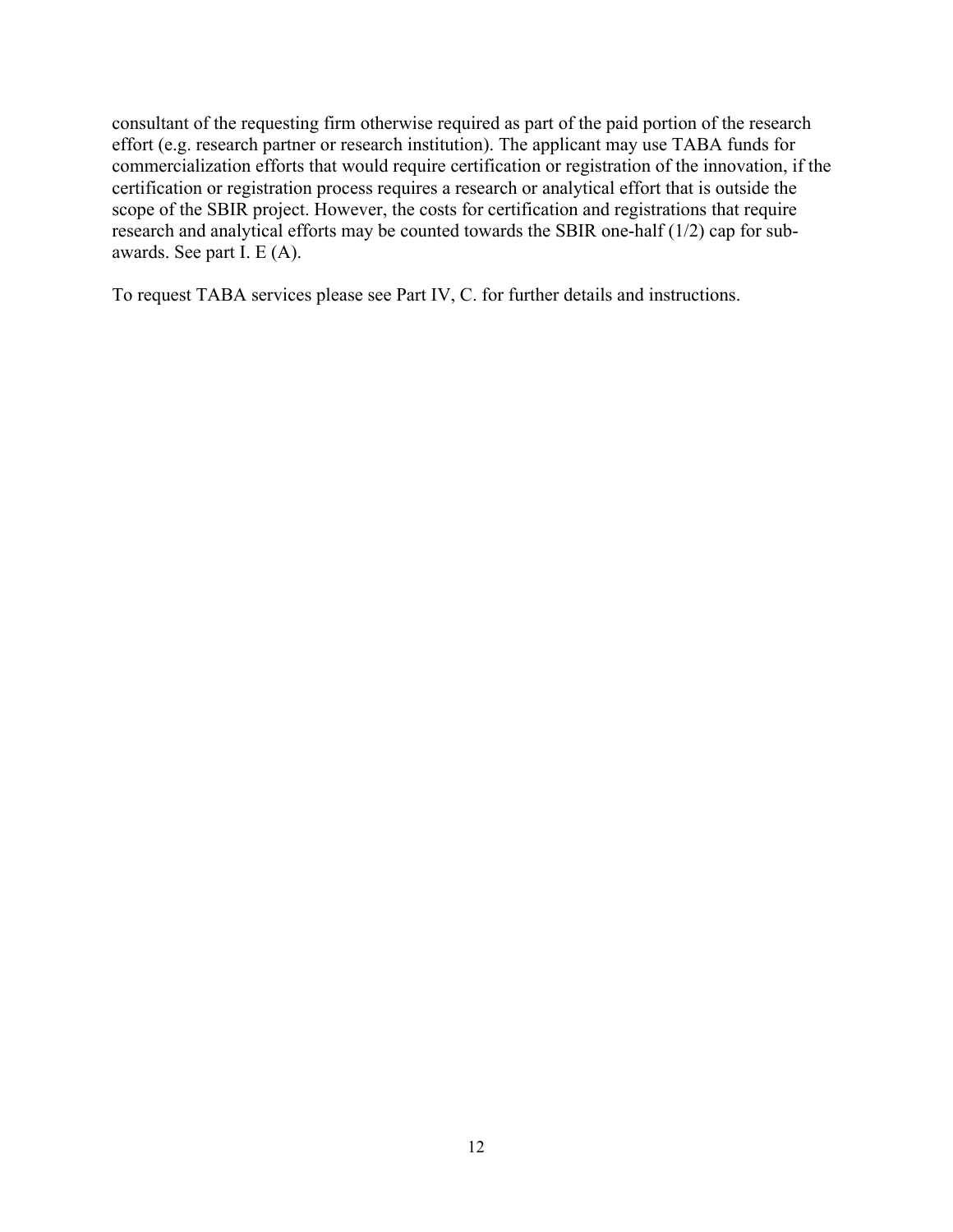consultant of the requesting firm otherwise required as part of the paid portion of the research effort (e.g. research partner or research institution). The applicant may use TABA funds for commercialization efforts that would require certification or registration of the innovation, if the certification or registration process requires a research or analytical effort that is outside the scope of the SBIR project. However, the costs for certification and registrations that require research and analytical efforts may be counted towards the SBIR one-half (1/2) cap for subawards. See part I. E (A).

To request TABA services please see Part IV, C. for further details and instructions.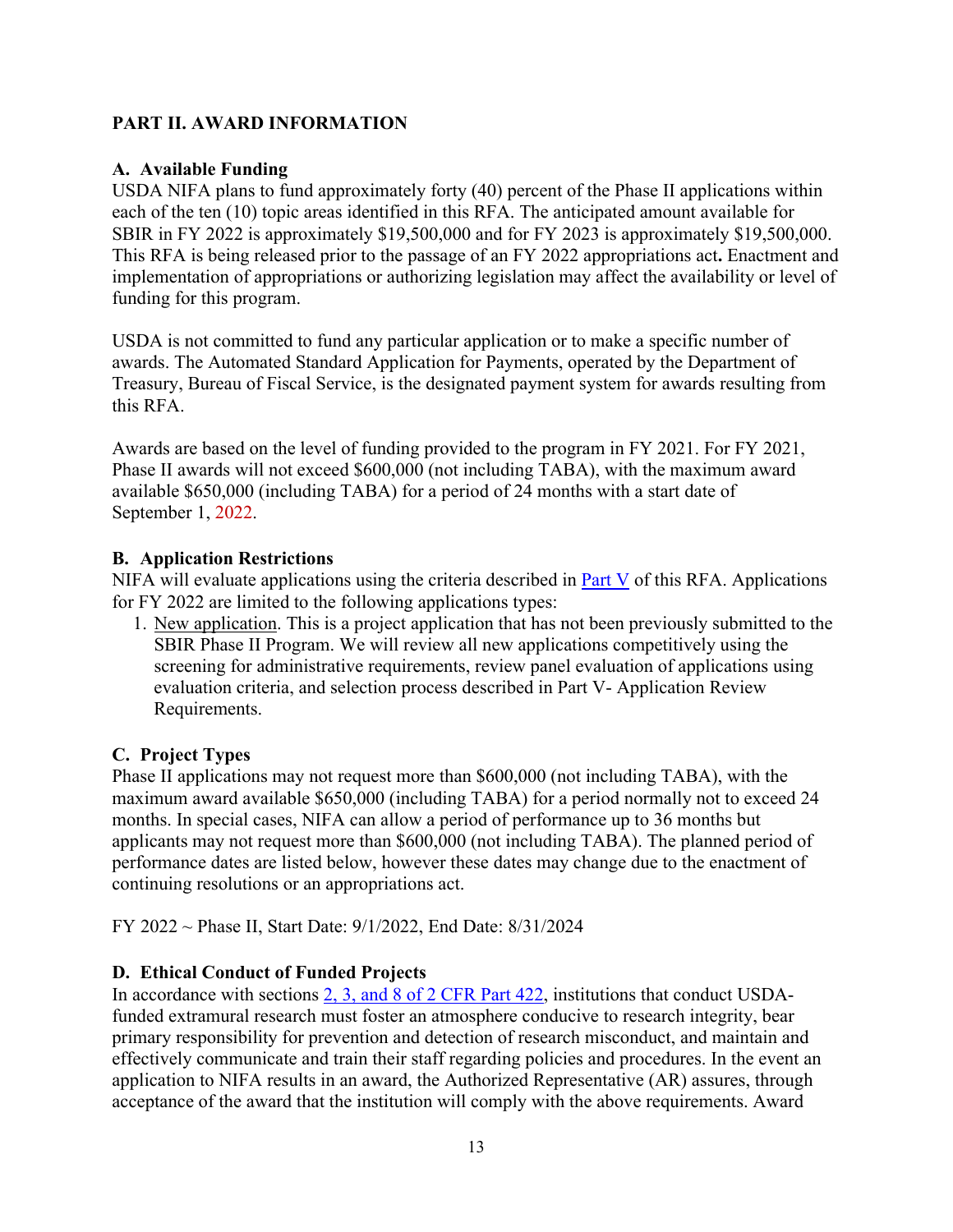## <span id="page-12-0"></span>**PART II. AWARD INFORMATION**

## <span id="page-12-1"></span>**A. Available Funding**

USDA NIFA plans to fund approximately forty (40) percent of the Phase II applications within each of the ten (10) topic areas identified in this RFA. The anticipated amount available for SBIR in FY 2022 is approximately \$19,500,000 and for FY 2023 is approximately \$19,500,000. This RFA is being released prior to the passage of an FY 2022 appropriations act**.** Enactment and implementation of appropriations or authorizing legislation may affect the availability or level of funding for this program.

USDA is not committed to fund any particular application or to make a specific number of awards. The [Automated](https://www.fiscal.treasury.gov/fsservices/gov/pmt/asap/asap_home.htm) Standard [Application](https://www.fiscal.treasury.gov/fsservices/gov/pmt/asap/asap_home.htm) for Payments, operated by the Department of Treasury, Bureau of Fiscal Service, is the designated payment system for awards resulting from this RFA.

Awards are based on the level of funding provided to the program in FY 2021. For FY 2021, Phase II awards will not exceed \$600,000 (not including TABA), with the maximum award available \$650,000 (including TABA) for a period of 24 months with a start date of September 1, 2022.

## <span id="page-12-2"></span>**B. Application Restrictions**

NIFA will evaluate applications using the criteria described in **Part V** of this RFA. Applications for FY 2022 are limited to the following applications types:

1. New application. This is a project application that has not been previously submitted to the SBIR Phase II Program. We will review all new applications competitively using the screening for administrative requirements, review panel evaluation of applications using evaluation criteria, and selection process described in Part V- Application Review Requirements.

# <span id="page-12-3"></span>**C. Project Types**

Phase II applications may not request more than \$600,000 (not including TABA), with the maximum award available \$650,000 (including TABA) for a period normally not to exceed 24 months. In special cases, NIFA can allow a period of performance up to 36 months but applicants may not request more than \$600,000 (not including TABA). The planned period of performance dates are listed below, however these dates may change due to the enactment of continuing resolutions or an appropriations act.

<span id="page-12-4"></span>FY 2022 ~ Phase II, Start Date: 9/1/2022, End Date: 8/31/2024

# **D. Ethical Conduct of Funded Projects**

In accordance with sections [2, 3, and 8 of 2 CFR Part 422,](https://www.ecfr.gov/cgi-bin/text-idx?SID=3f96ab05cf1fc2d2713e5e46755e7696&mc=true&node=pt2.1.422&rgn=div5#se2.1.422_12) institutions that conduct USDAfunded extramural research must foster an atmosphere conducive to research integrity, bear primary responsibility for prevention and detection of research misconduct, and maintain and effectively communicate and train their staff regarding policies and procedures. In the event an application to NIFA results in an award, the Authorized Representative (AR) assures, through acceptance of the award that the institution will comply with the above requirements. Award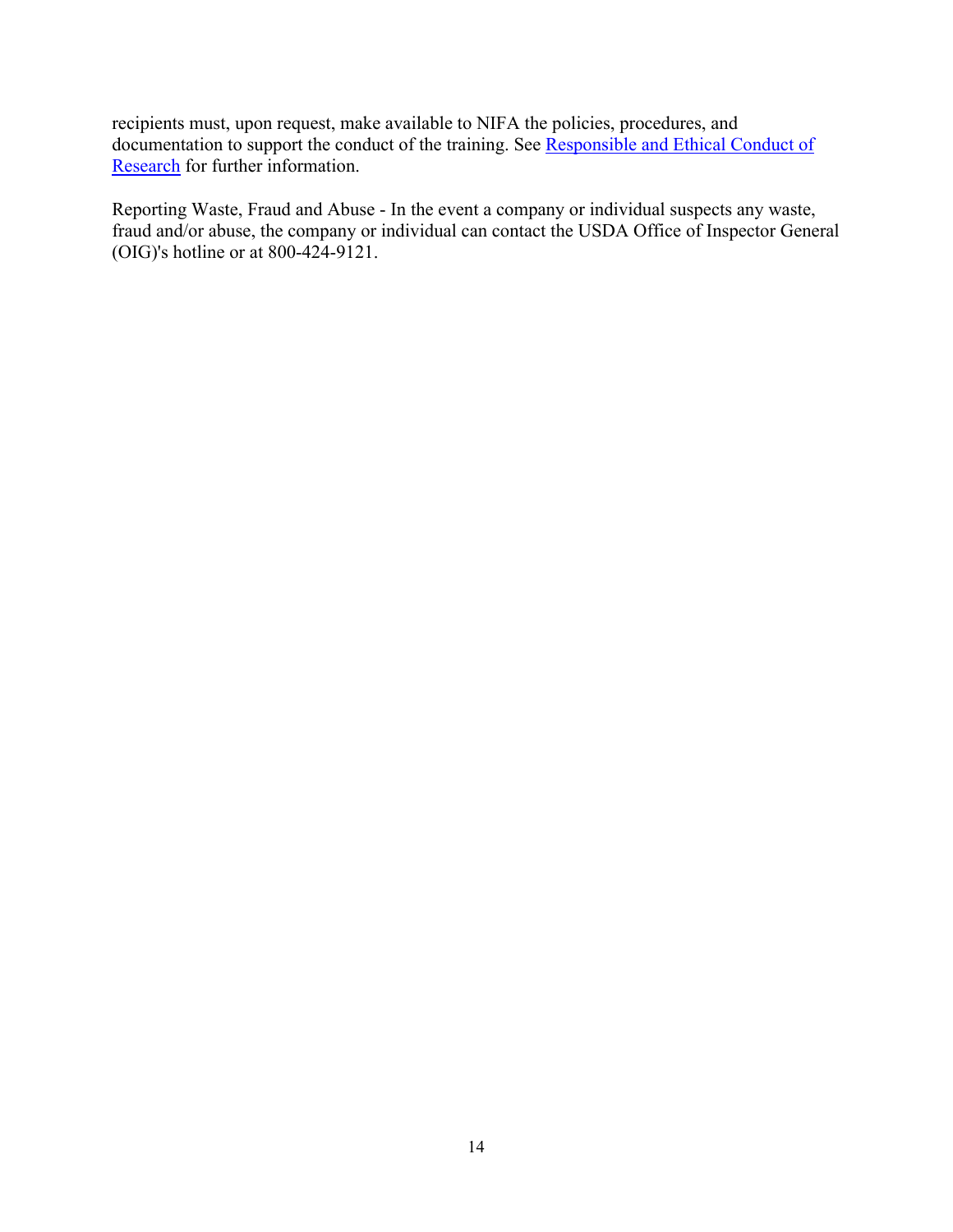recipients must, upon request, make available to NIFA the policies, procedures, and documentation to support the conduct of the training. See [Responsible and Ethical Conduct of](https://nifa.usda.gov/responsible-and-ethical-conduct-research)  [Research](https://nifa.usda.gov/responsible-and-ethical-conduct-research) for further information.

Reporting Waste, Fraud and Abuse - In the event a company or individual suspects any waste, fraud and/or abuse, the company or individual can contact the USDA Office of Inspector General (OIG)'s [hotline](https://www.usda.gov/oig/hotline.htm) or at 800-424-9121.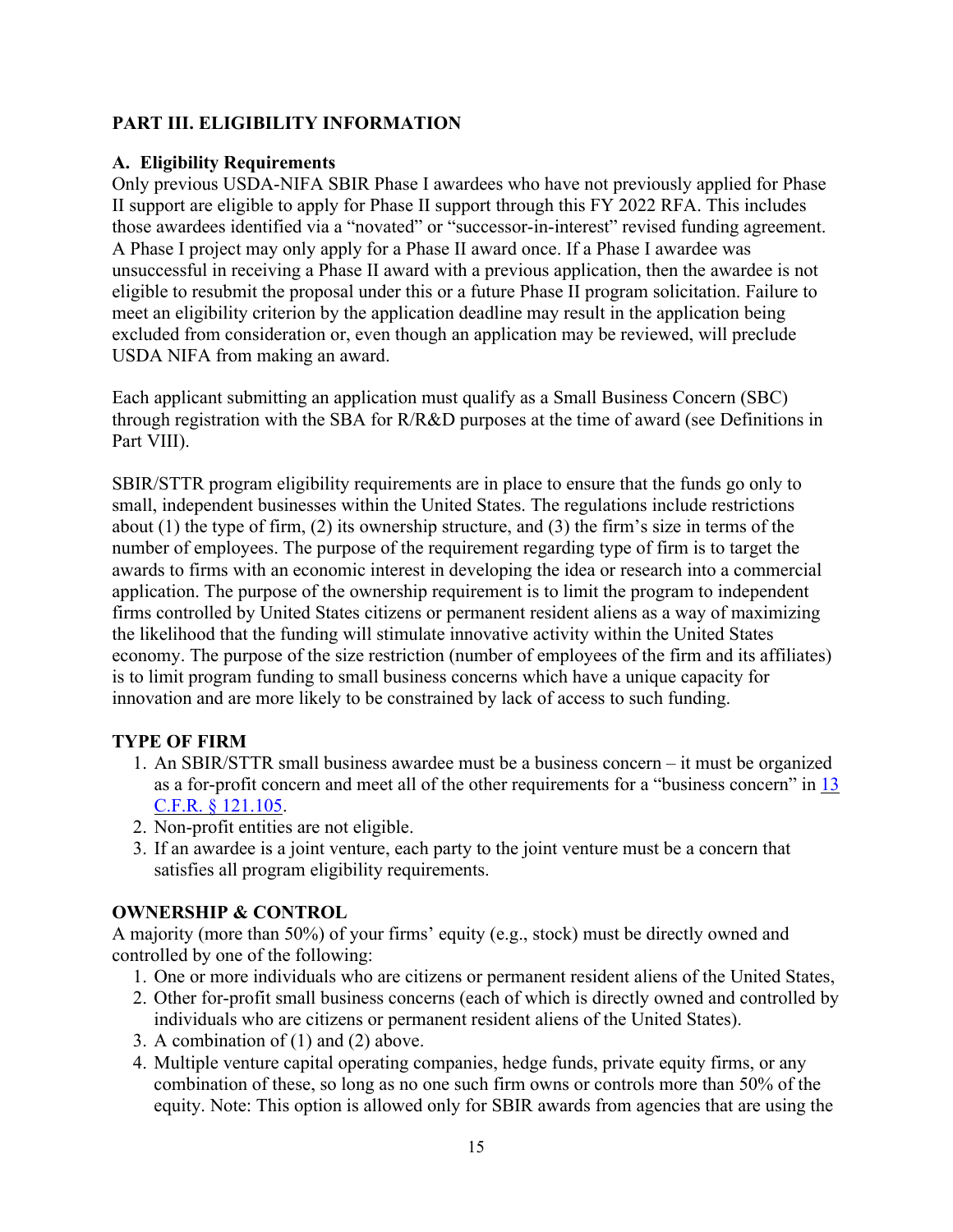# <span id="page-14-0"></span>**PART III. ELIGIBILITY INFORMATION**

## <span id="page-14-1"></span>**A. Eligibility Requirements**

Only previous USDA-NIFA SBIR Phase I awardees who have not previously applied for Phase II support are eligible to apply for Phase II support through this FY 2022 RFA. This includes those awardees identified via a "novated" or "successor-in-interest" revised funding agreement. A Phase I project may only apply for a Phase II award once. If a Phase I awardee was unsuccessful in receiving a Phase II award with a previous application, then the awardee is not eligible to resubmit the proposal under this or a future Phase II program solicitation. Failure to meet an eligibility criterion by the application deadline may result in the application being excluded from consideration or, even though an application may be reviewed, will preclude USDA NIFA from making an award.

Each applicant submitting an application must qualify as a Small Business Concern (SBC) through registration with the SBA for R/R&D purposes at the time of award (see Definitions in Part VIII).

SBIR/STTR program eligibility requirements are in place to ensure that the funds go only to small, independent businesses within the United States. The regulations include restrictions about (1) the type of firm, (2) its ownership structure, and (3) the firm's size in terms of the number of employees. The purpose of the requirement regarding type of firm is to target the awards to firms with an economic interest in developing the idea or research into a commercial application. The purpose of the ownership requirement is to limit the program to independent firms controlled by United States citizens or permanent resident aliens as a way of maximizing the likelihood that the funding will stimulate innovative activity within the United States economy. The purpose of the size restriction (number of employees of the firm and its affiliates) is to limit program funding to small business concerns which have a unique capacity for innovation and are more likely to be constrained by lack of access to such funding.

## **TYPE OF FIRM**

- 1. An SBIR/STTR small business awardee must be a business concern it must be organized as a for-profit concern and meet all of the other requirements for a "business concern" in [13](https://www.ecfr.gov/current/title-13/chapter-I/part-121/subpart-A/subject-group-ECFRd133f03f6d8398b/section-121.105)  [C.F.R. § 121.105.](https://www.ecfr.gov/current/title-13/chapter-I/part-121/subpart-A/subject-group-ECFRd133f03f6d8398b/section-121.105)
- 2. Non-profit entities are not eligible.
- 3. If an awardee is a joint venture, each party to the joint venture must be a concern that satisfies all program eligibility requirements.

#### **OWNERSHIP & CONTROL**

A majority (more than 50%) of your firms' equity (e.g., stock) must be directly owned and controlled by one of the following:

- 1. One or more individuals who are citizens or permanent resident aliens of the United States,
- 2. Other for-profit small business concerns (each of which is directly owned and controlled by individuals who are citizens or permanent resident aliens of the United States).
- 3. A combination of (1) and (2) above.
- 4. Multiple venture capital operating companies, hedge funds, private equity firms, or any combination of these, so long as no one such firm owns or controls more than 50% of the equity. Note: This option is allowed only for SBIR awards from agencies that are using the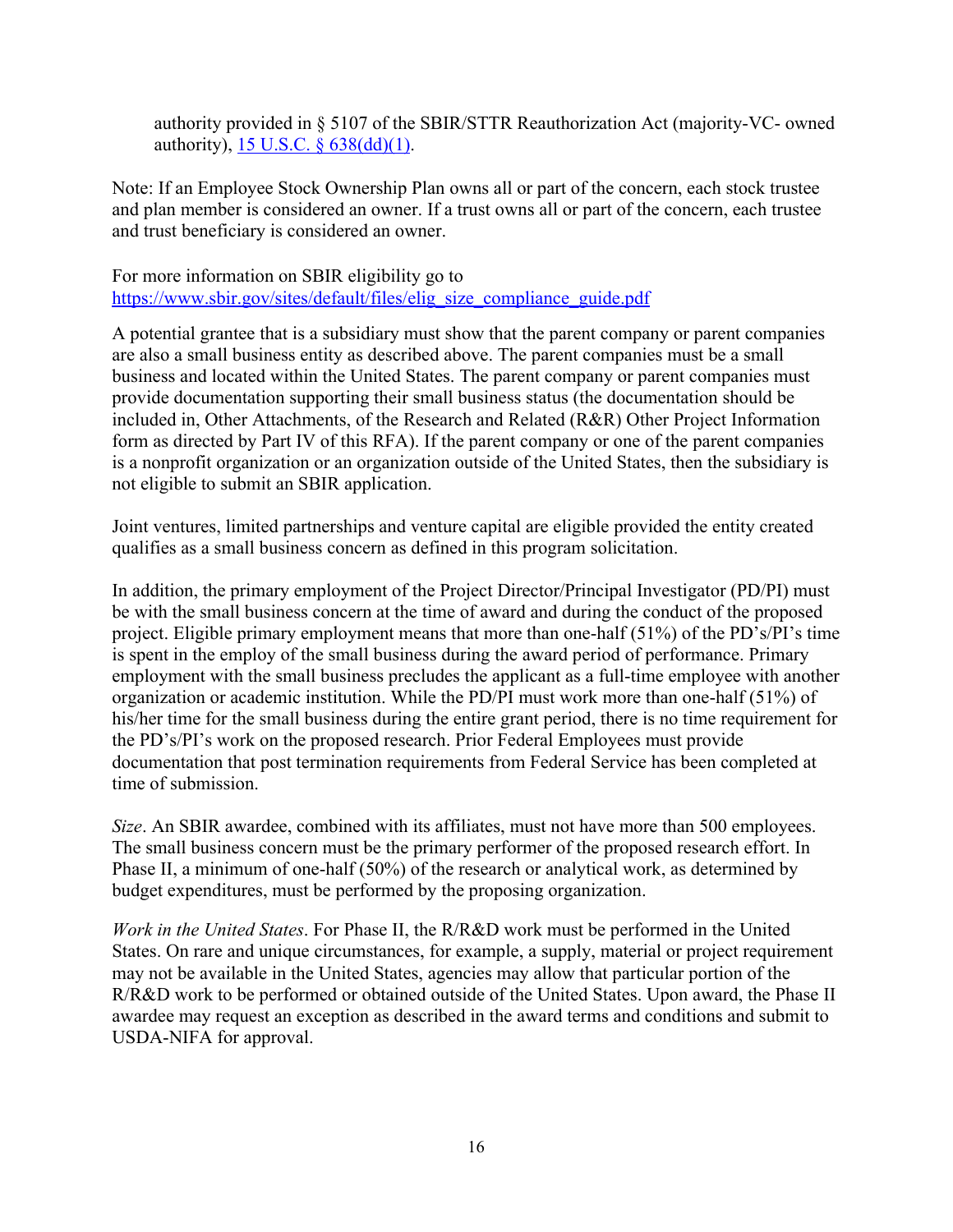authority provided in § 5107 of the SBIR/STTR Reauthorization Act (majority‐VC‐ owned authority), 15 U.S.C. § [638\(dd\)\(1\).](https://uscode.house.gov/view.xhtml?req=(title:15%20section:638%20edition:prelim)%20OR%20(granuleid:USC-prelim-title15-section638)&f=treesort&edition=prelim&num=0&jumpTo=true)

Note: If an Employee Stock Ownership Plan owns all or part of the concern, each stock trustee and plan member is considered an owner. If a trust owns all or part of the concern, each trustee and trust beneficiary is considered an owner.

For more information on SBIR eligibility go to [https://www.sbir.gov/sites/default/files/elig\\_size\\_compliance\\_guide.pdf](https://www.sbir.gov/sites/default/files/elig_size_compliance_guide.pdf)

A potential grantee that is a subsidiary must show that the parent company or parent companies are also a small business entity as described above. The parent companies must be a small business and located within the United States. The parent company or parent companies must provide documentation supporting their small business status (the documentation should be included in, Other Attachments, of the Research and Related (R&R) Other Project Information form as directed by Part IV of this RFA). If the parent company or one of the parent companies is a nonprofit organization or an organization outside of the United States, then the subsidiary is not eligible to submit an SBIR application.

Joint ventures, limited partnerships and venture capital are eligible provided the entity created qualifies as a small business concern as defined in this program solicitation.

In addition, the primary employment of the Project Director/Principal Investigator (PD/PI) must be with the small business concern at the time of award and during the conduct of the proposed project. Eligible primary employment means that more than one-half (51%) of the PD's/PI's time is spent in the employ of the small business during the award period of performance. Primary employment with the small business precludes the applicant as a full-time employee with another organization or academic institution. While the PD/PI must work more than one-half (51%) of his/her time for the small business during the entire grant period, there is no time requirement for the PD's/PI's work on the proposed research. Prior Federal Employees must provide documentation that post termination requirements from Federal Service has been completed at time of submission.

*Size*. An SBIR awardee, combined with its affiliates, must not have more than 500 employees. The small business concern must be the primary performer of the proposed research effort. In Phase II, a minimum of one-half (50%) of the research or analytical work, as determined by budget expenditures, must be performed by the proposing organization.

*Work in the United States*. For Phase II, the R/R&D work must be performed in the United States. On rare and unique circumstances, for example, a supply, material or project requirement may not be available in the United States, agencies may allow that particular portion of the R/R&D work to be performed or obtained outside of the United States. Upon award, the Phase II awardee may request an exception as described in the award terms and conditions and submit to USDA-NIFA for approval.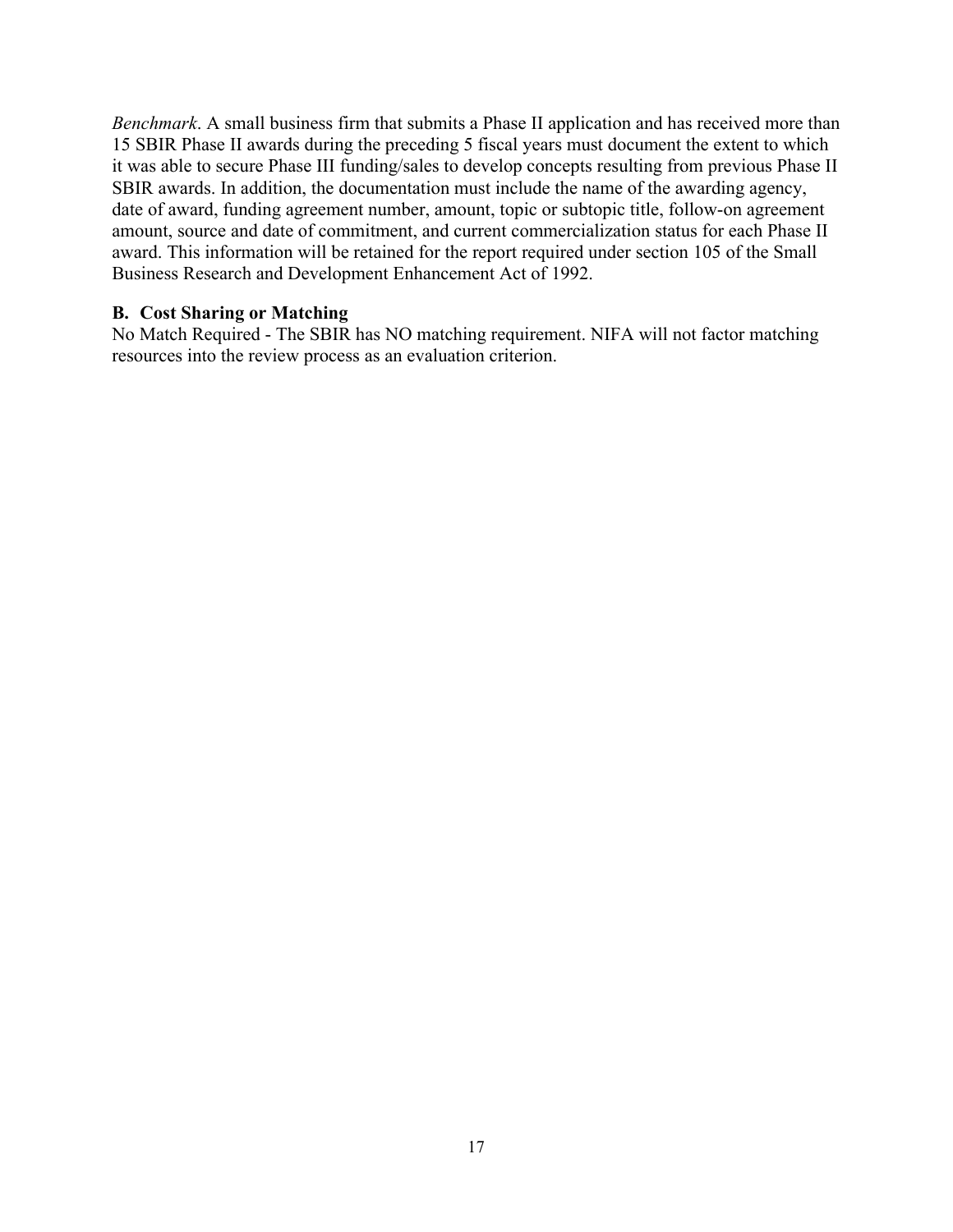*Benchmark*. A small business firm that submits a Phase II application and has received more than 15 SBIR Phase II awards during the preceding 5 fiscal years must document the extent to which it was able to secure Phase III funding/sales to develop concepts resulting from previous Phase II SBIR awards. In addition, the documentation must include the name of the awarding agency, date of award, funding agreement number, amount, topic or subtopic title, follow-on agreement amount, source and date of commitment, and current commercialization status for each Phase II award. This information will be retained for the report required under section 105 of the Small Business Research and Development Enhancement Act of 1992.

#### <span id="page-16-0"></span>**B. Cost Sharing or Matching**

No Match Required - The SBIR has NO matching requirement. NIFA will not factor matching resources into the review process as an evaluation criterion.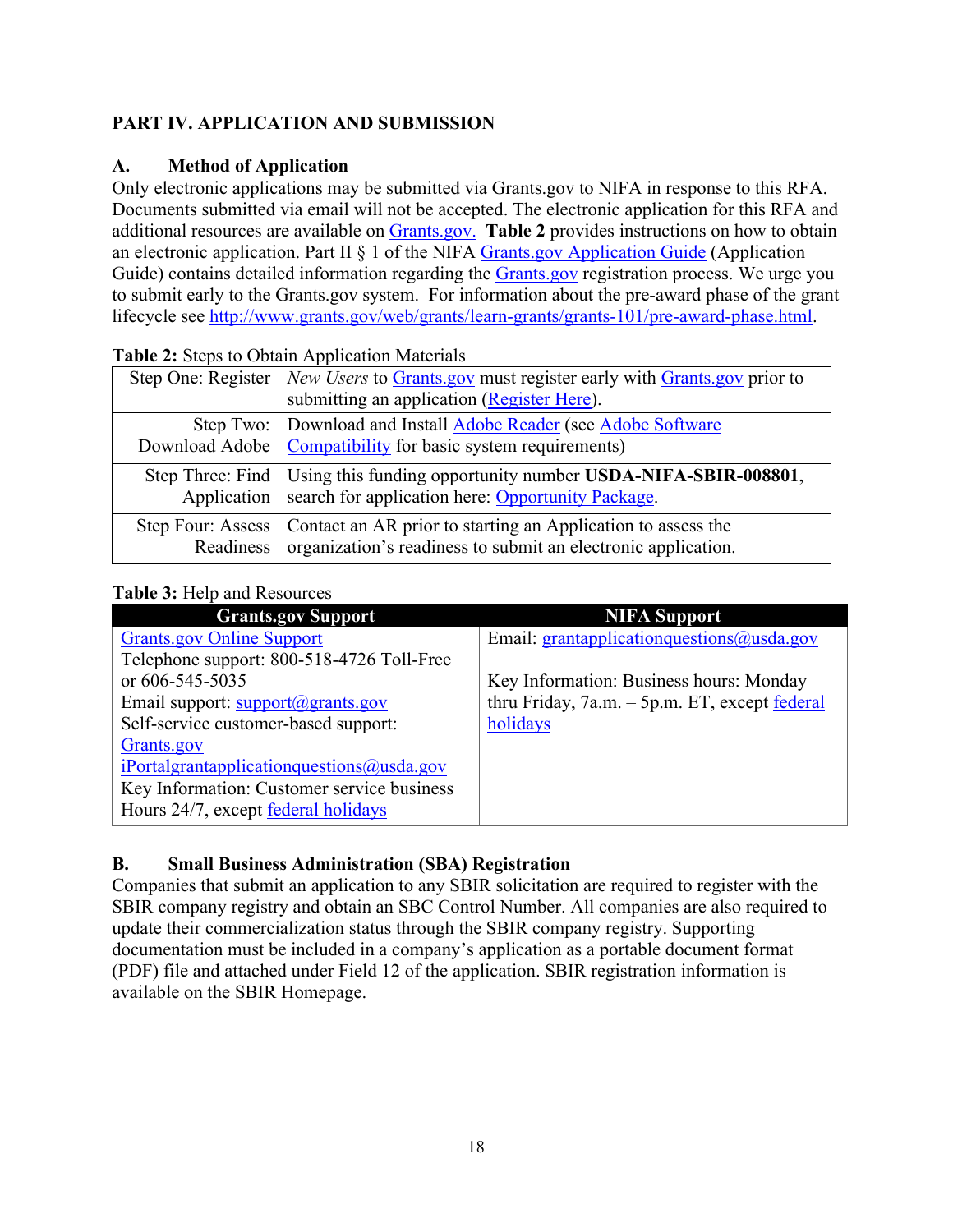# <span id="page-17-0"></span>**PART IV. APPLICATION AND SUBMISSION**

# <span id="page-17-1"></span>**A. Method of Application**

Only electronic applications may be submitted via Grants.gov to NIFA in response to this RFA. Documents submitted via email will not be accepted. The electronic application for this RFA and additional resources are available on [Grants.gov.](https://www.grants.gov/) **Table 2** provides instructions on how to obtain an electronic application. Part II § 1 of the NIFA [Grants.gov Application Guide](https://nifa.usda.gov/resource/nifa-grantsgov-application-guide) (Application Guide) contains detailed information regarding the [Grants.gov r](https://www.grants.gov/)egistration process. We urge you to submit early to the Grants.gov system. For information about the pre-award phase of the grant lifecycle see [http://www.grants.gov/web/grants/learn-grants/grants-101/pre-award-phase.html.](http://www.grants.gov/web/grants/learn-grants/grants-101/pre-award-phase.html)

|                   | Step One: Register   New Users to Grants.gov must register early with Grants.gov prior to |
|-------------------|-------------------------------------------------------------------------------------------|
|                   | submitting an application (Register Here).                                                |
|                   | Step Two:   Download and Install Adobe Reader (see Adobe Software                         |
|                   | Download Adobe   Compatibility for basic system requirements)                             |
|                   | Step Three: Find   Using this funding opportunity number USDA-NIFA-SBIR-008801,           |
|                   | Application   search for application here: Opportunity Package.                           |
| Step Four: Assess | Contact an AR prior to starting an Application to assess the                              |
|                   | Readiness   organization's readiness to submit an electronic application.                 |

#### <span id="page-17-3"></span>**Table 2:** Steps to Obtain Application Materials

## <span id="page-17-4"></span>**Table 3:** Help and Resources

| <b>Grants.gov Support</b>                          | <b>NIFA Support</b>                                 |
|----------------------------------------------------|-----------------------------------------------------|
| <b>Grants.gov Online Support</b>                   | Email: grantapplication questions $\omega$ usda.gov |
| Telephone support: 800-518-4726 Toll-Free          |                                                     |
| or 606-545-5035                                    | Key Information: Business hours: Monday             |
| Email support: support@grants.gov                  | thru Friday, $7a.m. - 5p.m. ET$ , except federal    |
| Self-service customer-based support:               | holidays                                            |
| Grants.gov                                         |                                                     |
| $i$ Portalgrantapplicationquestions $(a)$ usda.gov |                                                     |
| Key Information: Customer service business         |                                                     |
| Hours 24/7, except federal holidays                |                                                     |
|                                                    |                                                     |

## <span id="page-17-2"></span>**B. Small Business Administration (SBA) Registration**

Companies that submit an application to any SBIR solicitation are required to register with the SBIR company registry and obtain an SBC Control Number. All companies are also required to update their commercialization status through the SBIR company registry. Supporting documentation must be included in a company's application as a portable document format (PDF) file and attached under Field 12 of the application. SBIR registration information is available on the SBIR Homepage.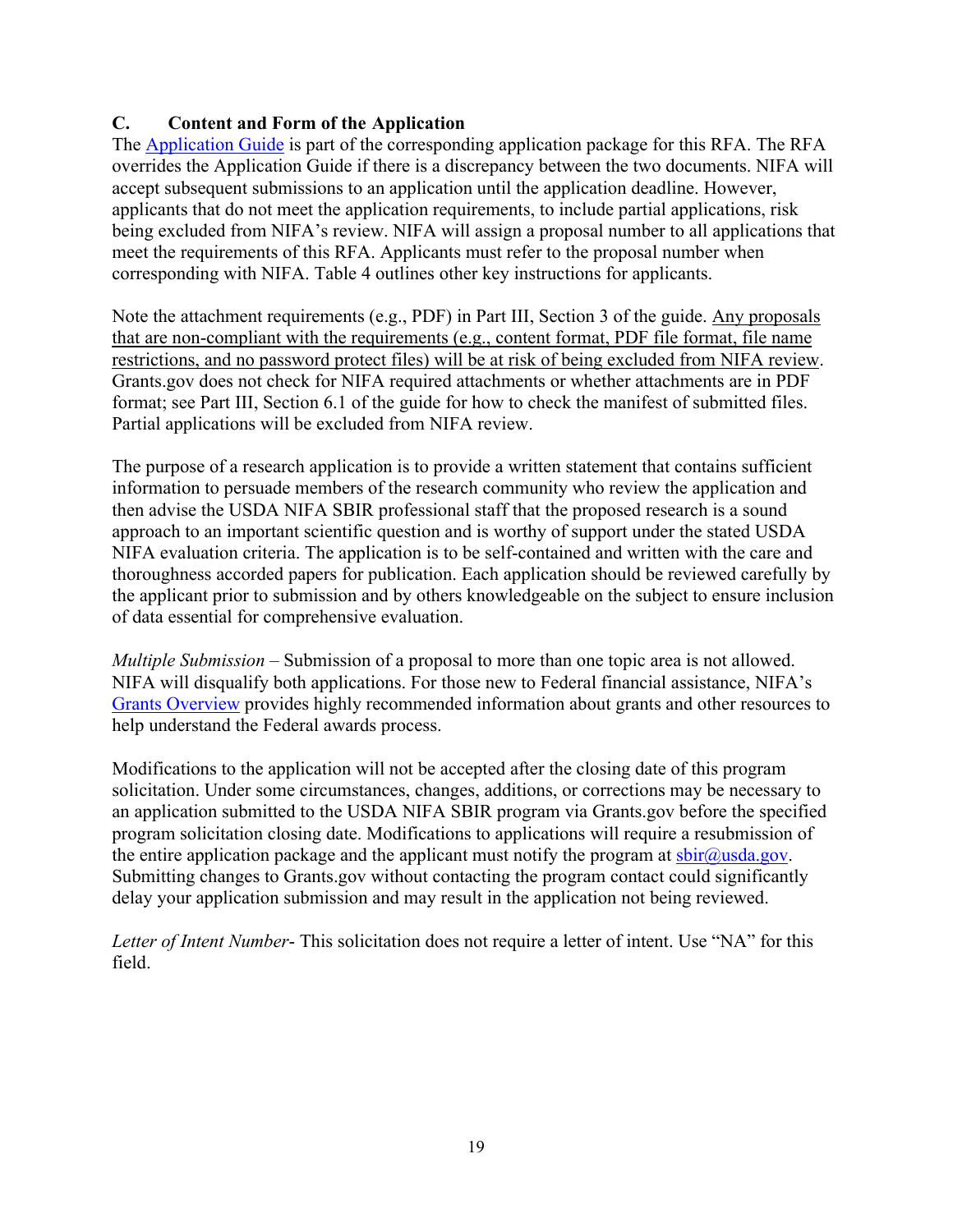# <span id="page-18-0"></span>**C. Content and Form of the Application**

The [Application](https://nifa.usda.gov/resource/nifa-grantsgov-application-guide) Guide is part of the corresponding application package for this RFA. The RFA overrides the Application Guide if there is a discrepancy between the two documents. NIFA will accept subsequent submissions to an application until the application deadline. However, applicants that do not meet the application requirements, to include partial applications, risk being excluded from NIFA's review. NIFA will assign a proposal number to all applications that meet the requirements of this RFA. Applicants must refer to the proposal number when corresponding with NIFA. Table 4 outlines other key instructions for applicants.

Note the attachment requirements (e.g., PDF) in Part III, Section 3 of the guide. Any proposals that are non-compliant with the requirements (e.g., content format, PDF file format, file name restrictions, and no password protect files) will be at risk of being excluded from NIFA review. Grants.gov does not check for NIFA required attachments or whether attachments are in PDF format; see Part III, Section 6.1 of the guide for how to check the manifest of submitted files. Partial applications will be excluded from NIFA review.

The purpose of a research application is to provide a written statement that contains sufficient information to persuade members of the research community who review the application and then advise the USDA NIFA SBIR professional staff that the proposed research is a sound approach to an important scientific question and is worthy of support under the stated USDA NIFA evaluation criteria. The application is to be self-contained and written with the care and thoroughness accorded papers for publication. Each application should be reviewed carefully by the applicant prior to submission and by others knowledgeable on the subject to ensure inclusion of data essential for comprehensive evaluation.

*Multiple Submission* – Submission of a proposal to more than one topic area is not allowed. NIFA will disqualify both applications. For those new to Federal financial assistance, NIFA's Grants [Overview](https://nifa.usda.gov/resource/grants-overview) provides highly recommended information about grants and other resources to help understand the Federal awards process.

Modifications to the application will not be accepted after the closing date of this program solicitation. Under some circumstances, changes, additions, or corrections may be necessary to an application submitted to the USDA NIFA SBIR program via Grants.gov before the specified program solicitation closing date. Modifications to applications will require a resubmission of the entire application package and the applicant must notify the program at  $\frac{\text{b}ir@usda.gov}{\text{c}q}$ . Submitting changes to Grants.gov without contacting the program contact could significantly delay your application submission and may result in the application not being reviewed.

*Letter of Intent Number*- This solicitation does not require a letter of intent. Use "NA" for this field.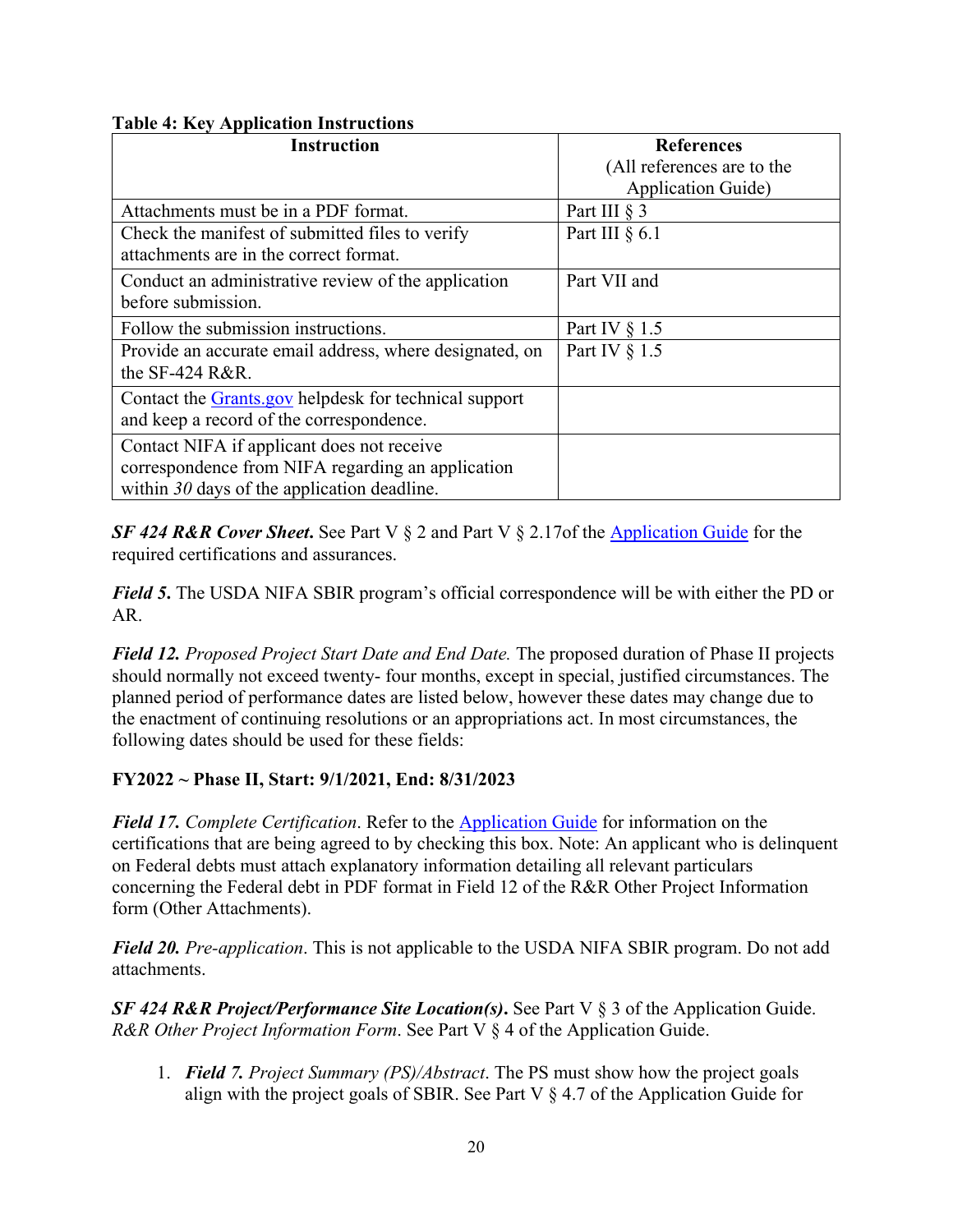## <span id="page-19-0"></span>**Table 4: Key Application Instructions**

| <b>Instruction</b>                                      | <b>References</b>          |
|---------------------------------------------------------|----------------------------|
|                                                         | (All references are to the |
|                                                         | <b>Application Guide)</b>  |
| Attachments must be in a PDF format.                    | Part III $\S$ 3            |
| Check the manifest of submitted files to verify         | Part III $§$ 6.1           |
| attachments are in the correct format.                  |                            |
| Conduct an administrative review of the application     | Part VII and               |
| before submission.                                      |                            |
| Follow the submission instructions.                     | Part IV $\S$ 1.5           |
| Provide an accurate email address, where designated, on | Part IV $\S$ 1.5           |
| the $SF-424$ R&R.                                       |                            |
| Contact the Grants.gov helpdesk for technical support   |                            |
| and keep a record of the correspondence.                |                            |
| Contact NIFA if applicant does not receive              |                            |
| correspondence from NIFA regarding an application       |                            |
| within $30$ days of the application deadline.           |                            |

*SF 424 R&R Cover Sheet***.** See Part V § 2 and Part V § 2.17of the [Application](https://nifa.usda.gov/resource/nifa-grantsgov-application-guide) Guide for the required certifications and assurances.

*Field 5***.** The USDA NIFA SBIR program's official correspondence will be with either the PD or AR.

*Field 12. Proposed Project Start Date and End Date.* The proposed duration of Phase II projects should normally not exceed twenty- four months, except in special, justified circumstances. The planned period of performance dates are listed below, however these dates may change due to the enactment of continuing resolutions or an appropriations act. In most circumstances, the following dates should be used for these fields:

## **FY2022 ~ Phase II, Start: 9/1/2021, End: 8/31/2023**

*Field 17. Complete Certification*. Refer to the [Application](https://nifa.usda.gov/resource/nifa-grantsgov-application-guide) Guide for information on the certifications that are being agreed to by checking this box. Note: An applicant who is delinquent on Federal debts must attach explanatory information detailing all relevant particulars concerning the Federal debt in PDF format in Field 12 of the R&R Other Project Information form (Other Attachments).

*Field 20. Pre-application*. This is not applicable to the USDA NIFA SBIR program. Do not add attachments.

*SF 424 R&R Project/Performance Site Location(s)***.** See Part V § 3 of the Application Guide. *R&R Other Project Information Form*. See Part V § 4 of the Application Guide.

1. *Field 7. Project Summary (PS)/Abstract*. The PS must show how the project goals align with the project goals of SBIR. See Part V  $\S$  4.7 of the Application Guide for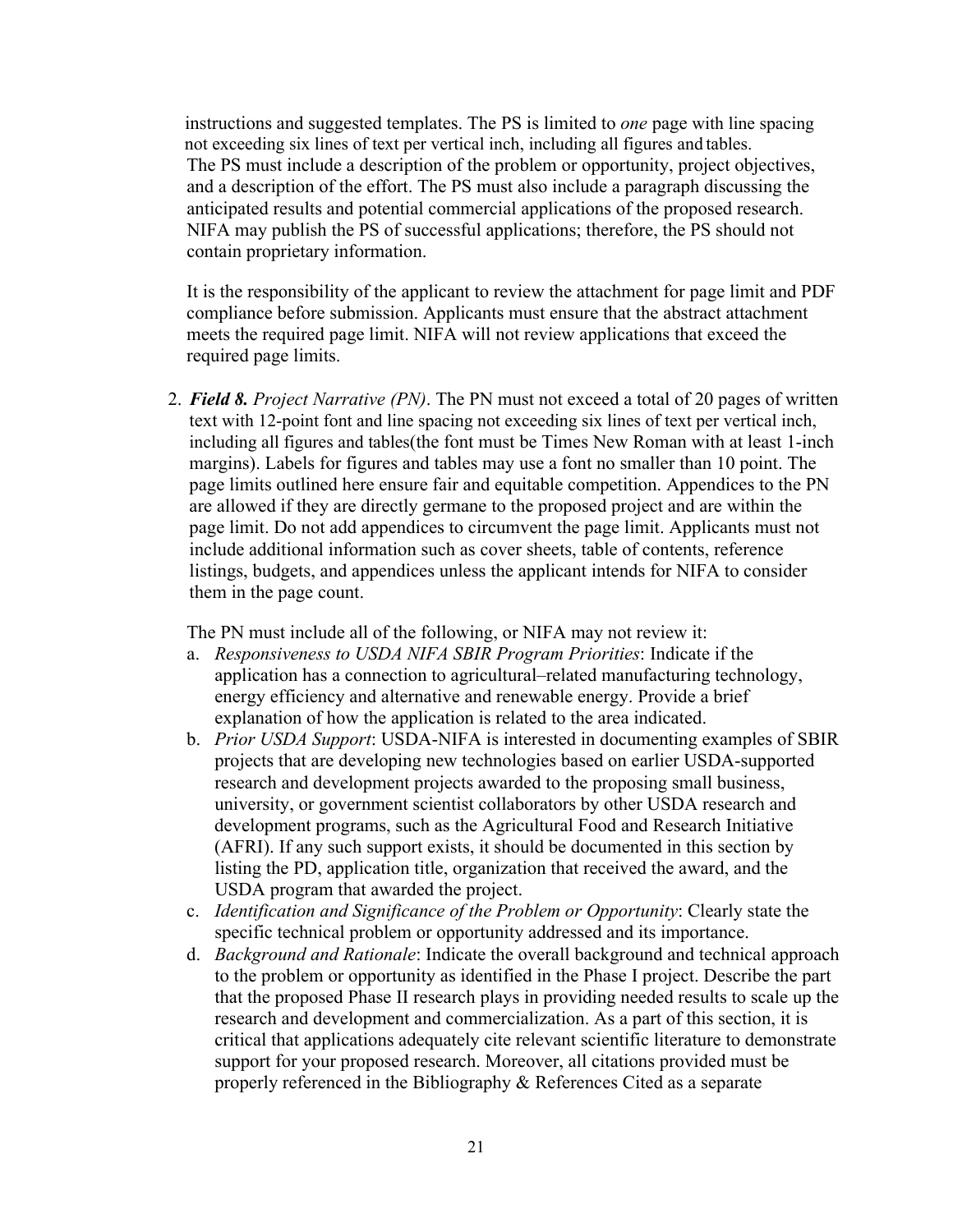instructions and suggested templates. The PS is limited to *one* page with line spacing not exceeding six lines of text per vertical inch, including all figures and tables. The PS must include a description of the problem or opportunity, project objectives, and a description of the effort. The PS must also include a paragraph discussing the anticipated results and potential commercial applications of the proposed research. NIFA may publish the PS of successful applications; therefore, the PS should not contain proprietary information.

It is the responsibility of the applicant to review the attachment for page limit and PDF compliance before submission. Applicants must ensure that the abstract attachment meets the required page limit. NIFA will not review applications that exceed the required page limits.

2. *Field 8. Project Narrative (PN)*. The PN must not exceed a total of 20 pages of written text with 12-point font and line spacing not exceeding six lines of text per vertical inch, including all figures and tables(the font must be Times New Roman with at least 1-inch margins). Labels for figures and tables may use a font no smaller than 10 point. The page limits outlined here ensure fair and equitable competition. Appendices to the PN are allowed if they are directly germane to the proposed project and are within the page limit. Do not add appendices to circumvent the page limit. Applicants must not include additional information such as cover sheets, table of contents, reference listings, budgets, and appendices unless the applicant intends for NIFA to consider them in the page count.

The PN must include all of the following, or NIFA may not review it:

- a. *Responsiveness to USDA NIFA SBIR Program Priorities*: Indicate if the application has a connection to agricultural–related manufacturing technology, energy efficiency and alternative and renewable energy. Provide a brief explanation of how the application is related to the area indicated.
- b. *Prior USDA Support*: USDA-NIFA is interested in documenting examples of SBIR projects that are developing new technologies based on earlier USDA-supported research and development projects awarded to the proposing small business, university, or government scientist collaborators by other USDA research and development programs, such as the Agricultural Food and Research Initiative (AFRI). If any such support exists, it should be documented in this section by listing the PD, application title, organization that received the award, and the USDA program that awarded the project.
- c. *Identification and Significance of the Problem or Opportunity*: Clearly state the specific technical problem or opportunity addressed and its importance.
- d. *Background and Rationale*: Indicate the overall background and technical approach to the problem or opportunity as identified in the Phase I project. Describe the part that the proposed Phase II research plays in providing needed results to scale up the research and development and commercialization. As a part of this section, it is critical that applications adequately cite relevant scientific literature to demonstrate support for your proposed research. Moreover, all citations provided must be properly referenced in the Bibliography & References Cited as a separate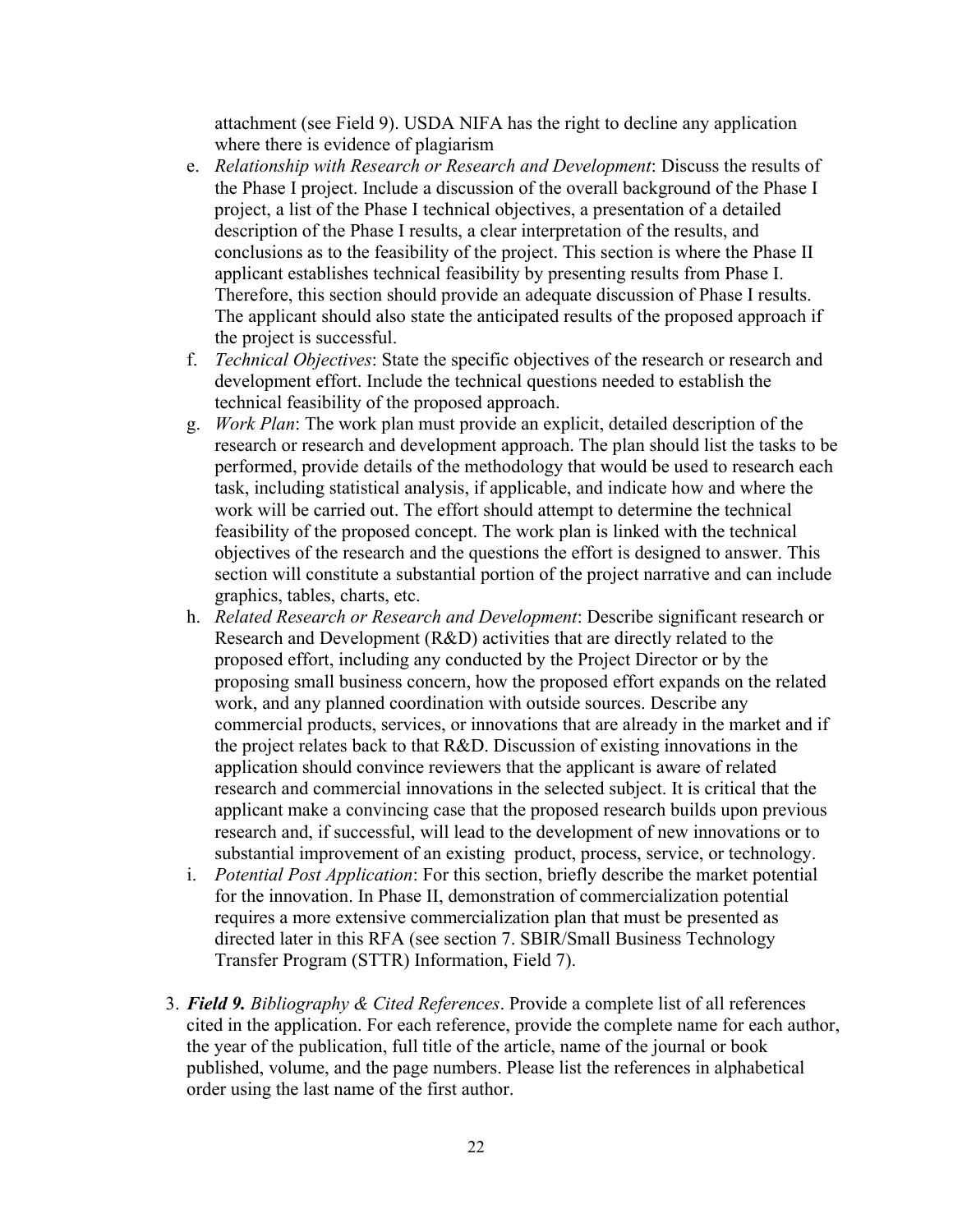attachment (see Field 9). USDA NIFA has the right to decline any application where there is evidence of plagiarism

- e. *Relationship with Research or Research and Development*: Discuss the results of the Phase I project. Include a discussion of the overall background of the Phase I project, a list of the Phase I technical objectives, a presentation of a detailed description of the Phase I results, a clear interpretation of the results, and conclusions as to the feasibility of the project. This section is where the Phase II applicant establishes technical feasibility by presenting results from Phase I. Therefore, this section should provide an adequate discussion of Phase I results. The applicant should also state the anticipated results of the proposed approach if the project is successful.
- f. *Technical Objectives*: State the specific objectives of the research or research and development effort. Include the technical questions needed to establish the technical feasibility of the proposed approach.
- g. *Work Plan*: The work plan must provide an explicit, detailed description of the research or research and development approach. The plan should list the tasks to be performed, provide details of the methodology that would be used to research each task, including statistical analysis, if applicable, and indicate how and where the work will be carried out. The effort should attempt to determine the technical feasibility of the proposed concept. The work plan is linked with the technical objectives of the research and the questions the effort is designed to answer. This section will constitute a substantial portion of the project narrative and can include graphics, tables, charts, etc.
- h. *Related Research or Research and Development*: Describe significant research or Research and Development (R&D) activities that are directly related to the proposed effort, including any conducted by the Project Director or by the proposing small business concern, how the proposed effort expands on the related work, and any planned coordination with outside sources. Describe any commercial products, services, or innovations that are already in the market and if the project relates back to that R&D. Discussion of existing innovations in the application should convince reviewers that the applicant is aware of related research and commercial innovations in the selected subject. It is critical that the applicant make a convincing case that the proposed research builds upon previous research and, if successful, will lead to the development of new innovations or to substantial improvement of an existing product, process, service, or technology.
- i. *Potential Post Application*: For this section, briefly describe the market potential for the innovation. In Phase II, demonstration of commercialization potential requires a more extensive commercialization plan that must be presented as directed later in this RFA (see section 7. SBIR/Small Business Technology Transfer Program (STTR) Information, Field 7).
- 3. *Field 9. Bibliography & Cited References*. Provide a complete list of all references cited in the application. For each reference, provide the complete name for each author, the year of the publication, full title of the article, name of the journal or book published, volume, and the page numbers. Please list the references in alphabetical order using the last name of the first author.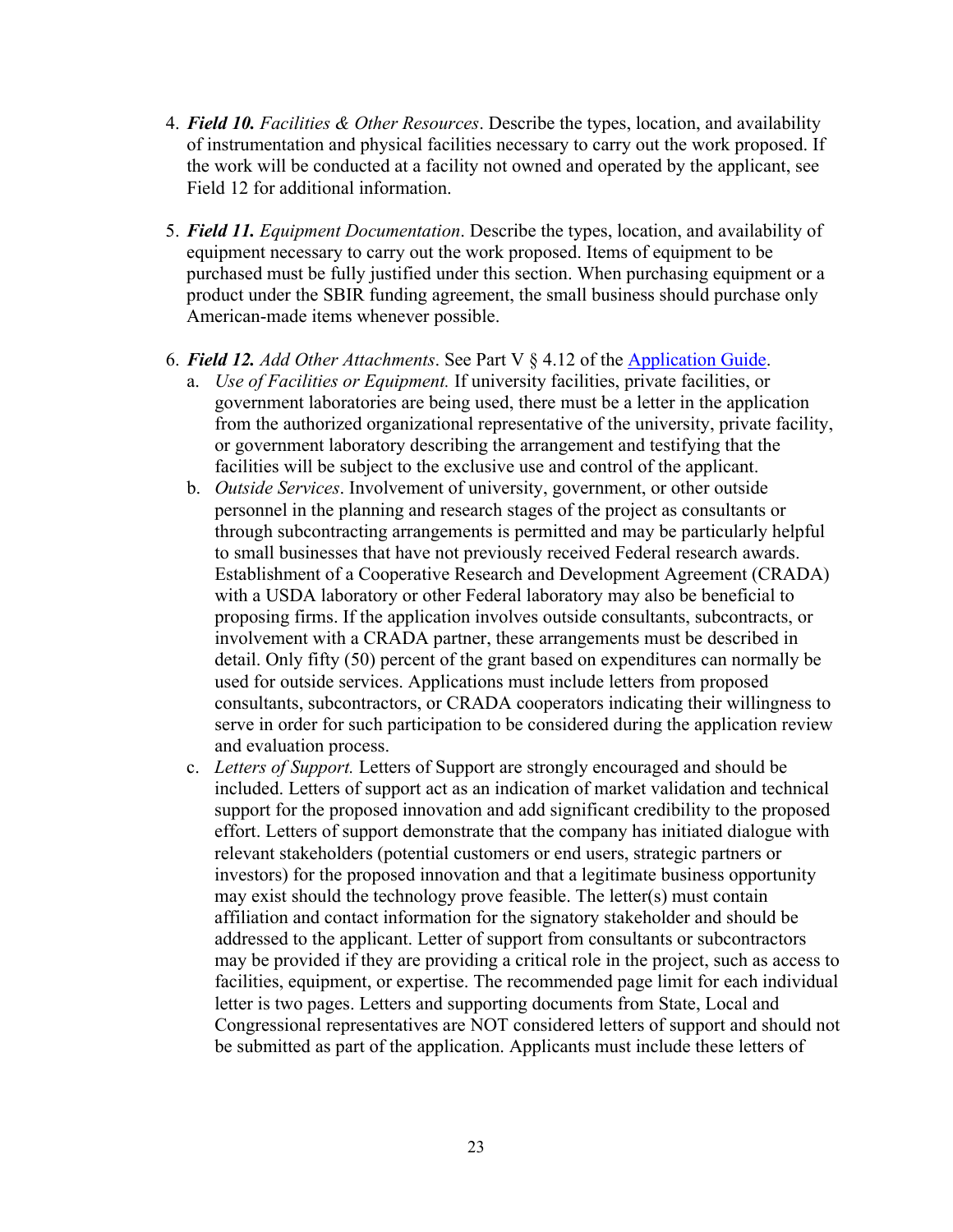- 4. *Field 10. Facilities & Other Resources*. Describe the types, location, and availability of instrumentation and physical facilities necessary to carry out the work proposed. If the work will be conducted at a facility not owned and operated by the applicant, see Field 12 for additional information.
- 5. *Field 11. Equipment Documentation*. Describe the types, location, and availability of equipment necessary to carry out the work proposed. Items of equipment to be purchased must be fully justified under this section. When purchasing equipment or a product under the SBIR funding agreement, the small business should purchase only American-made items whenever possible.
- 6. *Field 12. Add Other Attachments*. See Part V § 4.12 of the [Application](https://nifa.usda.gov/resource/nifa-grantsgov-application-guide) Guide.
	- a. *Use of Facilities or Equipment.* If university facilities, private facilities, or government laboratories are being used, there must be a letter in the application from the authorized organizational representative of the university, private facility, or government laboratory describing the arrangement and testifying that the facilities will be subject to the exclusive use and control of the applicant.
	- b. *Outside Services*. Involvement of university, government, or other outside personnel in the planning and research stages of the project as consultants or through subcontracting arrangements is permitted and may be particularly helpful to small businesses that have not previously received Federal research awards. Establishment of a Cooperative Research and Development Agreement (CRADA) with a USDA laboratory or other Federal laboratory may also be beneficial to proposing firms. If the application involves outside consultants, subcontracts, or involvement with a CRADA partner, these arrangements must be described in detail. Only fifty (50) percent of the grant based on expenditures can normally be used for outside services. Applications must include letters from proposed consultants, subcontractors, or CRADA cooperators indicating their willingness to serve in order for such participation to be considered during the application review and evaluation process.
	- c. *Letters of Support.* Letters of Support are strongly encouraged and should be included. Letters of support act as an indication of market validation and technical support for the proposed innovation and add significant credibility to the proposed effort. Letters of support demonstrate that the company has initiated dialogue with relevant stakeholders (potential customers or end users, strategic partners or investors) for the proposed innovation and that a legitimate business opportunity may exist should the technology prove feasible. The letter(s) must contain affiliation and contact information for the signatory stakeholder and should be addressed to the applicant. Letter of support from consultants or subcontractors may be provided if they are providing a critical role in the project, such as access to facilities, equipment, or expertise. The recommended page limit for each individual letter is two pages. Letters and supporting documents from State, Local and Congressional representatives are NOT considered letters of support and should not be submitted as part of the application. Applicants must include these letters of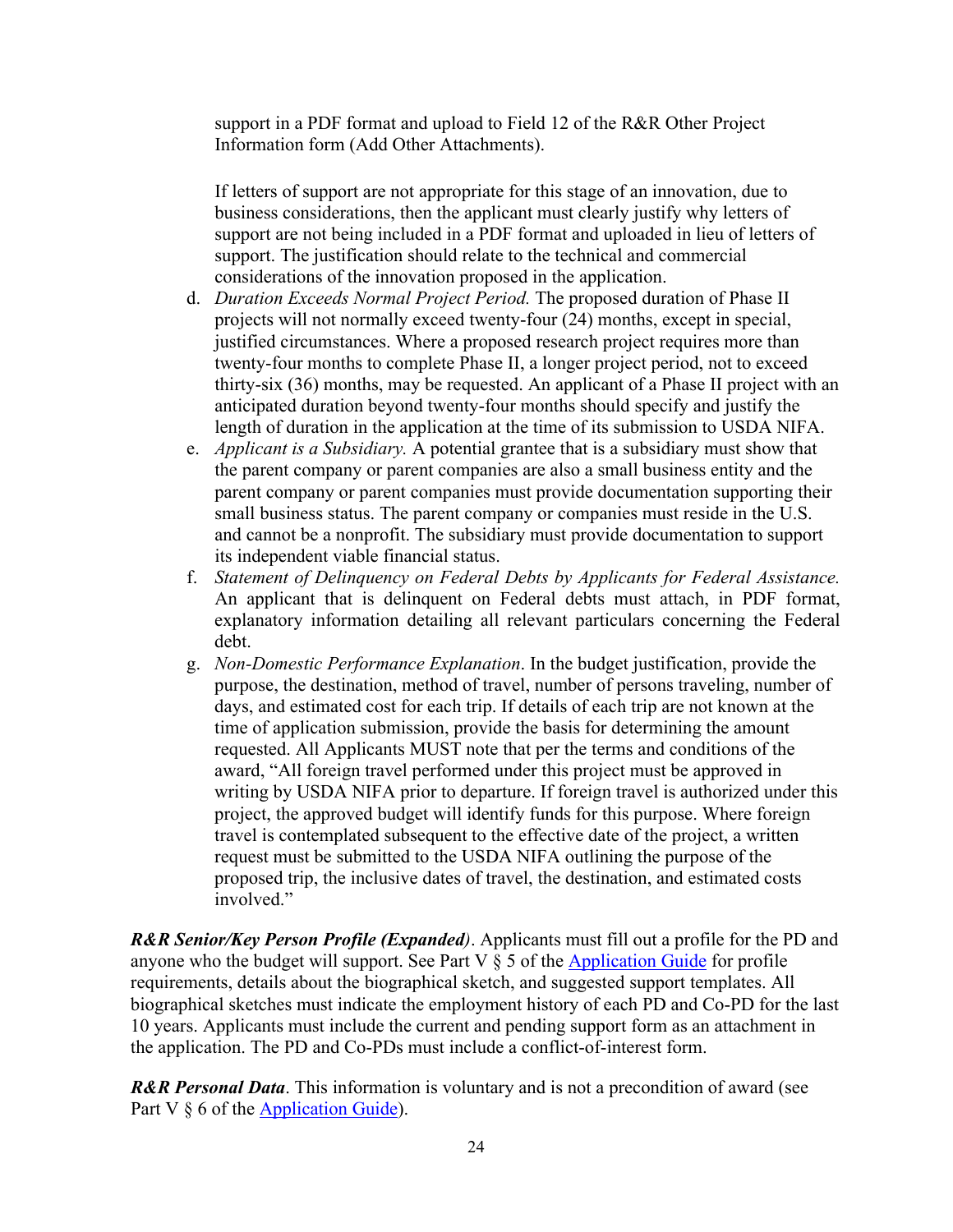support in a PDF format and upload to Field 12 of the R&R Other Project Information form (Add Other Attachments).

If letters of support are not appropriate for this stage of an innovation, due to business considerations, then the applicant must clearly justify why letters of support are not being included in a PDF format and uploaded in lieu of letters of support. The justification should relate to the technical and commercial considerations of the innovation proposed in the application.

- d. *Duration Exceeds Normal Project Period.* The proposed duration of Phase II projects will not normally exceed twenty-four (24) months, except in special, justified circumstances. Where a proposed research project requires more than twenty-four months to complete Phase II, a longer project period, not to exceed thirty-six (36) months, may be requested. An applicant of a Phase II project with an anticipated duration beyond twenty-four months should specify and justify the length of duration in the application at the time of its submission to USDA NIFA.
- e. *Applicant is a Subsidiary.* A potential grantee that is a subsidiary must show that the parent company or parent companies are also a small business entity and the parent company or parent companies must provide documentation supporting their small business status. The parent company or companies must reside in the U.S. and cannot be a nonprofit. The subsidiary must provide documentation to support its independent viable financial status.
- f. *Statement of Delinquency on Federal Debts by Applicants for Federal Assistance.* An applicant that is delinquent on Federal debts must attach, in PDF format, explanatory information detailing all relevant particulars concerning the Federal debt.
- g. *Non-Domestic Performance Explanation*. In the budget justification, provide the purpose, the destination, method of travel, number of persons traveling, number of days, and estimated cost for each trip. If details of each trip are not known at the time of application submission, provide the basis for determining the amount requested. All Applicants MUST note that per the terms and conditions of the award, "All foreign travel performed under this project must be approved in writing by USDA NIFA prior to departure. If foreign travel is authorized under this project, the approved budget will identify funds for this purpose. Where foreign travel is contemplated subsequent to the effective date of the project, a written request must be submitted to the USDA NIFA outlining the purpose of the proposed trip, the inclusive dates of travel, the destination, and estimated costs involved."

*R&R Senior/Key Person Profile (Expanded)*. Applicants must fill out a profile for the PD and anyone who the budget will support. See Part  $V \$  5 of the [Application](https://nifa.usda.gov/resource/nifa-grantsgov-application-guide) Guide for profile requirements, details about the biographical sketch, and suggested support templates. All biographical sketches must indicate the employment history of each PD and Co-PD for the last 10 years. Applicants must include the current and pending support form as an attachment in the application. The PD and Co-PDs must include a conflict-of-interest form.

*R&R Personal Data*. This information is voluntary and is not a precondition of award (see Part V  $\S$  6 of the [Application](https://nifa.usda.gov/resource/nifa-grantsgov-application-guide) Guide).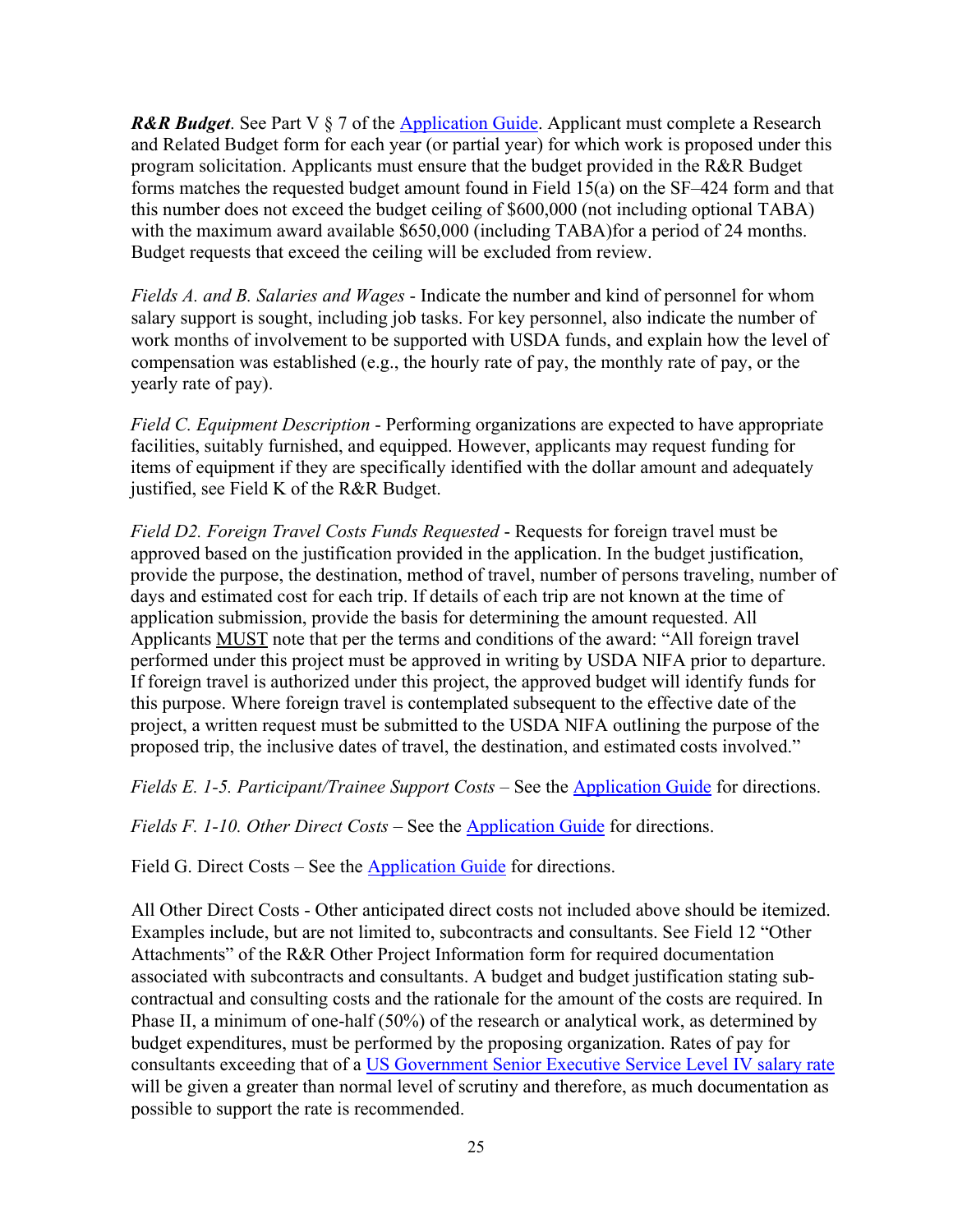*R&R Budget*. See Part V § 7 of the [Application](https://nifa.usda.gov/resource/nifa-grantsgov-application-guide) Guide. Applicant must complete a Research and Related Budget form for each year (or partial year) for which work is proposed under this program solicitation. Applicants must ensure that the budget provided in the R&R Budget forms matches the requested budget amount found in Field 15(a) on the SF–424 form and that this number does not exceed the budget ceiling of \$600,000 (not including optional TABA) with the maximum award available \$650,000 (including TABA)for a period of 24 months. Budget requests that exceed the ceiling will be excluded from review.

*Fields A. and B. Salaries and Wages* - Indicate the number and kind of personnel for whom salary support is sought, including job tasks. For key personnel, also indicate the number of work months of involvement to be supported with USDA funds, and explain how the level of compensation was established (e.g., the hourly rate of pay, the monthly rate of pay, or the yearly rate of pay).

*Field C. Equipment Description* - Performing organizations are expected to have appropriate facilities, suitably furnished, and equipped. However, applicants may request funding for items of equipment if they are specifically identified with the dollar amount and adequately justified, see Field K of the R&R Budget.

*Field D2. Foreign Travel Costs Funds Requested* - Requests for foreign travel must be approved based on the justification provided in the application. In the budget justification, provide the purpose, the destination, method of travel, number of persons traveling, number of days and estimated cost for each trip. If details of each trip are not known at the time of application submission, provide the basis for determining the amount requested. All Applicants MUST note that per the terms and conditions of the award: "All foreign travel performed under this project must be approved in writing by USDA NIFA prior to departure. If foreign travel is authorized under this project, the approved budget will identify funds for this purpose. Where foreign travel is contemplated subsequent to the effective date of the project, a written request must be submitted to the USDA NIFA outlining the purpose of the proposed trip, the inclusive dates of travel, the destination, and estimated costs involved."

*Fields E. 1-5. Participant/Trainee Support Costs* – See the [Application](https://nifa.usda.gov/resource/nifa-grantsgov-application-guide) Guide for directions.

*Fields F. 1-10. Other Direct Costs* – See the [Application](https://nifa.usda.gov/resource/nifa-grantsgov-application-guide) Guide for directions.

Field G. Direct Costs – See the [Application](https://nifa.usda.gov/resource/nifa-grantsgov-application-guide) Guide for directions.

All Other Direct Costs - Other anticipated direct costs not included above should be itemized. Examples include, but are not limited to, subcontracts and consultants. See Field 12 "Other Attachments" of the R&R Other Project Information form for required documentation associated with subcontracts and consultants. A budget and budget justification stating subcontractual and consulting costs and the rationale for the amount of the costs are required. In Phase II, a minimum of one-half (50%) of the research or analytical work, as determined by budget expenditures, must be performed by the proposing organization. Rates of pay for consultants exceeding that of a US [Government](https://www.opm.gov/policy-data-oversight/pay-leave/salaries-wages/salary-tables/16Tables/exec/html/EX.aspx) Senior Executive Service Level IV salary rate will be given a greater than normal level of scrutiny and therefore, as much documentation as possible to support the rate is recommended.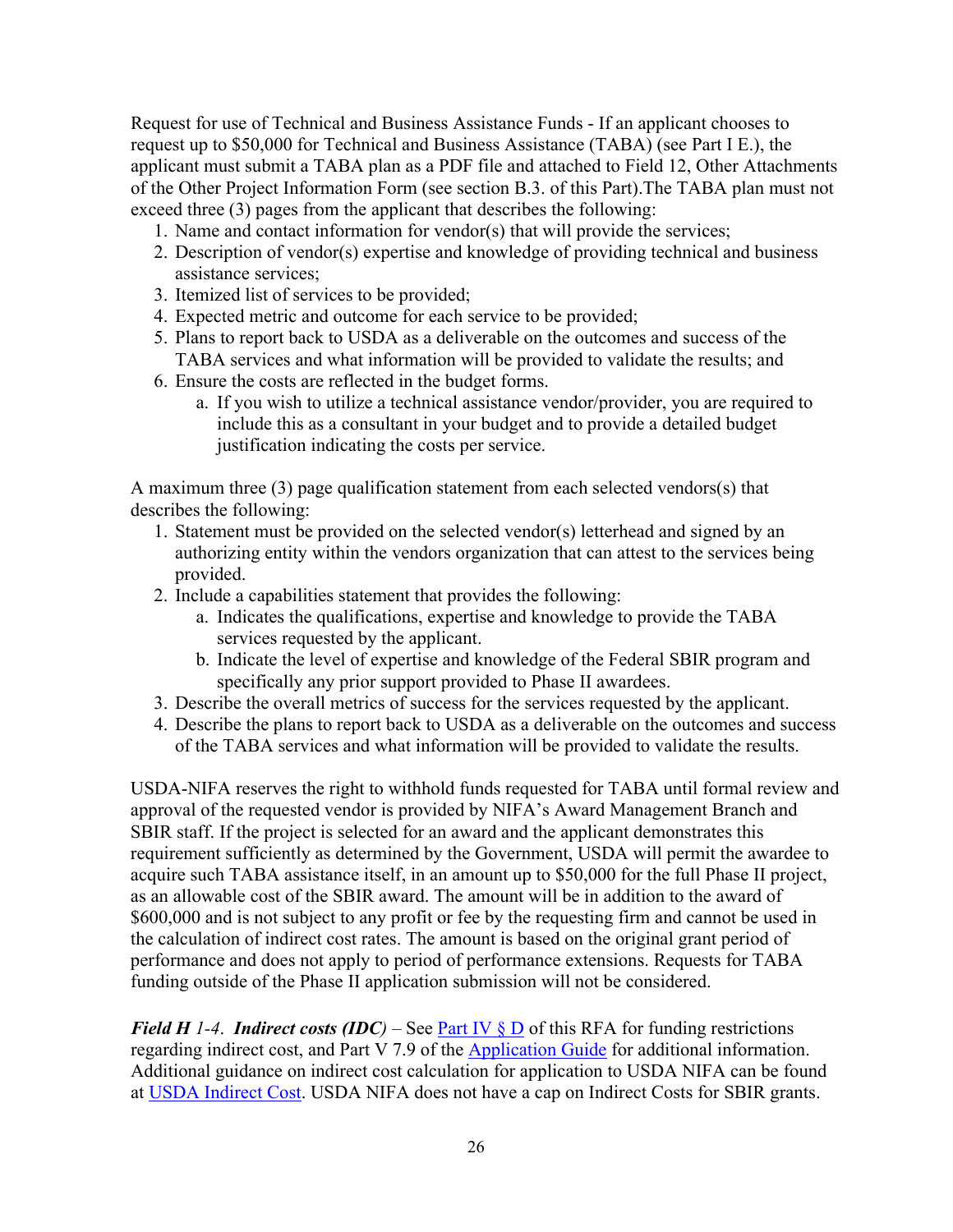Request for use of Technical and Business Assistance Funds - If an applicant chooses to request up to \$50,000 for Technical and Business Assistance (TABA) (see Part I E.), the applicant must submit a TABA plan as a PDF file and attached to Field 12, Other Attachments of the Other Project Information Form (see section B.3. of this Part).The TABA plan must not exceed three (3) pages from the applicant that describes the following:

- 1. Name and contact information for vendor(s) that will provide the services;
- 2. Description of vendor(s) expertise and knowledge of providing technical and business assistance services;
- 3. Itemized list of services to be provided;
- 4. Expected metric and outcome for each service to be provided;
- 5. Plans to report back to USDA as a deliverable on the outcomes and success of the TABA services and what information will be provided to validate the results; and
- 6. Ensure the costs are reflected in the budget forms.
	- a. If you wish to utilize a technical assistance vendor/provider, you are required to include this as a consultant in your budget and to provide a detailed budget justification indicating the costs per service.

A maximum three (3) page qualification statement from each selected vendors(s) that describes the following:

- 1. Statement must be provided on the selected vendor(s) letterhead and signed by an authorizing entity within the vendors organization that can attest to the services being provided.
- 2. Include a capabilities statement that provides the following:
	- a. Indicates the qualifications, expertise and knowledge to provide the TABA services requested by the applicant.
	- b. Indicate the level of expertise and knowledge of the Federal SBIR program and specifically any prior support provided to Phase II awardees.
- 3. Describe the overall metrics of success for the services requested by the applicant.
- 4. Describe the plans to report back to USDA as a deliverable on the outcomes and success of the TABA services and what information will be provided to validate the results.

USDA-NIFA reserves the right to withhold funds requested for TABA until formal review and approval of the requested vendor is provided by NIFA's Award Management Branch and SBIR staff. If the project is selected for an award and the applicant demonstrates this requirement sufficiently as determined by the Government, USDA will permit the awardee to acquire such TABA assistance itself, in an amount up to \$50,000 for the full Phase II project, as an allowable cost of the SBIR award. The amount will be in addition to the award of \$600,000 and is not subject to any profit or fee by the requesting firm and cannot be used in the calculation of indirect cost rates. The amount is based on the original grant period of performance and does not apply to period of performance extensions. Requests for TABA funding outside of the Phase II application submission will not be considered.

*Field H 1-4*. *Indirect costs (IDC)* – See Part IV  $\S$  *D* of this RFA for funding restrictions regarding indirect cost, and Part V 7.9 of the [Application](https://nifa.usda.gov/resource/nifa-grantsgov-application-guide) Guide for additional information. Additional guidance on indirect cost calculation for application to USDA NIFA can be found at USDA [Indirect](https://nifa.usda.gov/indirect-costs) Cost. USDA NIFA does not have a cap on Indirect Costs for SBIR grants.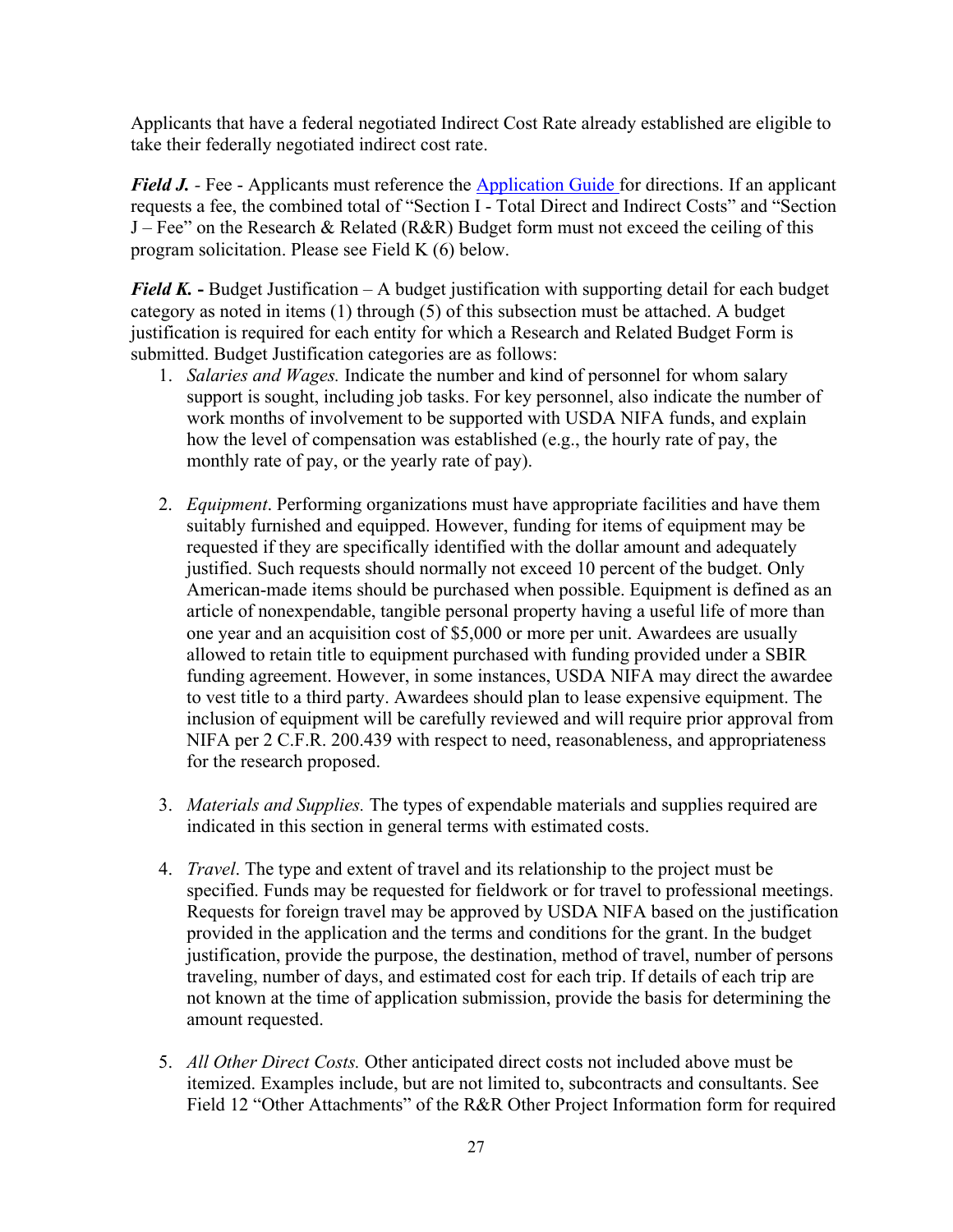Applicants that have a federal negotiated Indirect Cost Rate already established are eligible to take their federally negotiated indirect cost rate.

*Field J.* - Fee - Applicants must reference the **[Application](https://nifa.usda.gov/resource/nifa-grantsgov-application-guide) Guide** for directions. If an applicant requests a fee, the combined total of "Section I - Total Direct and Indirect Costs" and "Section J – Fee" on the Research & Related (R&R) Budget form must not exceed the ceiling of this program solicitation. Please see Field K (6) below.

*Field K.* **-** Budget Justification – A budget justification with supporting detail for each budget category as noted in items (1) through (5) of this subsection must be attached. A budget justification is required for each entity for which a Research and Related Budget Form is submitted. Budget Justification categories are as follows:

- 1. *Salaries and Wages.* Indicate the number and kind of personnel for whom salary support is sought, including job tasks. For key personnel, also indicate the number of work months of involvement to be supported with USDA NIFA funds, and explain how the level of compensation was established (e.g., the hourly rate of pay, the monthly rate of pay, or the yearly rate of pay).
- 2. *Equipment*. Performing organizations must have appropriate facilities and have them suitably furnished and equipped. However, funding for items of equipment may be requested if they are specifically identified with the dollar amount and adequately justified. Such requests should normally not exceed 10 percent of the budget. Only American-made items should be purchased when possible. Equipment is defined as an article of nonexpendable, tangible personal property having a useful life of more than one year and an acquisition cost of \$5,000 or more per unit. Awardees are usually allowed to retain title to equipment purchased with funding provided under a SBIR funding agreement. However, in some instances, USDA NIFA may direct the awardee to vest title to a third party. Awardees should plan to lease expensive equipment. The inclusion of equipment will be carefully reviewed and will require prior approval from NIFA per 2 C.F.R. 200.439 with respect to need, reasonableness, and appropriateness for the research proposed.
- 3. *Materials and Supplies.* The types of expendable materials and supplies required are indicated in this section in general terms with estimated costs.
- 4. *Travel*. The type and extent of travel and its relationship to the project must be specified. Funds may be requested for fieldwork or for travel to professional meetings. Requests for foreign travel may be approved by USDA NIFA based on the justification provided in the application and the terms and conditions for the grant. In the budget justification, provide the purpose, the destination, method of travel, number of persons traveling, number of days, and estimated cost for each trip. If details of each trip are not known at the time of application submission, provide the basis for determining the amount requested.
- 5. *All Other Direct Costs.* Other anticipated direct costs not included above must be itemized. Examples include, but are not limited to, subcontracts and consultants. See Field 12 "Other Attachments" of the R&R Other Project Information form for required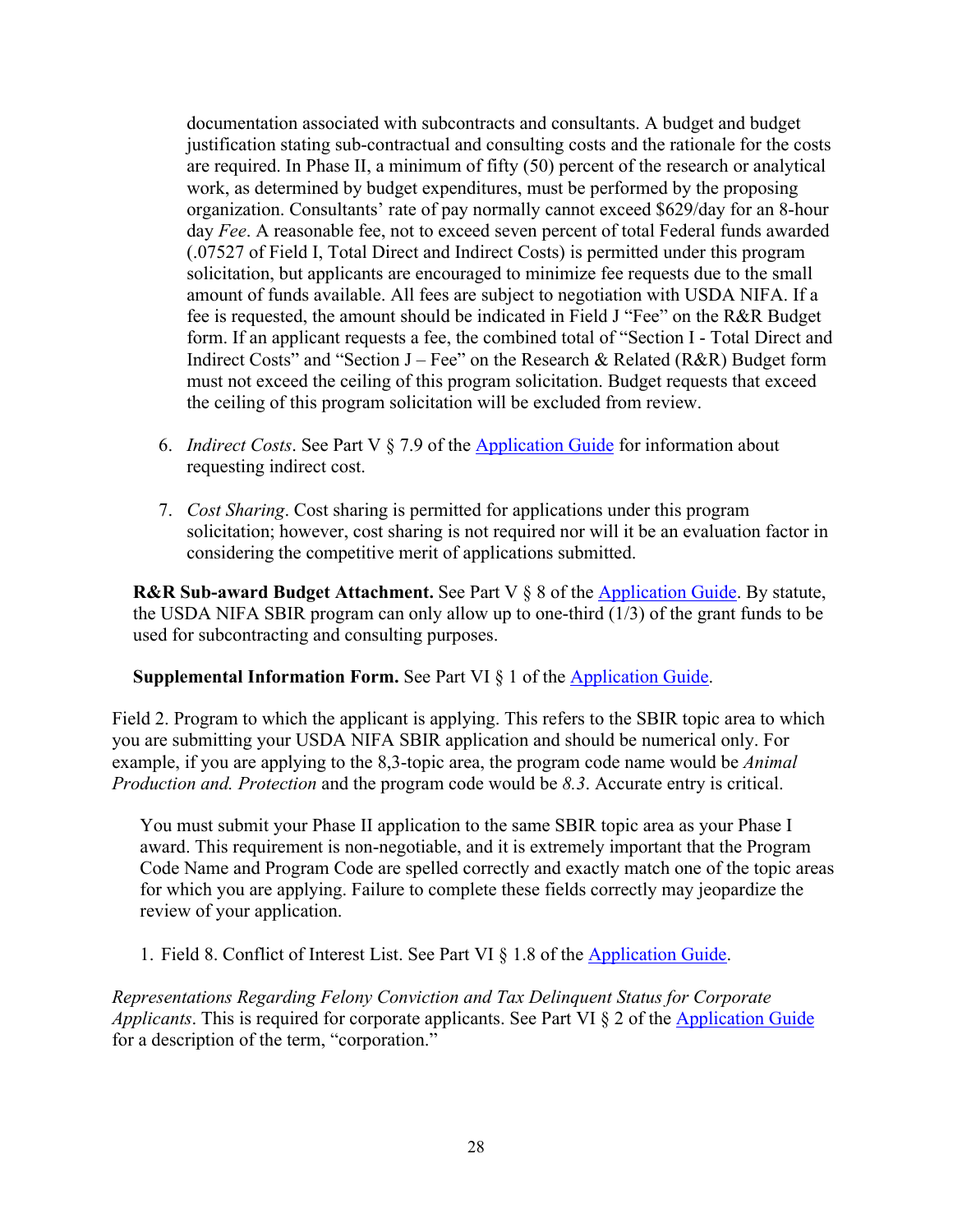documentation associated with subcontracts and consultants. A budget and budget justification stating sub-contractual and consulting costs and the rationale for the costs are required. In Phase II, a minimum of fifty (50) percent of the research or analytical work, as determined by budget expenditures, must be performed by the proposing organization. Consultants' rate of pay normally cannot exceed \$629/day for an 8-hour day *Fee*. A reasonable fee, not to exceed seven percent of total Federal funds awarded (.07527 of Field I, Total Direct and Indirect Costs) is permitted under this program solicitation, but applicants are encouraged to minimize fee requests due to the small amount of funds available. All fees are subject to negotiation with USDA NIFA. If a fee is requested, the amount should be indicated in Field J "Fee" on the R&R Budget form. If an applicant requests a fee, the combined total of "Section I - Total Direct and Indirect Costs" and "Section  $J - Fee$ " on the Research & Related (R&R) Budget form must not exceed the ceiling of this program solicitation. Budget requests that exceed the ceiling of this program solicitation will be excluded from review.

- 6. *Indirect Costs*. See Part V § 7.9 of the [Application](https://nifa.usda.gov/resource/nifa-grantsgov-application-guide) Guide for information about requesting indirect cost.
- 7. *Cost Sharing*. Cost sharing is permitted for applications under this program solicitation; however, cost sharing is not required nor will it be an evaluation factor in considering the competitive merit of applications submitted.

**R&R Sub-award Budget Attachment.** See Part V § 8 of the [Application](https://nifa.usda.gov/resource/nifa-grantsgov-application-guide) Guide. By statute, the USDA NIFA SBIR program can only allow up to one-third (1/3) of the grant funds to be used for subcontracting and consulting purposes.

## **Supplemental Information Form.** See Part VI § 1 of the [Application](https://nifa.usda.gov/resource/nifa-grantsgov-application-guide) Guide.

Field 2. Program to which the applicant is applying. This refers to the SBIR topic area to which you are submitting your USDA NIFA SBIR application and should be numerical only. For example, if you are applying to the 8,3-topic area, the program code name would be *Animal Production and. Protection* and the program code would be *8.3*. Accurate entry is critical.

You must submit your Phase II application to the same SBIR topic area as your Phase I award. This requirement is non-negotiable, and it is extremely important that the Program Code Name and Program Code are spelled correctly and exactly match one of the topic areas for which you are applying. Failure to complete these fields correctly may jeopardize the review of your application.

1. Field 8. Conflict of Interest List. See Part VI § 1.8 of the [Application](https://nifa.usda.gov/resource/nifa-grantsgov-application-guide) Guide.

*Representations Regarding Felony Conviction and Tax Delinquent Status for Corporate Applicants*. This is required for corporate applicants. See Part VI § 2 of the [Application](https://nifa.usda.gov/resource/nifa-grantsgov-application-guide) Guide for a description of the term, "corporation."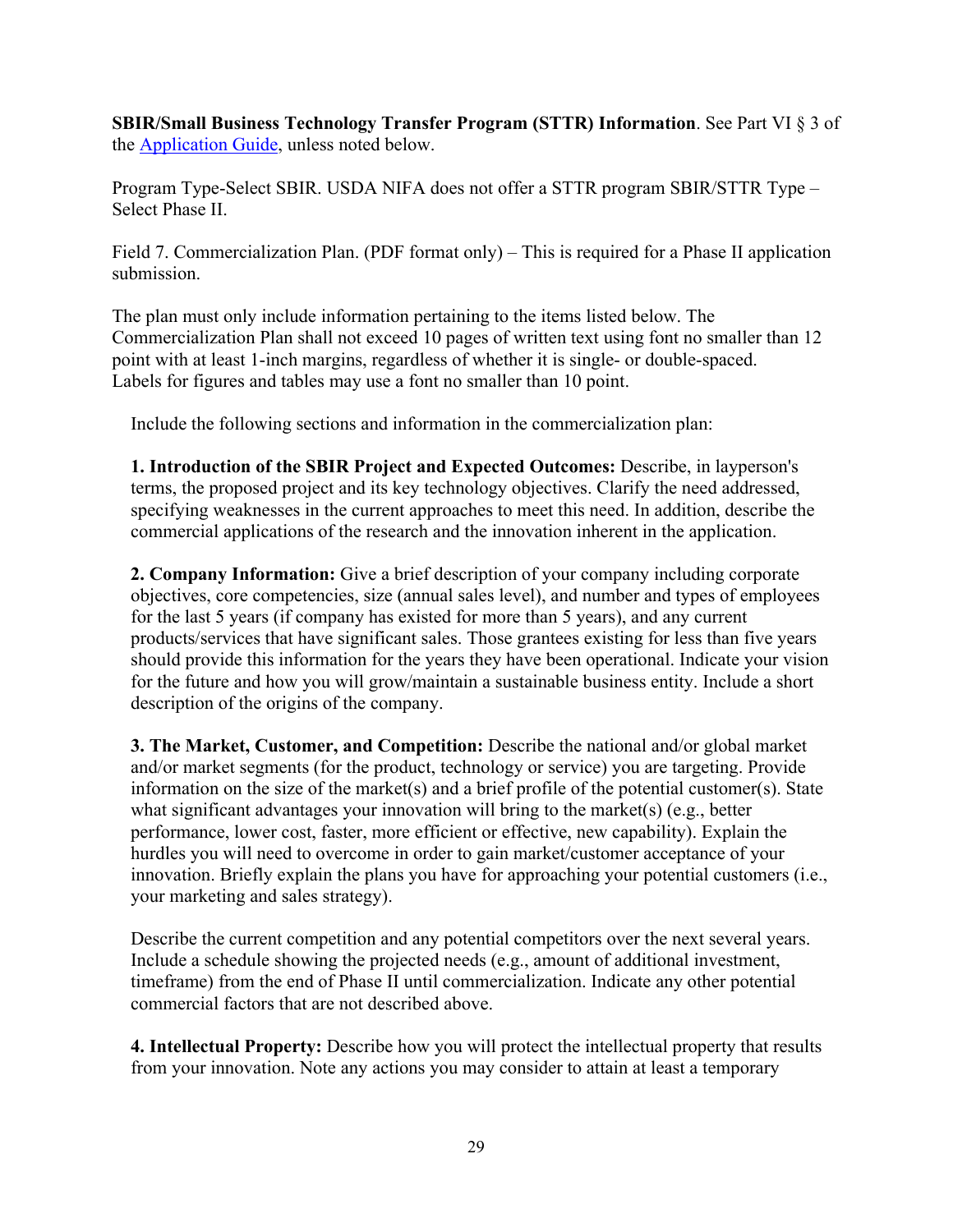**SBIR/Small Business Technology Transfer Program (STTR) Information**. See Part VI § 3 of the [Application](https://nifa.usda.gov/resource/nifa-grantsgov-application-guide) Guide, unless noted below.

Program Type-Select SBIR. USDA NIFA does not offer a STTR program SBIR/STTR Type – Select Phase II.

Field 7. Commercialization Plan. (PDF format only) – This is required for a Phase II application submission.

The plan must only include information pertaining to the items listed below. The Commercialization Plan shall not exceed 10 pages of written text using font no smaller than 12 point with at least 1-inch margins, regardless of whether it is single- or double-spaced. Labels for figures and tables may use a font no smaller than 10 point.

Include the following sections and information in the commercialization plan:

**1. Introduction of the SBIR Project and Expected Outcomes:** Describe, in layperson's terms, the proposed project and its key technology objectives. Clarify the need addressed, specifying weaknesses in the current approaches to meet this need. In addition, describe the commercial applications of the research and the innovation inherent in the application.

**2. Company Information:** Give a brief description of your company including corporate objectives, core competencies, size (annual sales level), and number and types of employees for the last 5 years (if company has existed for more than 5 years), and any current products/services that have significant sales. Those grantees existing for less than five years should provide this information for the years they have been operational. Indicate your vision for the future and how you will grow/maintain a sustainable business entity. Include a short description of the origins of the company.

**3. The Market, Customer, and Competition:** Describe the national and/or global market and/or market segments (for the product, technology or service) you are targeting. Provide information on the size of the market(s) and a brief profile of the potential customer(s). State what significant advantages your innovation will bring to the market(s) (e.g., better performance, lower cost, faster, more efficient or effective, new capability). Explain the hurdles you will need to overcome in order to gain market/customer acceptance of your innovation. Briefly explain the plans you have for approaching your potential customers (i.e., your marketing and sales strategy).

Describe the current competition and any potential competitors over the next several years. Include a schedule showing the projected needs (e.g., amount of additional investment, timeframe) from the end of Phase II until commercialization. Indicate any other potential commercial factors that are not described above.

**4. Intellectual Property:** Describe how you will protect the intellectual property that results from your innovation. Note any actions you may consider to attain at least a temporary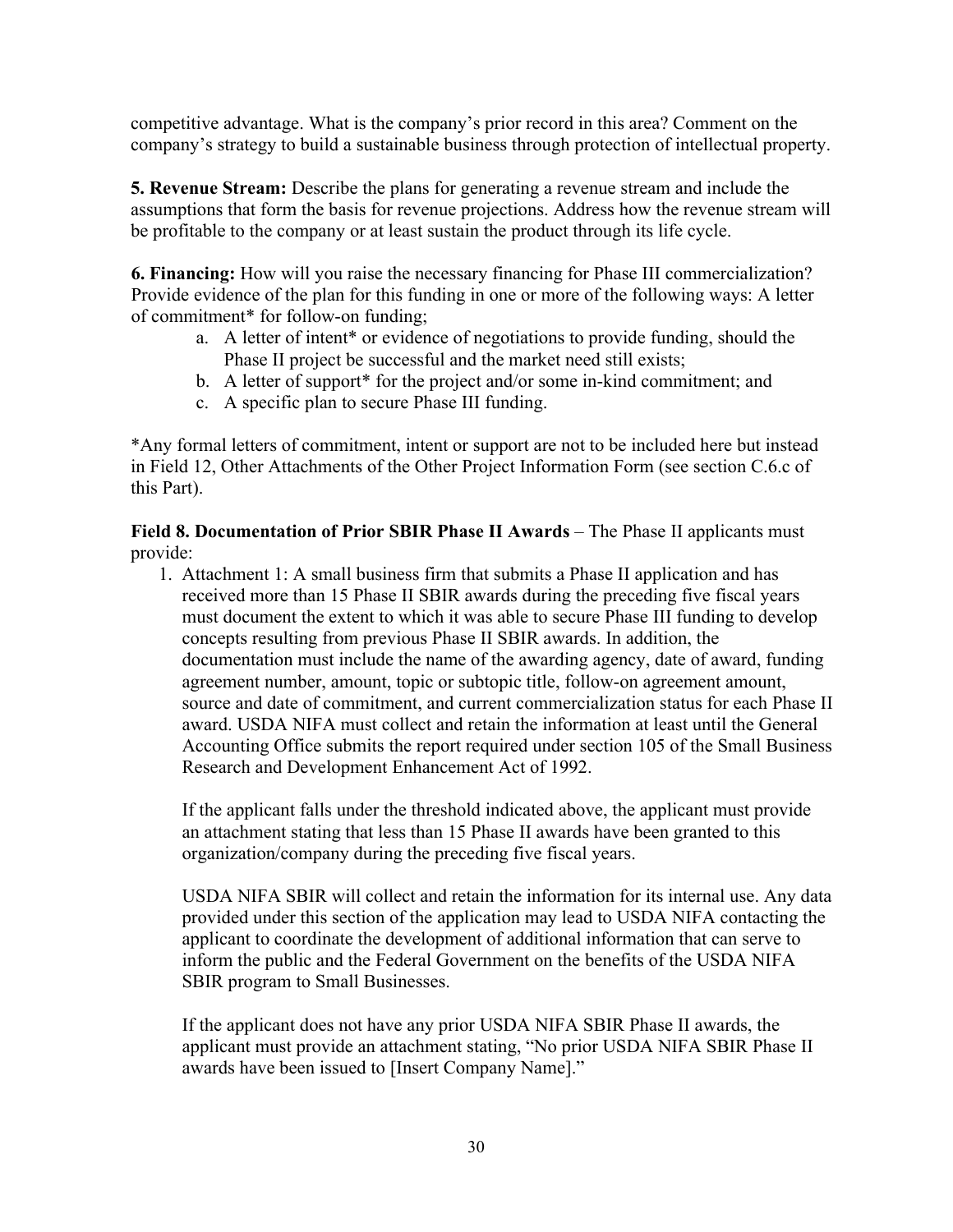competitive advantage. What is the company's prior record in this area? Comment on the company's strategy to build a sustainable business through protection of intellectual property.

**5. Revenue Stream:** Describe the plans for generating a revenue stream and include the assumptions that form the basis for revenue projections. Address how the revenue stream will be profitable to the company or at least sustain the product through its life cycle.

**6. Financing:** How will you raise the necessary financing for Phase III commercialization? Provide evidence of the plan for this funding in one or more of the following ways: A letter of commitment\* for follow-on funding;

- a. A letter of intent\* or evidence of negotiations to provide funding, should the Phase II project be successful and the market need still exists;
- b. A letter of support<sup>\*</sup> for the project and/or some in-kind commitment; and
- c. A specific plan to secure Phase III funding.

\*Any formal letters of commitment, intent or support are not to be included here but instead in Field 12, Other Attachments of the Other Project Information Form (see section C.6.c of this Part).

**Field 8. Documentation of Prior SBIR Phase II Awards** – The Phase II applicants must provide:

1. Attachment 1: A small business firm that submits a Phase II application and has received more than 15 Phase II SBIR awards during the preceding five fiscal years must document the extent to which it was able to secure Phase III funding to develop concepts resulting from previous Phase II SBIR awards. In addition, the documentation must include the name of the awarding agency, date of award, funding agreement number, amount, topic or subtopic title, follow-on agreement amount, source and date of commitment, and current commercialization status for each Phase II award. USDA NIFA must collect and retain the information at least until the General Accounting Office submits the report required under section 105 of the Small Business Research and Development Enhancement Act of 1992.

If the applicant falls under the threshold indicated above, the applicant must provide an attachment stating that less than 15 Phase II awards have been granted to this organization/company during the preceding five fiscal years.

USDA NIFA SBIR will collect and retain the information for its internal use. Any data provided under this section of the application may lead to USDA NIFA contacting the applicant to coordinate the development of additional information that can serve to inform the public and the Federal Government on the benefits of the USDA NIFA SBIR program to Small Businesses.

If the applicant does not have any prior USDA NIFA SBIR Phase II awards, the applicant must provide an attachment stating, "No prior USDA NIFA SBIR Phase II awards have been issued to [Insert Company Name]."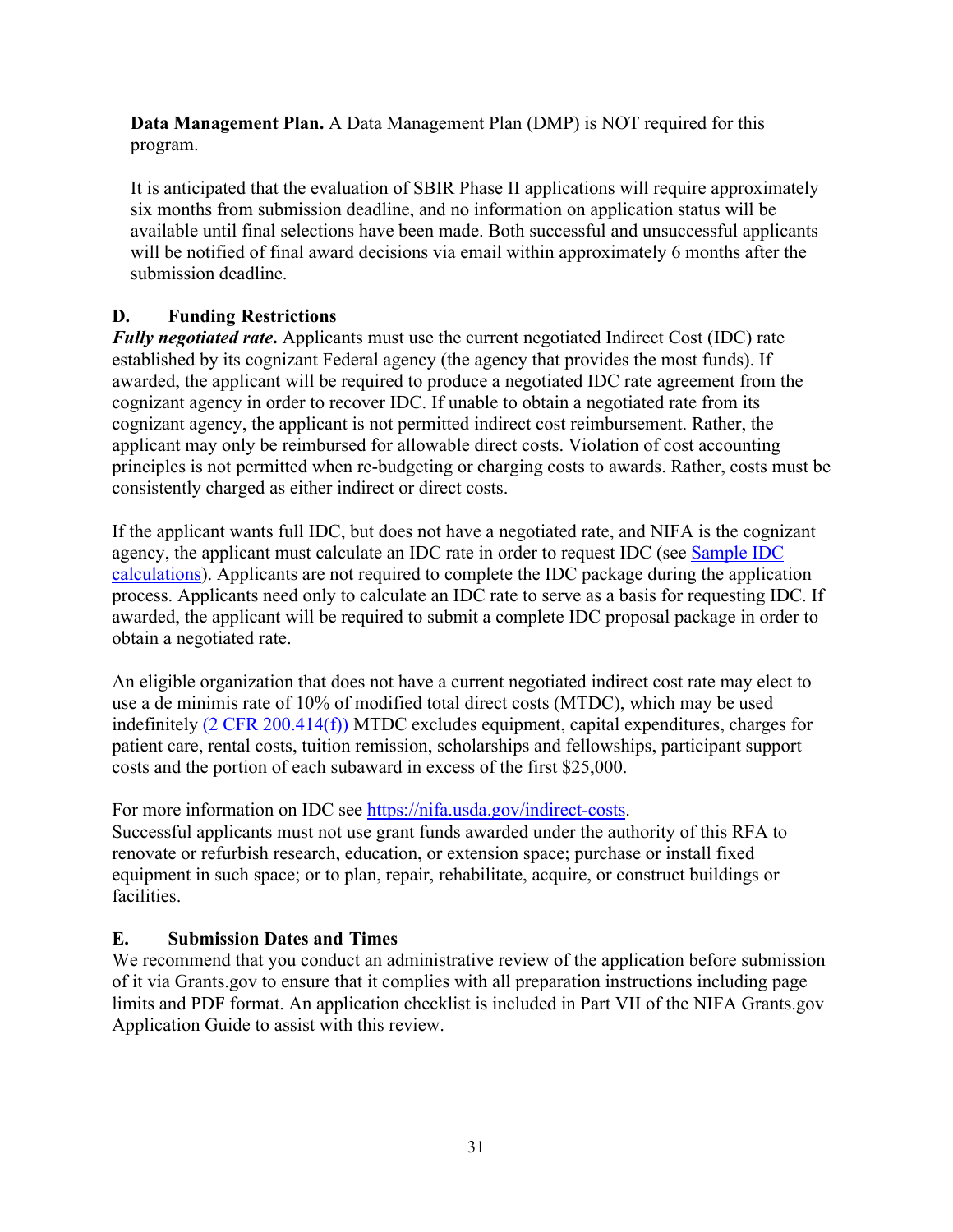**Data Management Plan.** A Data Management Plan (DMP) is NOT required for this program.

It is anticipated that the evaluation of SBIR Phase II applications will require approximately six months from submission deadline, and no information on application status will be available until final selections have been made. Both successful and unsuccessful applicants will be notified of final award decisions via email within approximately 6 months after the submission deadline.

# <span id="page-30-0"></span>**D. Funding Restrictions**

*Fully negotiated rate***.** Applicants must use the current negotiated Indirect Cost (IDC) rate established by its cognizant Federal agency (the agency that provides the most funds). If awarded, the applicant will be required to produce a negotiated IDC rate agreement from the cognizant agency in order to recover IDC. If unable to obtain a negotiated rate from its cognizant agency, the applicant is not permitted indirect cost reimbursement. Rather, the applicant may only be reimbursed for allowable direct costs. Violation of cost accounting principles is not permitted when re-budgeting or charging costs to awards. Rather, costs must be consistently charged as either indirect or direct costs.

If the applicant wants full IDC, but does not have a negotiated rate, and NIFA is the cognizant agency, the applicant must calculate an IDC rate in order to request IDC (see [Sample](https://nifa.usda.gov/indirect-costs) IDC [calculations\)](https://nifa.usda.gov/indirect-costs). Applicants are not required to complete the IDC package during the application process. Applicants need only to calculate an IDC rate to serve as a basis for requesting IDC. If awarded, the applicant will be required to submit a complete IDC proposal package in order to obtain a negotiated rate.

An eligible organization that does not have a current negotiated indirect cost rate may elect to use a de minimis rate of 10% of modified total direct costs (MTDC), which may be used indefinitely (2 CFR [200.414\(f\)\)](https://www.ecfr.gov/current/title-2/subtitle-A/chapter-II/part-200/subpart-E/subject-group-ECFRd93f2a98b1f6455/section-200.414#p-200.414(f)) MTDC excludes equipment, capital expenditures, charges for patient care, rental costs, tuition remission, scholarships and fellowships, participant support costs and the portion of each subaward in excess of the first \$25,000.

For more information on IDC see [https://nifa.usda.gov/indirect-costs.](https://nifa.usda.gov/indirect-costs)

Successful applicants must not use grant funds awarded under the authority of this RFA to renovate or refurbish research, education, or extension space; purchase or install fixed equipment in such space; or to plan, repair, rehabilitate, acquire, or construct buildings or facilities.

# <span id="page-30-1"></span>**E. Submission Dates and Times**

We recommend that you conduct an administrative review of the application before submission of it via Grants.gov to ensure that it complies with all preparation instructions including page limits and PDF format. An application checklist is included in Part VII of the NIFA Grants.gov Application Guide to assist with this review.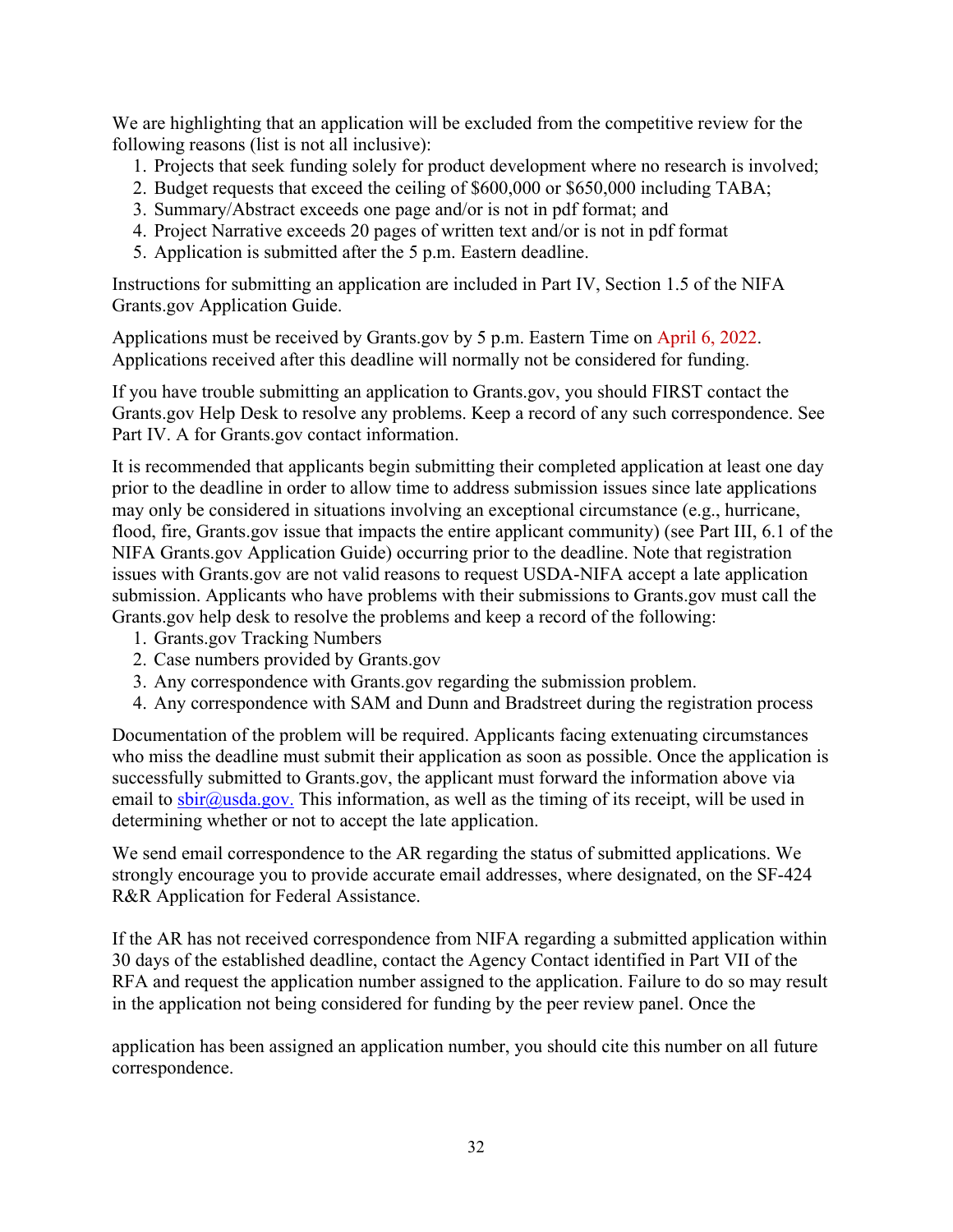We are highlighting that an application will be excluded from the competitive review for the following reasons (list is not all inclusive):

- 1. Projects that seek funding solely for product development where no research is involved;
- 2. Budget requests that exceed the ceiling of \$600,000 or \$650,000 including TABA;
- 3. Summary/Abstract exceeds one page and/or is not in pdf format; and
- 4. Project Narrative exceeds 20 pages of written text and/or is not in pdf format
- 5. Application is submitted after the 5 p.m. Eastern deadline.

Instructions for submitting an application are included in Part IV, Section 1.5 of the NIFA Grants.gov Application Guide.

Applications must be received by Grants.gov by 5 p.m. Eastern Time on April 6, 2022. Applications received after this deadline will normally not be considered for funding.

If you have trouble submitting an application to Grants.gov, you should FIRST contact the Grants.gov Help Desk to resolve any problems. Keep a record of any such correspondence. See Part IV. A for Grants.gov contact information.

It is recommended that applicants begin submitting their completed application at least one day prior to the deadline in order to allow time to address submission issues since late applications may only be considered in situations involving an exceptional circumstance (e.g., hurricane, flood, fire, Grants.gov issue that impacts the entire applicant community) (see Part III, 6.1 of the NIFA Grants.gov Application Guide) occurring prior to the deadline. Note that registration issues with Grants.gov are not valid reasons to request USDA-NIFA accept a late application submission. Applicants who have problems with their submissions to Grants.gov must call the Grants.gov help desk to resolve the problems and keep a record of the following:

- 1. Grants.gov Tracking Numbers
- 2. Case numbers provided by Grants.gov
- 3. Any correspondence with Grants.gov regarding the submission problem.
- 4. Any correspondence with SAM and Dunn and Bradstreet during the registration process

Documentation of the problem will be required. Applicants facing extenuating circumstances who miss the deadline must submit their application as soon as possible. Once the application is successfully submitted to Grants.gov, the applicant must forward the information above via email to  $\text{sbir@usda.gov}$ . This information, as well as the timing of its receipt, will be used in determining whether or not to accept the late application.

We send email correspondence to the AR regarding the status of submitted applications. We strongly encourage you to provide accurate email addresses, where designated, on the SF-424 R&R Application for Federal Assistance.

If the AR has not received correspondence from NIFA regarding a submitted application within 30 days of the established deadline, contact the Agency Contact identified in Part VII of the RFA and request the application number assigned to the application. Failure to do so may result in the application not being considered for funding by the peer review panel. Once the

application has been assigned an application number, you should cite this number on all future correspondence.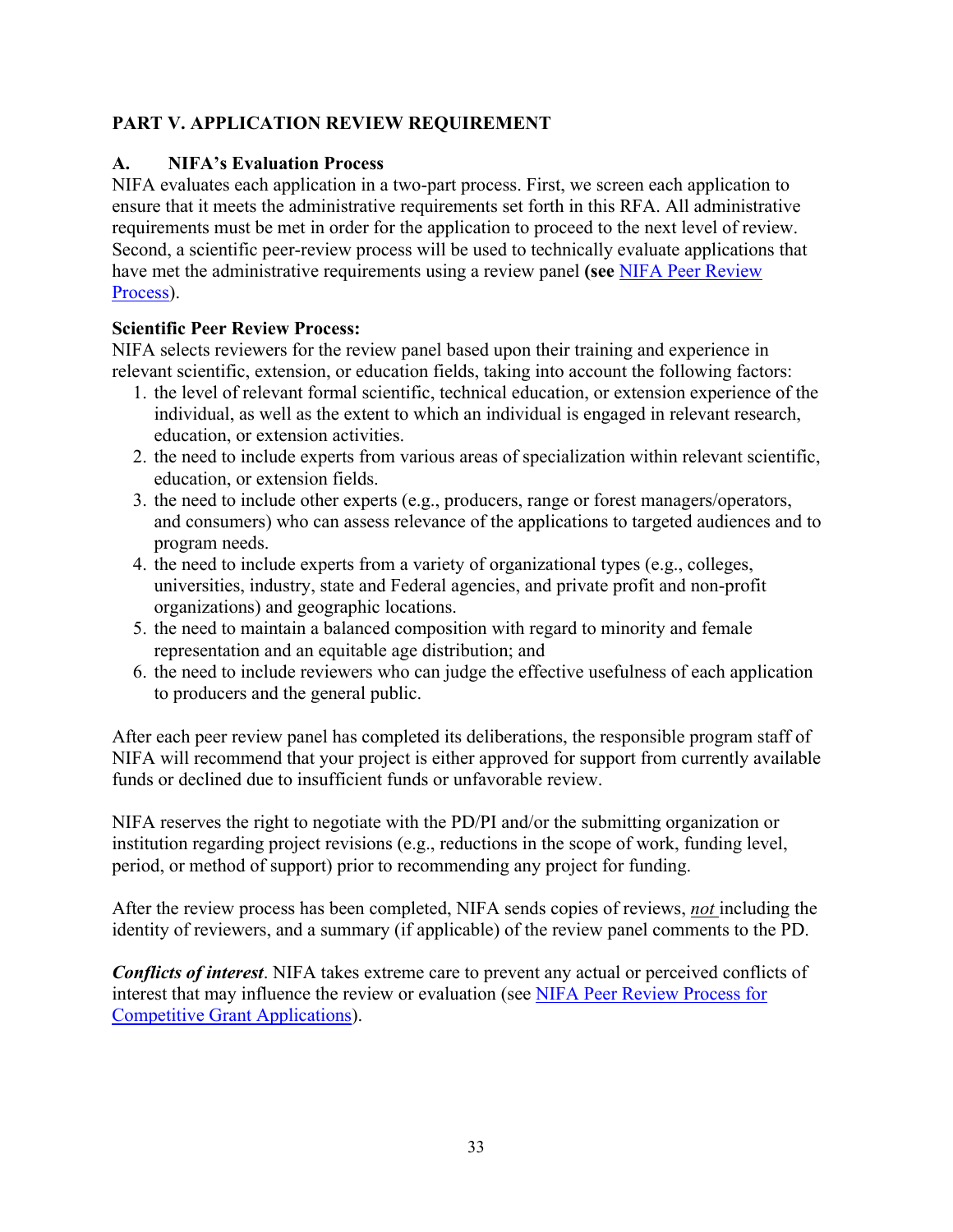# <span id="page-32-0"></span>**PART V. APPLICATION REVIEW REQUIREMENT**

## <span id="page-32-1"></span>**A. NIFA's Evaluation Process**

NIFA evaluates each application in a two-part process. First, we screen each application to ensure that it meets the administrative requirements set forth in this RFA. All administrative requirements must be met in order for the application to proceed to the next level of review. Second, a scientific peer-review process will be used to technically evaluate applications that have met the administrative requirements using a review panel **(see** [NIFA Peer Review](https://nifa.usda.gov/sites/default/files/resource/NIFA-Peer-Review-Process-for-Competitive-Grant-Applications_0.pdf)  [Process\)](https://nifa.usda.gov/sites/default/files/resource/NIFA-Peer-Review-Process-for-Competitive-Grant-Applications_0.pdf).

## **Scientific Peer Review Process:**

NIFA selects reviewers for the review panel based upon their training and experience in relevant scientific, extension, or education fields, taking into account the following factors:

- 1. the level of relevant formal scientific, technical education, or extension experience of the individual, as well as the extent to which an individual is engaged in relevant research, education, or extension activities.
- 2. the need to include experts from various areas of specialization within relevant scientific, education, or extension fields.
- 3. the need to include other experts (e.g., producers, range or forest managers/operators, and consumers) who can assess relevance of the applications to targeted audiences and to program needs.
- 4. the need to include experts from a variety of organizational types (e.g., colleges, universities, industry, state and Federal agencies, and private profit and non-profit organizations) and geographic locations.
- 5. the need to maintain a balanced composition with regard to minority and female representation and an equitable age distribution; and
- 6. the need to include reviewers who can judge the effective usefulness of each application to producers and the general public.

After each peer review panel has completed its deliberations, the responsible program staff of NIFA will recommend that your project is either approved for support from currently available funds or declined due to insufficient funds or unfavorable review.

NIFA reserves the right to negotiate with the PD/PI and/or the submitting organization or institution regarding project revisions (e.g., reductions in the scope of work, funding level, period, or method of support) prior to recommending any project for funding.

After the review process has been completed, NIFA sends copies of reviews, *not* including the identity of reviewers, and a summary (if applicable) of the review panel comments to the PD.

*Conflicts of interest*. NIFA takes extreme care to prevent any actual or perceived conflicts of interest that may influence the review or evaluation (see [NIFA Peer Review Process for](https://nifa.usda.gov/resource/nifa-peer-review-process-competitive-grant-applications)  [Competitive Grant Applications\)](https://nifa.usda.gov/resource/nifa-peer-review-process-competitive-grant-applications).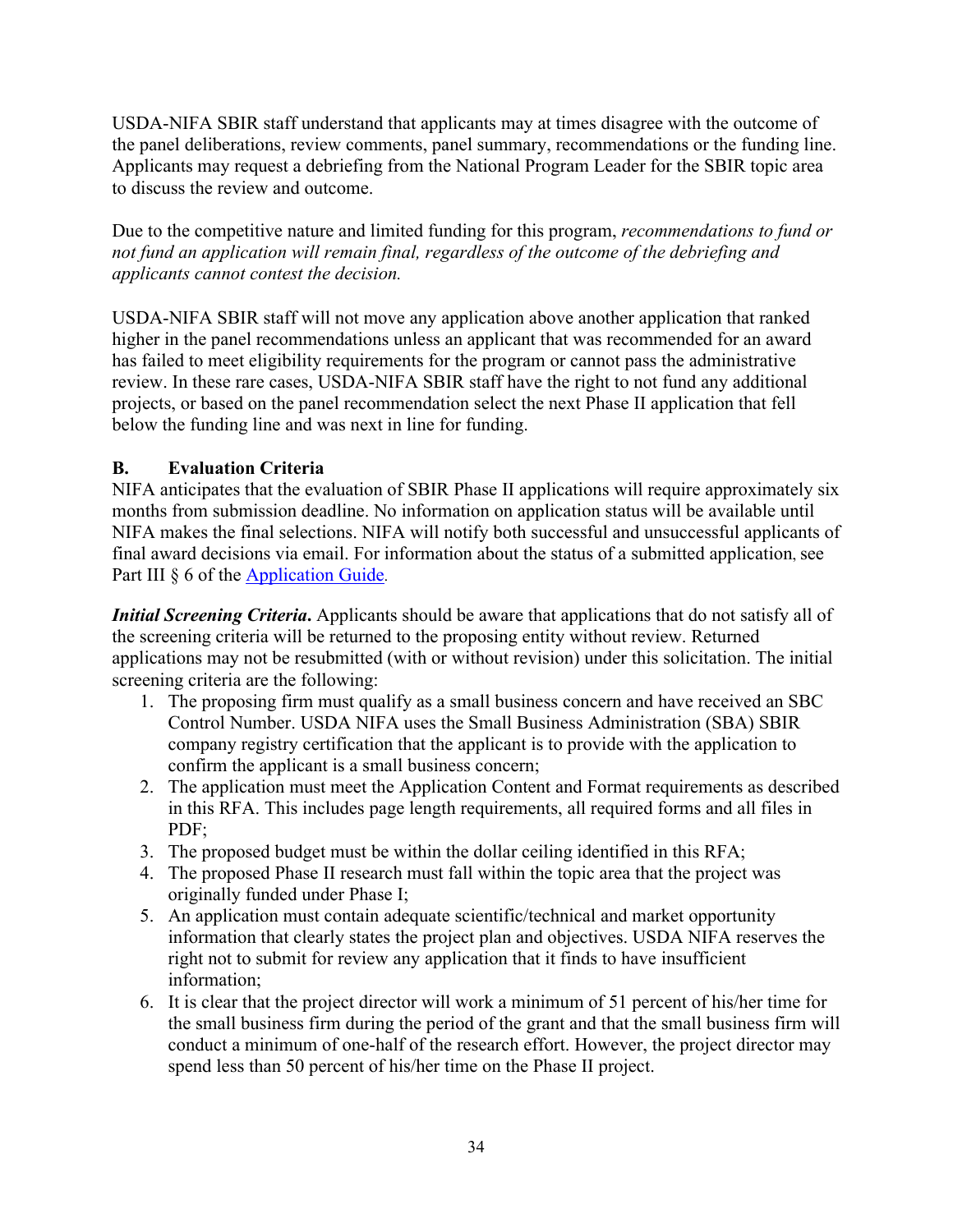USDA-NIFA SBIR staff understand that applicants may at times disagree with the outcome of the panel deliberations, review comments, panel summary, recommendations or the funding line. Applicants may request a debriefing from the National Program Leader for the SBIR topic area to discuss the review and outcome.

Due to the competitive nature and limited funding for this program, *recommendations to fund or not fund an application will remain final, regardless of the outcome of the debriefing and applicants cannot contest the decision.*

USDA-NIFA SBIR staff will not move any application above another application that ranked higher in the panel recommendations unless an applicant that was recommended for an award has failed to meet eligibility requirements for the program or cannot pass the administrative review. In these rare cases, USDA-NIFA SBIR staff have the right to not fund any additional projects, or based on the panel recommendation select the next Phase II application that fell below the funding line and was next in line for funding.

# **B. Evaluation Criteria**

NIFA anticipates that the evaluation of SBIR Phase II applications will require approximately six months from submission deadline. No information on application status will be available until NIFA makes the final selections. NIFA will notify both successful and unsuccessful applicants of final award decisions via email. For information about the status of a submitted application, see Part III  $\delta$  6 of the [Application](https://nifa.usda.gov/resource/nifa-grantsgov-application-guide) Guid[e.](https://nifa.usda.gov/resource/nifa-grantsgov-application-guide)

*Initial Screening Criteria***.** Applicants should be aware that applications that do not satisfy all of the screening criteria will be returned to the proposing entity without review. Returned applications may not be resubmitted (with or without revision) under this solicitation. The initial screening criteria are the following:

- 1. The proposing firm must qualify as a small business concern and have received an SBC Control Number. USDA NIFA uses the Small Business Administration (SBA) SBIR company registry certification that the applicant is to provide with the application to confirm the applicant is a small business concern;
- 2. The application must meet the Application Content and Format requirements as described in this RFA. This includes page length requirements, all required forms and all files in PDF;
- 3. The proposed budget must be within the dollar ceiling identified in this RFA;
- 4. The proposed Phase II research must fall within the topic area that the project was originally funded under Phase I;
- 5. An application must contain adequate scientific/technical and market opportunity information that clearly states the project plan and objectives. USDA NIFA reserves the right not to submit for review any application that it finds to have insufficient information;
- 6. It is clear that the project director will work a minimum of 51 percent of his/her time for the small business firm during the period of the grant and that the small business firm will conduct a minimum of one-half of the research effort. However, the project director may spend less than 50 percent of his/her time on the Phase II project.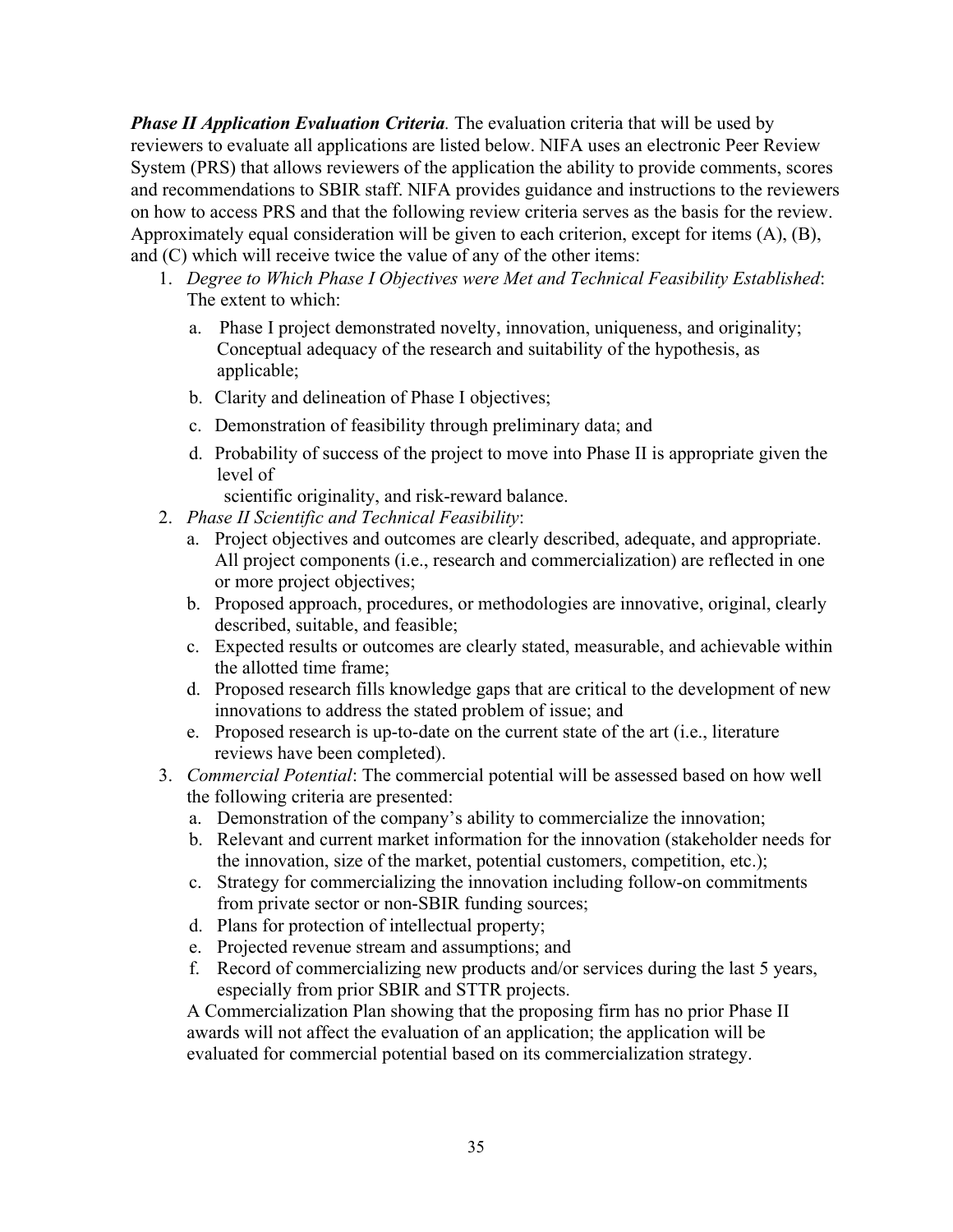*Phase II Application Evaluation Criteria.* The evaluation criteria that will be used by reviewers to evaluate all applications are listed below. NIFA uses an electronic Peer Review System (PRS) that allows reviewers of the application the ability to provide comments, scores and recommendations to SBIR staff. NIFA provides guidance and instructions to the reviewers on how to access PRS and that the following review criteria serves as the basis for the review. Approximately equal consideration will be given to each criterion, except for items (A), (B), and (C) which will receive twice the value of any of the other items:

- 1. *Degree to Which Phase I Objectives were Met and Technical Feasibility Established*: The extent to which:
	- a. Phase I project demonstrated novelty, innovation, uniqueness, and originality; Conceptual adequacy of the research and suitability of the hypothesis, as applicable;
	- b. Clarity and delineation of Phase I objectives;
	- c. Demonstration of feasibility through preliminary data; and
	- d. Probability of success of the project to move into Phase II is appropriate given the level of

scientific originality, and risk-reward balance.

- 2. *Phase II Scientific and Technical Feasibility*:
	- a. Project objectives and outcomes are clearly described, adequate, and appropriate. All project components (i.e., research and commercialization) are reflected in one or more project objectives;
	- b. Proposed approach, procedures, or methodologies are innovative, original, clearly described, suitable, and feasible;
	- c. Expected results or outcomes are clearly stated, measurable, and achievable within the allotted time frame;
	- d. Proposed research fills knowledge gaps that are critical to the development of new innovations to address the stated problem of issue; and
	- e. Proposed research is up-to-date on the current state of the art (i.e., literature reviews have been completed).
- 3. *Commercial Potential*: The commercial potential will be assessed based on how well the following criteria are presented:
	- a. Demonstration of the company's ability to commercialize the innovation;
	- b. Relevant and current market information for the innovation (stakeholder needs for the innovation, size of the market, potential customers, competition, etc.);
	- c. Strategy for commercializing the innovation including follow-on commitments from private sector or non-SBIR funding sources;
	- d. Plans for protection of intellectual property;
	- e. Projected revenue stream and assumptions; and
	- f. Record of commercializing new products and/or services during the last 5 years, especially from prior SBIR and STTR projects.

A Commercialization Plan showing that the proposing firm has no prior Phase II awards will not affect the evaluation of an application; the application will be evaluated for commercial potential based on its commercialization strategy.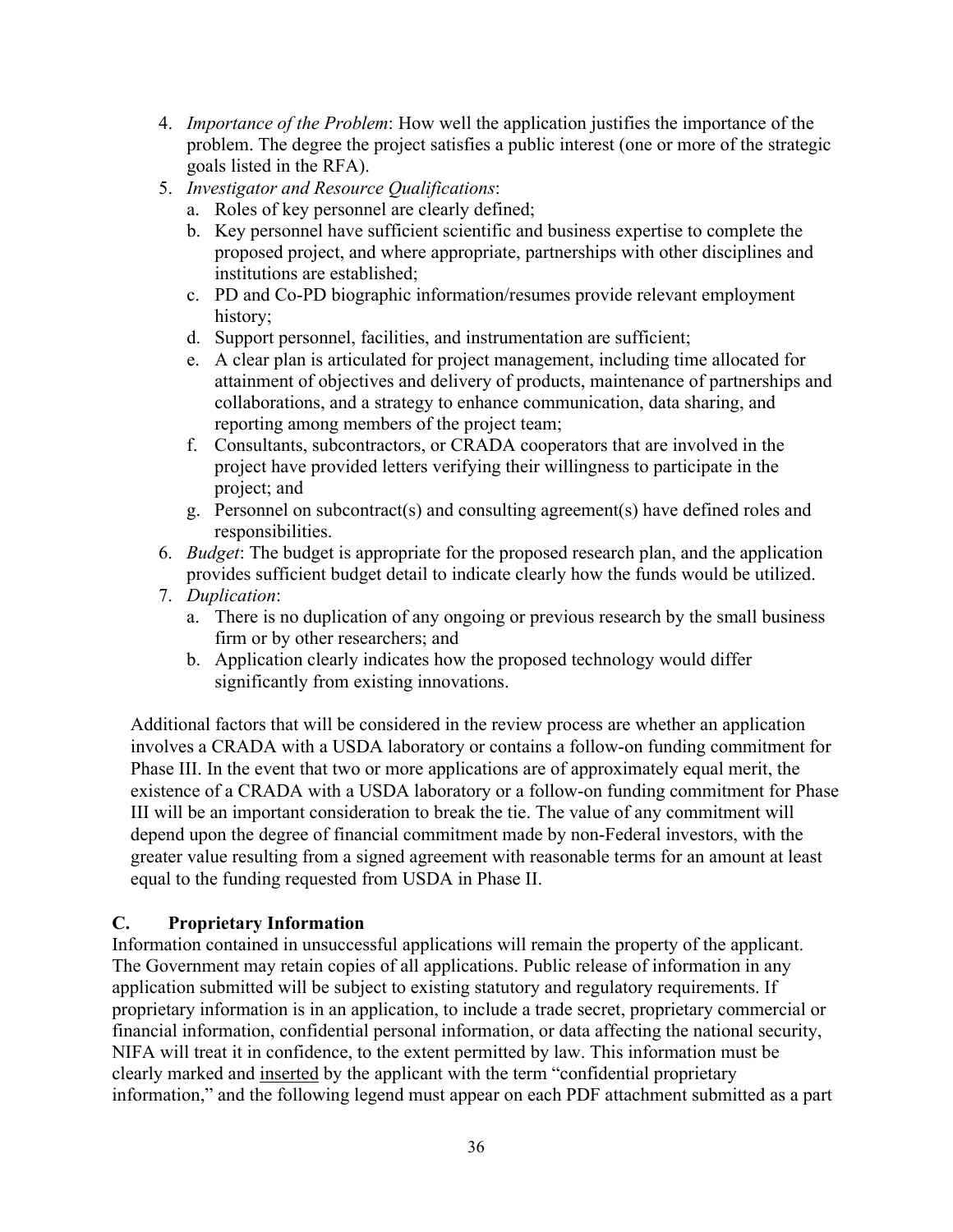- 4. *Importance of the Problem*: How well the application justifies the importance of the problem. The degree the project satisfies a public interest (one or more of the strategic goals listed in the RFA).
- 5. *Investigator and Resource Qualifications*:
	- a. Roles of key personnel are clearly defined;
	- b. Key personnel have sufficient scientific and business expertise to complete the proposed project, and where appropriate, partnerships with other disciplines and institutions are established;
	- c. PD and Co-PD biographic information/resumes provide relevant employment history;
	- d. Support personnel, facilities, and instrumentation are sufficient;
	- e. A clear plan is articulated for project management, including time allocated for attainment of objectives and delivery of products, maintenance of partnerships and collaborations, and a strategy to enhance communication, data sharing, and reporting among members of the project team;
	- f. Consultants, subcontractors, or CRADA cooperators that are involved in the project have provided letters verifying their willingness to participate in the project; and
	- g. Personnel on subcontract(s) and consulting agreement(s) have defined roles and responsibilities.
- 6. *Budget*: The budget is appropriate for the proposed research plan, and the application provides sufficient budget detail to indicate clearly how the funds would be utilized.
- 7. *Duplication*:
	- a. There is no duplication of any ongoing or previous research by the small business firm or by other researchers; and
	- b. Application clearly indicates how the proposed technology would differ significantly from existing innovations.

Additional factors that will be considered in the review process are whether an application involves a CRADA with a USDA laboratory or contains a follow-on funding commitment for Phase III. In the event that two or more applications are of approximately equal merit, the existence of a CRADA with a USDA laboratory or a follow-on funding commitment for Phase III will be an important consideration to break the tie. The value of any commitment will depend upon the degree of financial commitment made by non-Federal investors, with the greater value resulting from a signed agreement with reasonable terms for an amount at least equal to the funding requested from USDA in Phase II.

# **C. Proprietary Information**

Information contained in unsuccessful applications will remain the property of the applicant. The Government may retain copies of all applications. Public release of information in any application submitted will be subject to existing statutory and regulatory requirements. If proprietary information is in an application, to include a trade secret, proprietary commercial or financial information, confidential personal information, or data affecting the national security, NIFA will treat it in confidence, to the extent permitted by law. This information must be clearly marked and inserted by the applicant with the term "confidential proprietary information," and the following legend must appear on each PDF attachment submitted as a part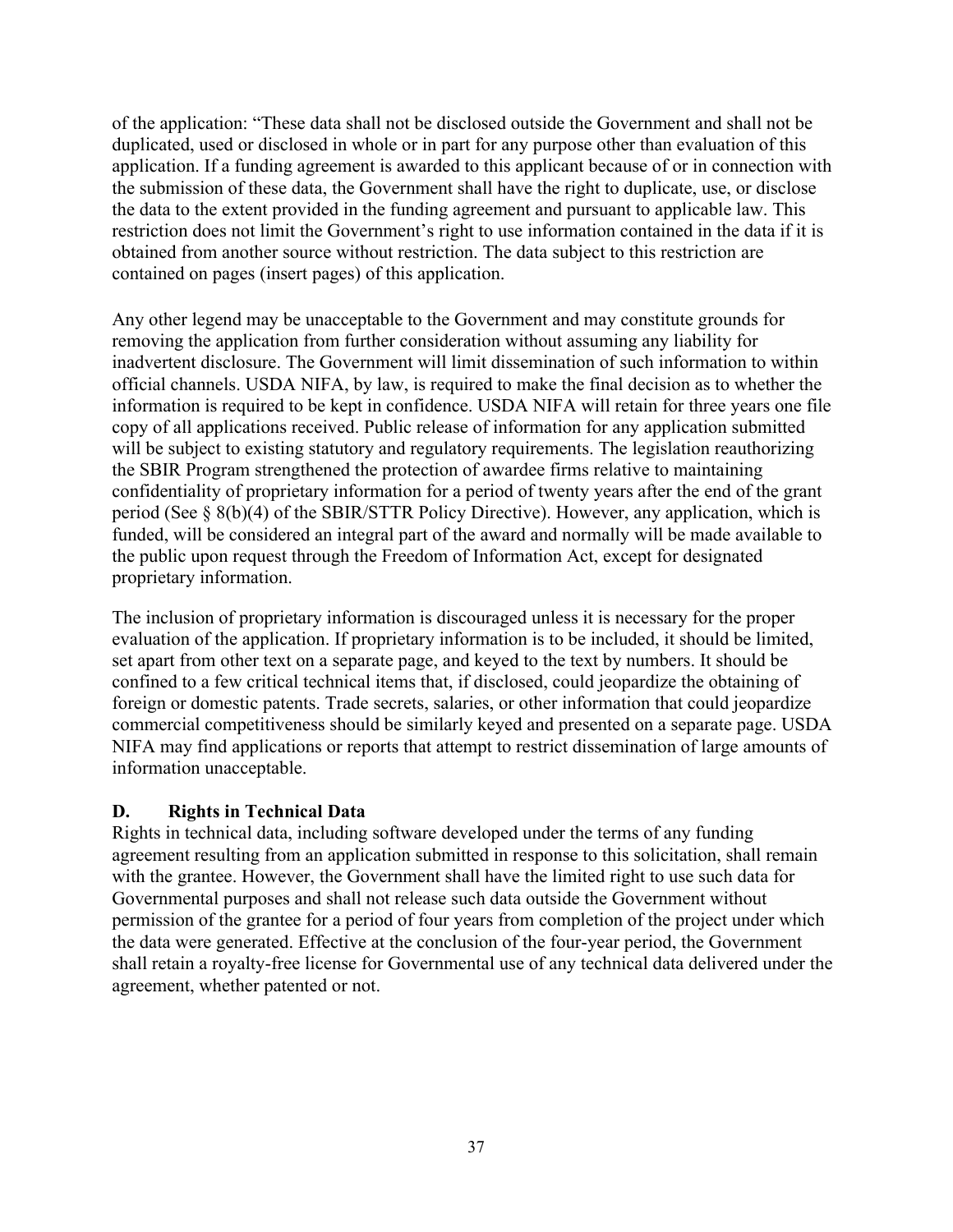of the application: "These data shall not be disclosed outside the Government and shall not be duplicated, used or disclosed in whole or in part for any purpose other than evaluation of this application. If a funding agreement is awarded to this applicant because of or in connection with the submission of these data, the Government shall have the right to duplicate, use, or disclose the data to the extent provided in the funding agreement and pursuant to applicable law. This restriction does not limit the Government's right to use information contained in the data if it is obtained from another source without restriction. The data subject to this restriction are contained on pages (insert pages) of this application.

Any other legend may be unacceptable to the Government and may constitute grounds for removing the application from further consideration without assuming any liability for inadvertent disclosure. The Government will limit dissemination of such information to within official channels. USDA NIFA, by law, is required to make the final decision as to whether the information is required to be kept in confidence. USDA NIFA will retain for three years one file copy of all applications received. Public release of information for any application submitted will be subject to existing statutory and regulatory requirements. The legislation reauthorizing the SBIR Program strengthened the protection of awardee firms relative to maintaining confidentiality of proprietary information for a period of twenty years after the end of the grant period (See § 8(b)(4) of the SBIR/STTR Policy Directive). However, any application, which is funded, will be considered an integral part of the award and normally will be made available to the public upon request through the Freedom of Information Act, except for designated proprietary information.

The inclusion of proprietary information is discouraged unless it is necessary for the proper evaluation of the application. If proprietary information is to be included, it should be limited, set apart from other text on a separate page, and keyed to the text by numbers. It should be confined to a few critical technical items that, if disclosed, could jeopardize the obtaining of foreign or domestic patents. Trade secrets, salaries, or other information that could jeopardize commercial competitiveness should be similarly keyed and presented on a separate page. USDA NIFA may find applications or reports that attempt to restrict dissemination of large amounts of information unacceptable.

#### **D. Rights in Technical Data**

Rights in technical data, including software developed under the terms of any funding agreement resulting from an application submitted in response to this solicitation, shall remain with the grantee. However, the Government shall have the limited right to use such data for Governmental purposes and shall not release such data outside the Government without permission of the grantee for a period of four years from completion of the project under which the data were generated. Effective at the conclusion of the four-year period, the Government shall retain a royalty-free license for Governmental use of any technical data delivered under the agreement, whether patented or not.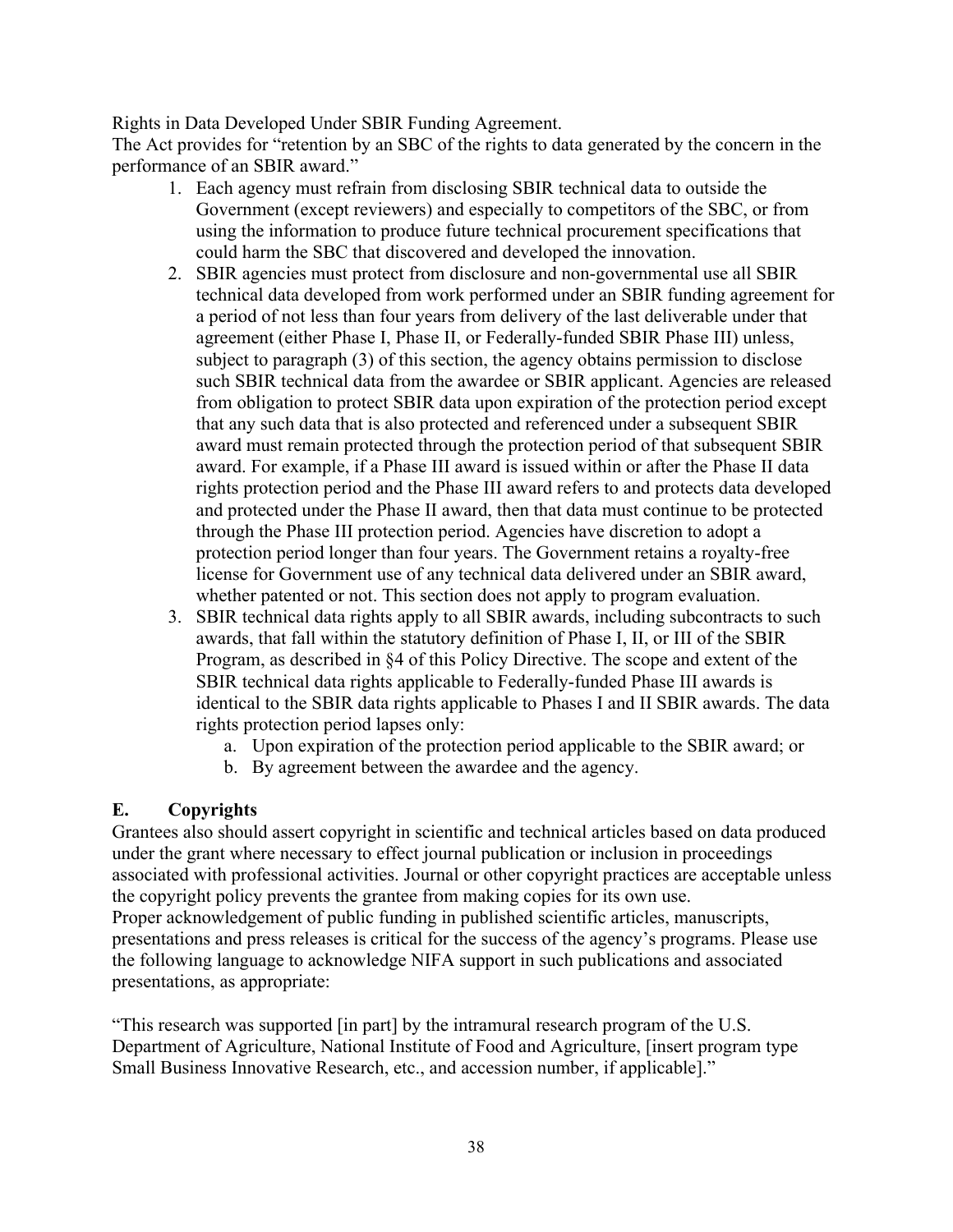Rights in Data Developed Under SBIR Funding Agreement.

The Act provides for "retention by an SBC of the rights to data generated by the concern in the performance of an SBIR award."

- 1. Each agency must refrain from disclosing SBIR technical data to outside the Government (except reviewers) and especially to competitors of the SBC, or from using the information to produce future technical procurement specifications that could harm the SBC that discovered and developed the innovation.
- 2. SBIR agencies must protect from disclosure and non-governmental use all SBIR technical data developed from work performed under an SBIR funding agreement for a period of not less than four years from delivery of the last deliverable under that agreement (either Phase I, Phase II, or Federally-funded SBIR Phase III) unless, subject to paragraph (3) of this section, the agency obtains permission to disclose such SBIR technical data from the awardee or SBIR applicant. Agencies are released from obligation to protect SBIR data upon expiration of the protection period except that any such data that is also protected and referenced under a subsequent SBIR award must remain protected through the protection period of that subsequent SBIR award. For example, if a Phase III award is issued within or after the Phase II data rights protection period and the Phase III award refers to and protects data developed and protected under the Phase II award, then that data must continue to be protected through the Phase III protection period. Agencies have discretion to adopt a protection period longer than four years. The Government retains a royalty-free license for Government use of any technical data delivered under an SBIR award, whether patented or not. This section does not apply to program evaluation.
- 3. SBIR technical data rights apply to all SBIR awards, including subcontracts to such awards, that fall within the statutory definition of Phase I, II, or III of the SBIR Program, as described in §4 of this Policy Directive. The scope and extent of the SBIR technical data rights applicable to Federally-funded Phase III awards is identical to the SBIR data rights applicable to Phases I and II SBIR awards. The data rights protection period lapses only:
	- a. Upon expiration of the protection period applicable to the SBIR award; or
	- b. By agreement between the awardee and the agency.

## **E. Copyrights**

Grantees also should assert copyright in scientific and technical articles based on data produced under the grant where necessary to effect journal publication or inclusion in proceedings associated with professional activities. Journal or other copyright practices are acceptable unless the copyright policy prevents the grantee from making copies for its own use. Proper acknowledgement of public funding in published scientific articles, manuscripts, presentations and press releases is critical for the success of the agency's programs. Please use the following language to acknowledge NIFA support in such publications and associated presentations, as appropriate:

"This research was supported [in part] by the intramural research program of the U.S. Department of Agriculture, National Institute of Food and Agriculture, [insert program type Small Business Innovative Research, etc., and accession number, if applicable]."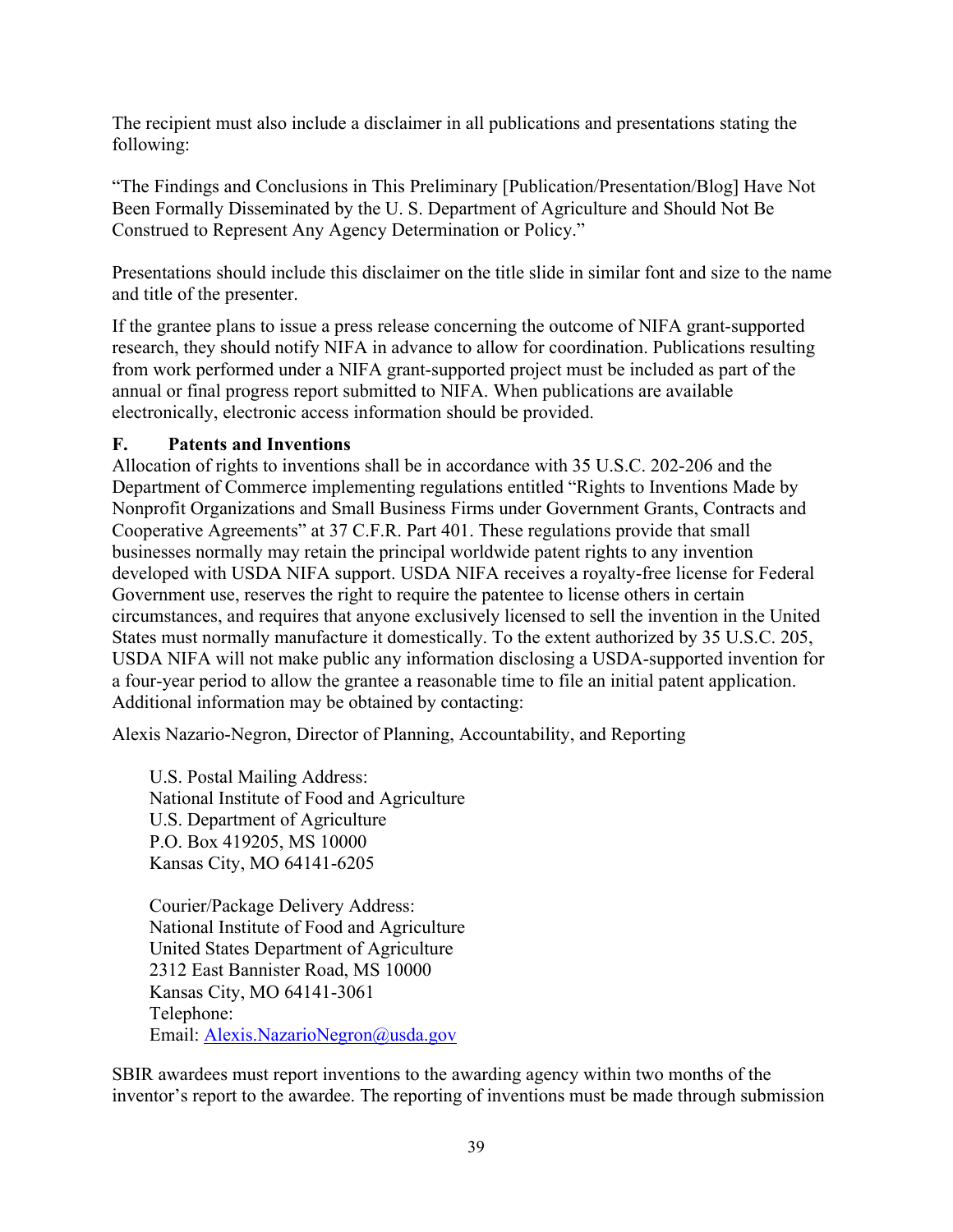The recipient must also include a disclaimer in all publications and presentations stating the following:

"The Findings and Conclusions in This Preliminary [Publication/Presentation/Blog] Have Not Been Formally Disseminated by the U. S. Department of Agriculture and Should Not Be Construed to Represent Any Agency Determination or Policy."

Presentations should include this disclaimer on the title slide in similar font and size to the name and title of the presenter.

If the grantee plans to issue a press release concerning the outcome of NIFA grant-supported research, they should notify NIFA in advance to allow for coordination. Publications resulting from work performed under a NIFA grant-supported project must be included as part of the annual or final progress report submitted to NIFA. When publications are available electronically, electronic access information should be provided.

#### **F. Patents and Inventions**

Allocation of rights to inventions shall be in accordance with 35 U.S.C. 202-206 and the Department of Commerce implementing regulations entitled "Rights to Inventions Made by Nonprofit Organizations and Small Business Firms under Government Grants, Contracts and Cooperative Agreements" at 37 C.F.R. Part 401. These regulations provide that small businesses normally may retain the principal worldwide patent rights to any invention developed with USDA NIFA support. USDA NIFA receives a royalty-free license for Federal Government use, reserves the right to require the patentee to license others in certain circumstances, and requires that anyone exclusively licensed to sell the invention in the United States must normally manufacture it domestically. To the extent authorized by 35 U.S.C. 205, USDA NIFA will not make public any information disclosing a USDA-supported invention for a four-year period to allow the grantee a reasonable time to file an initial patent application. Additional information may be obtained by contacting:

Alexis Nazario-Negron, Director of Planning, Accountability, and Reporting

U.S. Postal Mailing Address: National Institute of Food and Agriculture U.S. Department of Agriculture P.O. Box 419205, MS 10000 Kansas City, MO 64141-6205

Courier/Package Delivery Address: National Institute of Food and Agriculture United States Department of Agriculture 2312 East Bannister Road, MS 10000 Kansas City, MO 64141-3061 Telephone: Email: Alexis.NazarioNegron@usda.gov

SBIR awardees must report inventions to the awarding agency within two months of the inventor's report to the awardee. The reporting of inventions must be made through submission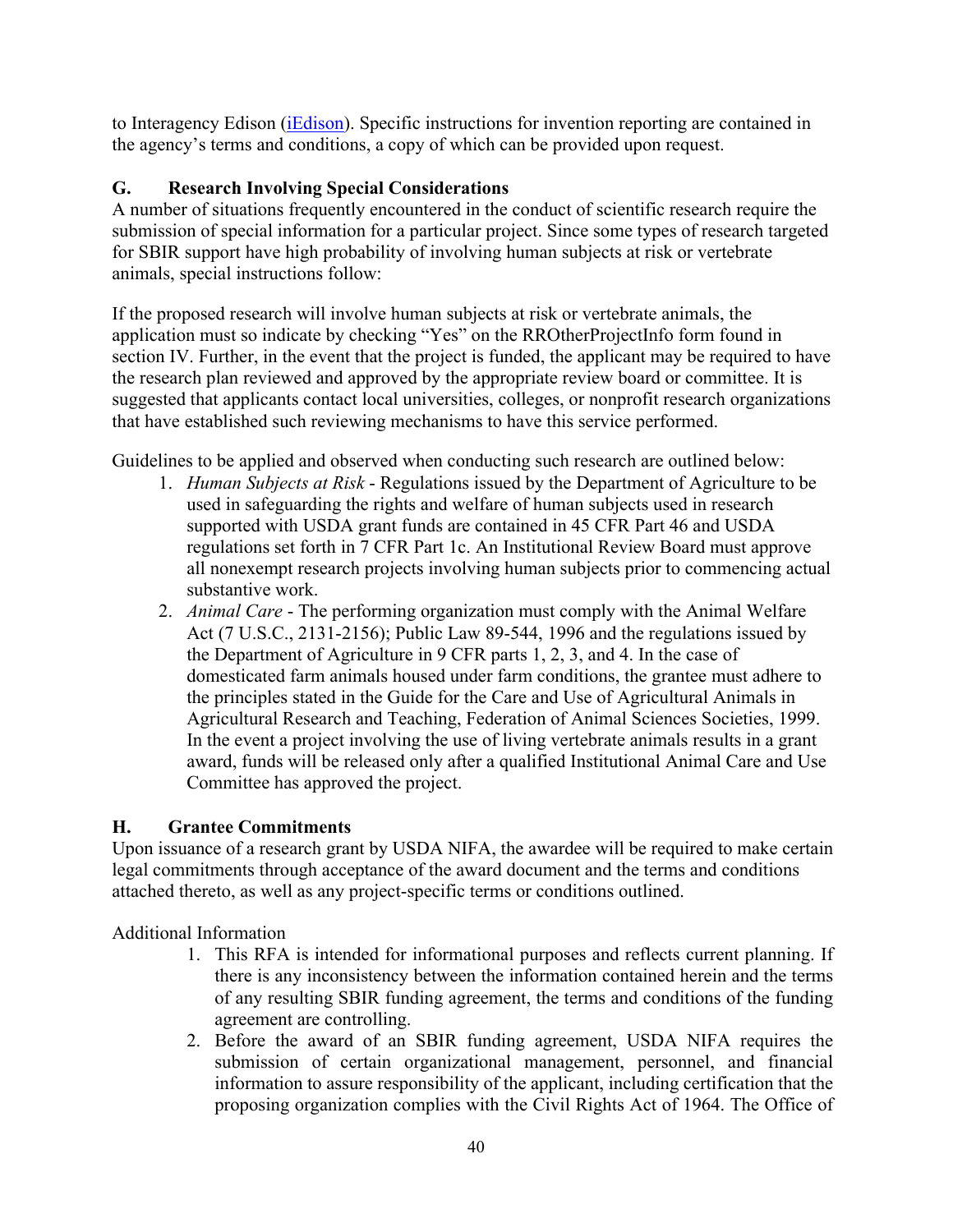to Interagency Edison [\(iEdison\)](http://www.iedison.gov/). Specific instructions for invention reporting are contained in the agency's terms and conditions, a copy of which can be provided upon request.

# **G. Research Involving Special Considerations**

A number of situations frequently encountered in the conduct of scientific research require the submission of special information for a particular project. Since some types of research targeted for SBIR support have high probability of involving human subjects at risk or vertebrate animals, special instructions follow:

If the proposed research will involve human subjects at risk or vertebrate animals, the application must so indicate by checking "Yes" on the RROtherProjectInfo form found in section IV. Further, in the event that the project is funded, the applicant may be required to have the research plan reviewed and approved by the appropriate review board or committee. It is suggested that applicants contact local universities, colleges, or nonprofit research organizations that have established such reviewing mechanisms to have this service performed.

Guidelines to be applied and observed when conducting such research are outlined below:

- 1. *Human Subjects at Risk* Regulations issued by the Department of Agriculture to be used in safeguarding the rights and welfare of human subjects used in research supported with USDA grant funds are contained in 45 CFR Part 46 and USDA regulations set forth in 7 CFR Part 1c. An Institutional Review Board must approve all nonexempt research projects involving human subjects prior to commencing actual substantive work.
- 2. *Animal Care* The performing organization must comply with the Animal Welfare Act (7 U.S.C., 2131-2156); Public Law 89-544, 1996 and the regulations issued by the Department of Agriculture in 9 CFR parts 1, 2, 3, and 4. In the case of domesticated farm animals housed under farm conditions, the grantee must adhere to the principles stated in the Guide for the Care and Use of Agricultural Animals in Agricultural Research and Teaching, Federation of Animal Sciences Societies, 1999. In the event a project involving the use of living vertebrate animals results in a grant award, funds will be released only after a qualified Institutional Animal Care and Use Committee has approved the project.

## **H. Grantee Commitments**

Upon issuance of a research grant by USDA NIFA, the awardee will be required to make certain legal commitments through acceptance of the award document and the terms and conditions attached thereto, as well as any project-specific terms or conditions outlined.

Additional Information

- 1. This RFA is intended for informational purposes and reflects current planning. If there is any inconsistency between the information contained herein and the terms of any resulting SBIR funding agreement, the terms and conditions of the funding agreement are controlling.
- 2. Before the award of an SBIR funding agreement, USDA NIFA requires the submission of certain organizational management, personnel, and financial information to assure responsibility of the applicant, including certification that the proposing organization complies with the Civil Rights Act of 1964. The Office of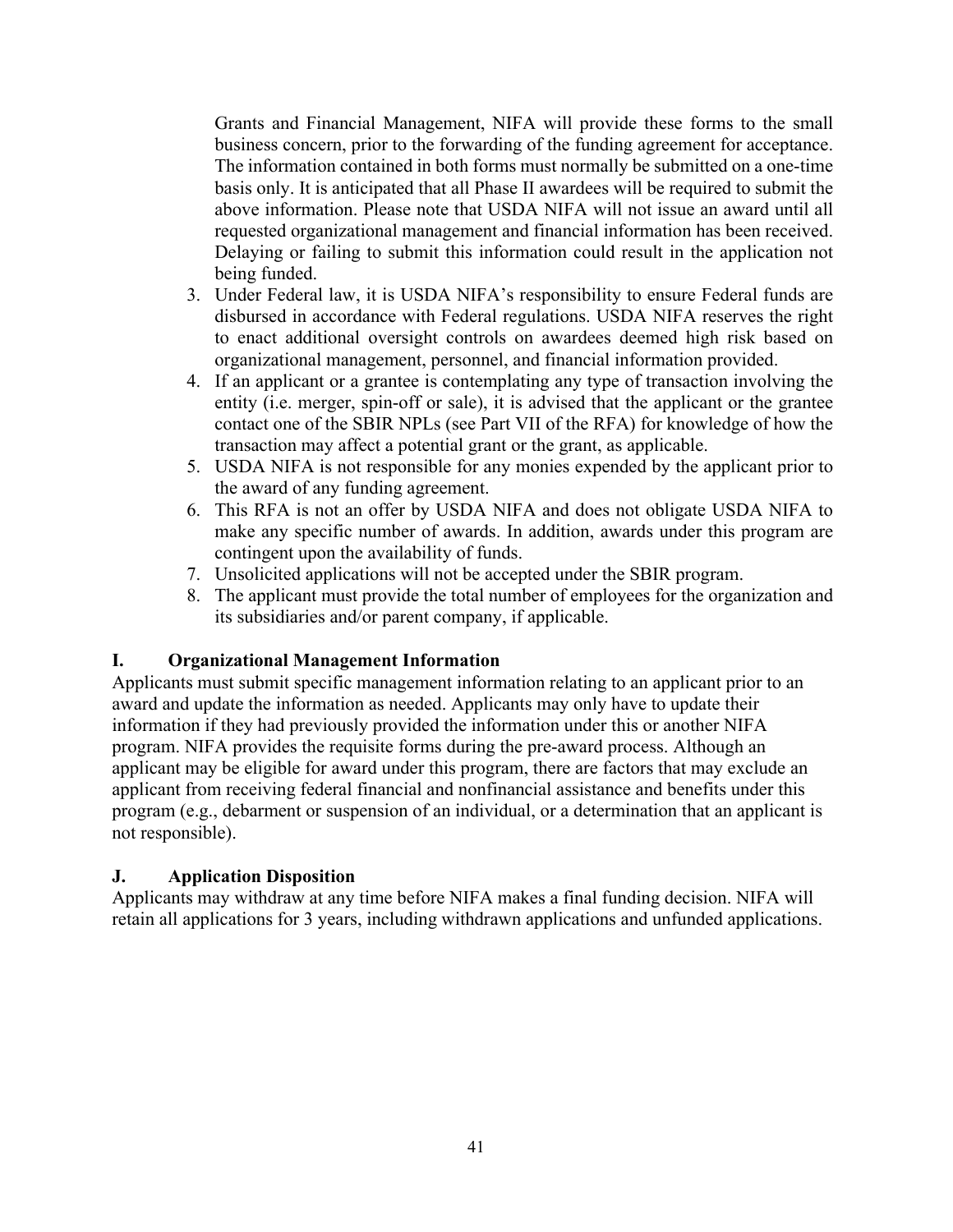Grants and Financial Management, NIFA will provide these forms to the small business concern, prior to the forwarding of the funding agreement for acceptance. The information contained in both forms must normally be submitted on a one-time basis only. It is anticipated that all Phase II awardees will be required to submit the above information. Please note that USDA NIFA will not issue an award until all requested organizational management and financial information has been received. Delaying or failing to submit this information could result in the application not being funded.

- 3. Under Federal law, it is USDA NIFA's responsibility to ensure Federal funds are disbursed in accordance with Federal regulations. USDA NIFA reserves the right to enact additional oversight controls on awardees deemed high risk based on organizational management, personnel, and financial information provided.
- 4. If an applicant or a grantee is contemplating any type of transaction involving the entity (i.e. merger, spin-off or sale), it is advised that the applicant or the grantee contact one of the SBIR NPLs (see Part VII of the RFA) for knowledge of how the transaction may affect a potential grant or the grant, as applicable.
- 5. USDA NIFA is not responsible for any monies expended by the applicant prior to the award of any funding agreement.
- 6. This RFA is not an offer by USDA NIFA and does not obligate USDA NIFA to make any specific number of awards. In addition, awards under this program are contingent upon the availability of funds.
- 7. Unsolicited applications will not be accepted under the SBIR program.
- 8. The applicant must provide the total number of employees for the organization and its subsidiaries and/or parent company, if applicable.

## **I. Organizational Management Information**

Applicants must submit specific management information relating to an applicant prior to an award and update the information as needed. Applicants may only have to update their information if they had previously provided the information under this or another NIFA program. NIFA provides the requisite forms during the pre-award process. Although an applicant may be eligible for award under this program, there are factors that may exclude an applicant from receiving federal financial and nonfinancial assistance and benefits under this program (e.g., debarment or suspension of an individual, or a determination that an applicant is not responsible).

#### **J. Application Disposition**

Applicants may withdraw at any time before NIFA makes a final funding decision. NIFA will retain all applications for 3 years, including withdrawn applications and unfunded applications.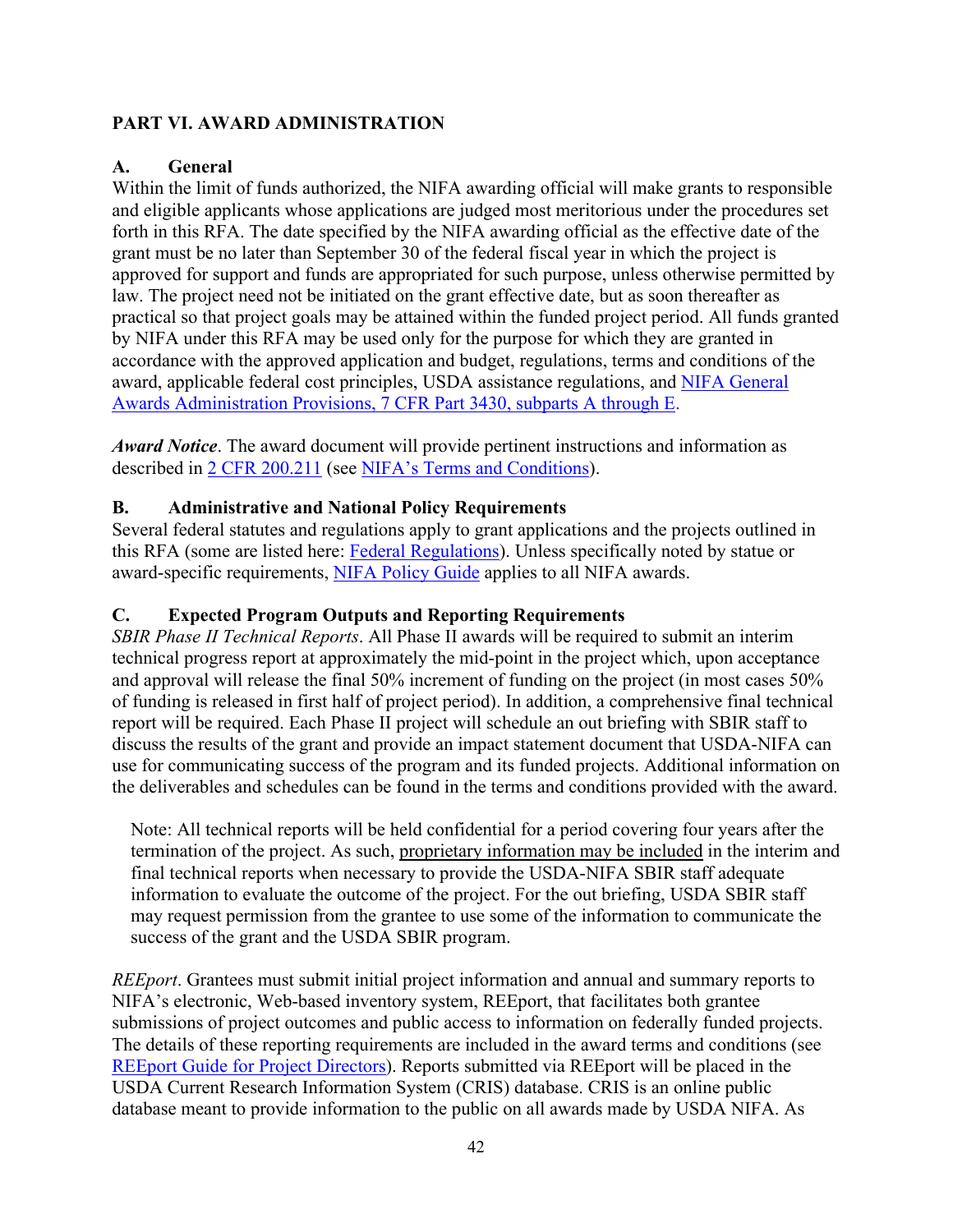# <span id="page-41-0"></span>**PART VI. AWARD ADMINISTRATION**

## <span id="page-41-1"></span>**A. General**

Within the limit of funds authorized, the NIFA awarding official will make grants to responsible and eligible applicants whose applications are judged most meritorious under the procedures set forth in this RFA. The date specified by the NIFA awarding official as the effective date of the grant must be no later than September 30 of the federal fiscal year in which the project is approved for support and funds are appropriated for such purpose, unless otherwise permitted by law. The project need not be initiated on the grant effective date, but as soon thereafter as practical so that project goals may be attained within the funded project period. All funds granted by NIFA under this RFA may be used only for the purpose for which they are granted in accordance with the approved application and budget, regulations, terms and conditions of the award, applicable federal cost principles, USDA assistance regulations, and [NIFA General](https://www.ecfr.gov/cgi-bin/text-idx?SID=1a74011311d649ff6313ca273791b131&mc=true&node=pt7.15.3430&rgn=div5)  [Awards Administration Provisions, 7 CFR Part 3430, subparts A through E.](https://www.ecfr.gov/cgi-bin/text-idx?SID=1a74011311d649ff6313ca273791b131&mc=true&node=pt7.15.3430&rgn=div5)

*Award Notice*. The award document will provide pertinent instructions and information as described in [2 CFR 200.211](https://www.ecfr.gov/cgi-bin/retrieveECFR?gp=&SID=c44a1f8f16917d78ba5ba676eac5fdc3&mc=true&r=SECTION&n=se2.1.200_1211) (see [NIFA's Terms and Conditions\)](https://nifa.usda.gov/terms-and-conditions).

## <span id="page-41-2"></span>**B. Administrative and National Policy Requirements**

Several federal statutes and regulations apply to grant applications and the projects outlined in this RFA (some are listed here: [Federal Regulations\)](https://nifa.usda.gov/federal-regulations). Unless specifically noted by statue or award-specific requirements, [NIFA Policy Guide](https://nifa.usda.gov/policy-guide) applies to all NIFA awards.

#### <span id="page-41-3"></span>**C. Expected Program Outputs and Reporting Requirements**

*SBIR Phase II Technical Reports*. All Phase II awards will be required to submit an interim technical progress report at approximately the mid-point in the project which, upon acceptance and approval will release the final 50% increment of funding on the project (in most cases 50% of funding is released in first half of project period). In addition, a comprehensive final technical report will be required. Each Phase II project will schedule an out briefing with SBIR staff to discuss the results of the grant and provide an impact statement document that USDA-NIFA can use for communicating success of the program and its funded projects. Additional information on the deliverables and schedules can be found in the terms and conditions provided with the award.

Note: All technical reports will be held confidential for a period covering four years after the termination of the project. As such, proprietary information may be included in the interim and final technical reports when necessary to provide the USDA-NIFA SBIR staff adequate information to evaluate the outcome of the project. For the out briefing, USDA SBIR staff may request permission from the grantee to use some of the information to communicate the success of the grant and the USDA SBIR program.

*REEport*. Grantees must submit initial project information and annual and summary reports to NIFA's electronic, Web-based inventory system, REEport, that facilitates both grantee submissions of project outcomes and public access to information on federally funded projects. The details of these reporting requirements are included in the award terms and conditions (see REEport Guide for Project [Directors\)](https://nifa.usda.gov/resource/reeport-guide-project-directors). Reports submitted via REEport will be placed in the USDA Current Research Information System (CRIS) database. CRIS is an online public database meant to provide information to the public on all awards made by USDA NIFA. As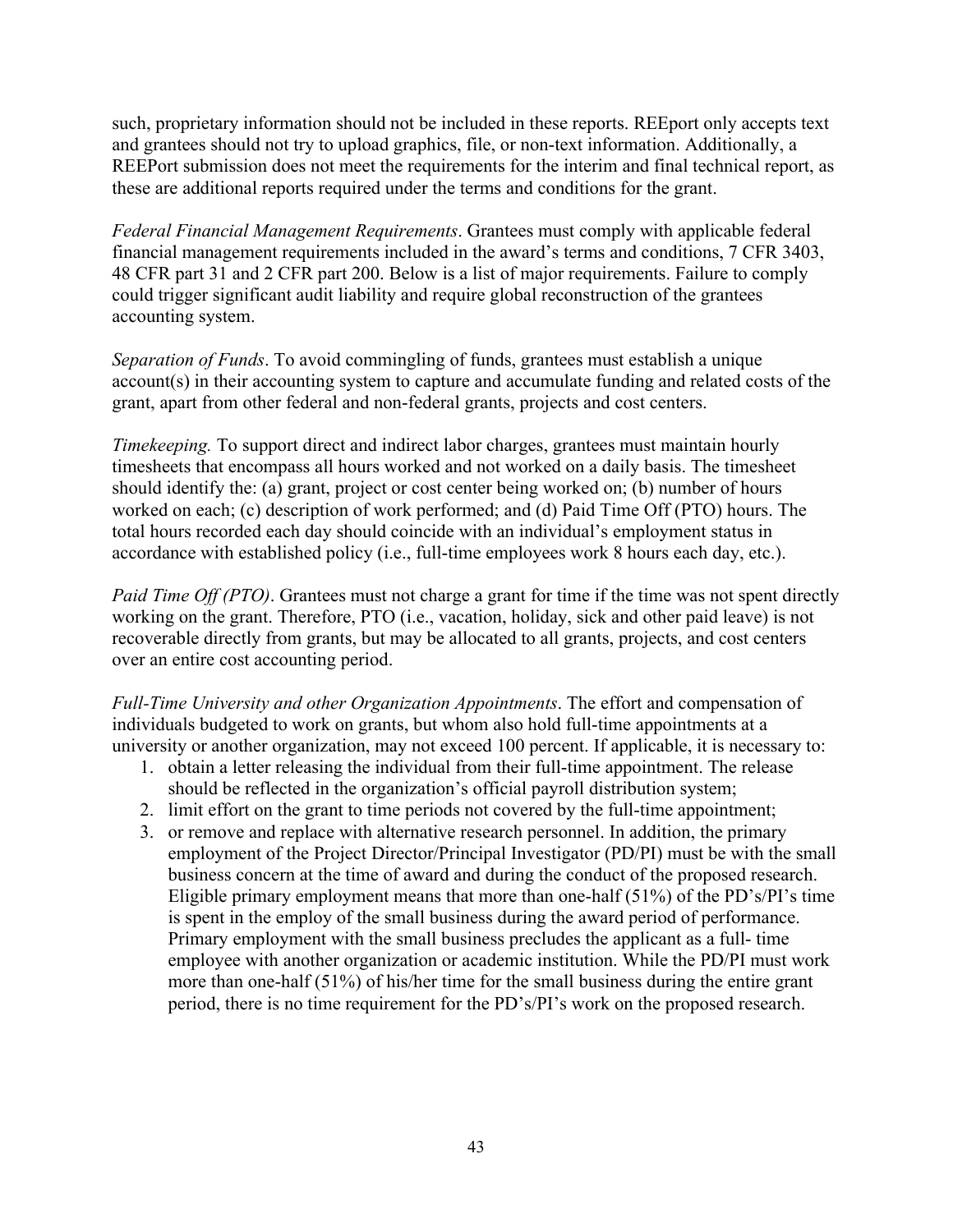such, proprietary information should not be included in these reports. REEport only accepts text and grantees should not try to upload graphics, file, or non-text information. Additionally, a REEPort submission does not meet the requirements for the interim and final technical report, as these are additional reports required under the terms and conditions for the grant.

*Federal Financial Management Requirements*. Grantees must comply with applicable federal financial management requirements included in the award's terms and conditions, 7 CFR 3403, 48 CFR part 31 and 2 CFR part 200. Below is a list of major requirements. Failure to comply could trigger significant audit liability and require global reconstruction of the grantees accounting system.

*Separation of Funds*. To avoid commingling of funds, grantees must establish a unique account(s) in their accounting system to capture and accumulate funding and related costs of the grant, apart from other federal and non-federal grants, projects and cost centers.

*Timekeeping.* To support direct and indirect labor charges, grantees must maintain hourly timesheets that encompass all hours worked and not worked on a daily basis. The timesheet should identify the: (a) grant, project or cost center being worked on; (b) number of hours worked on each; (c) description of work performed; and (d) Paid Time Off (PTO) hours. The total hours recorded each day should coincide with an individual's employment status in accordance with established policy (i.e., full-time employees work 8 hours each day, etc.).

*Paid Time Off (PTO)*. Grantees must not charge a grant for time if the time was not spent directly working on the grant. Therefore, PTO (i.e., vacation, holiday, sick and other paid leave) is not recoverable directly from grants, but may be allocated to all grants, projects, and cost centers over an entire cost accounting period.

*Full-Time University and other Organization Appointments*. The effort and compensation of individuals budgeted to work on grants, but whom also hold full-time appointments at a university or another organization, may not exceed 100 percent. If applicable, it is necessary to:

- 1. obtain a letter releasing the individual from their full-time appointment. The release should be reflected in the organization's official payroll distribution system;
- 2. limit effort on the grant to time periods not covered by the full-time appointment;
- 3. or remove and replace with alternative research personnel. In addition, the primary employment of the Project Director/Principal Investigator (PD/PI) must be with the small business concern at the time of award and during the conduct of the proposed research. Eligible primary employment means that more than one-half (51%) of the PD's/PI's time is spent in the employ of the small business during the award period of performance. Primary employment with the small business precludes the applicant as a full- time employee with another organization or academic institution. While the PD/PI must work more than one-half (51%) of his/her time for the small business during the entire grant period, there is no time requirement for the PD's/PI's work on the proposed research.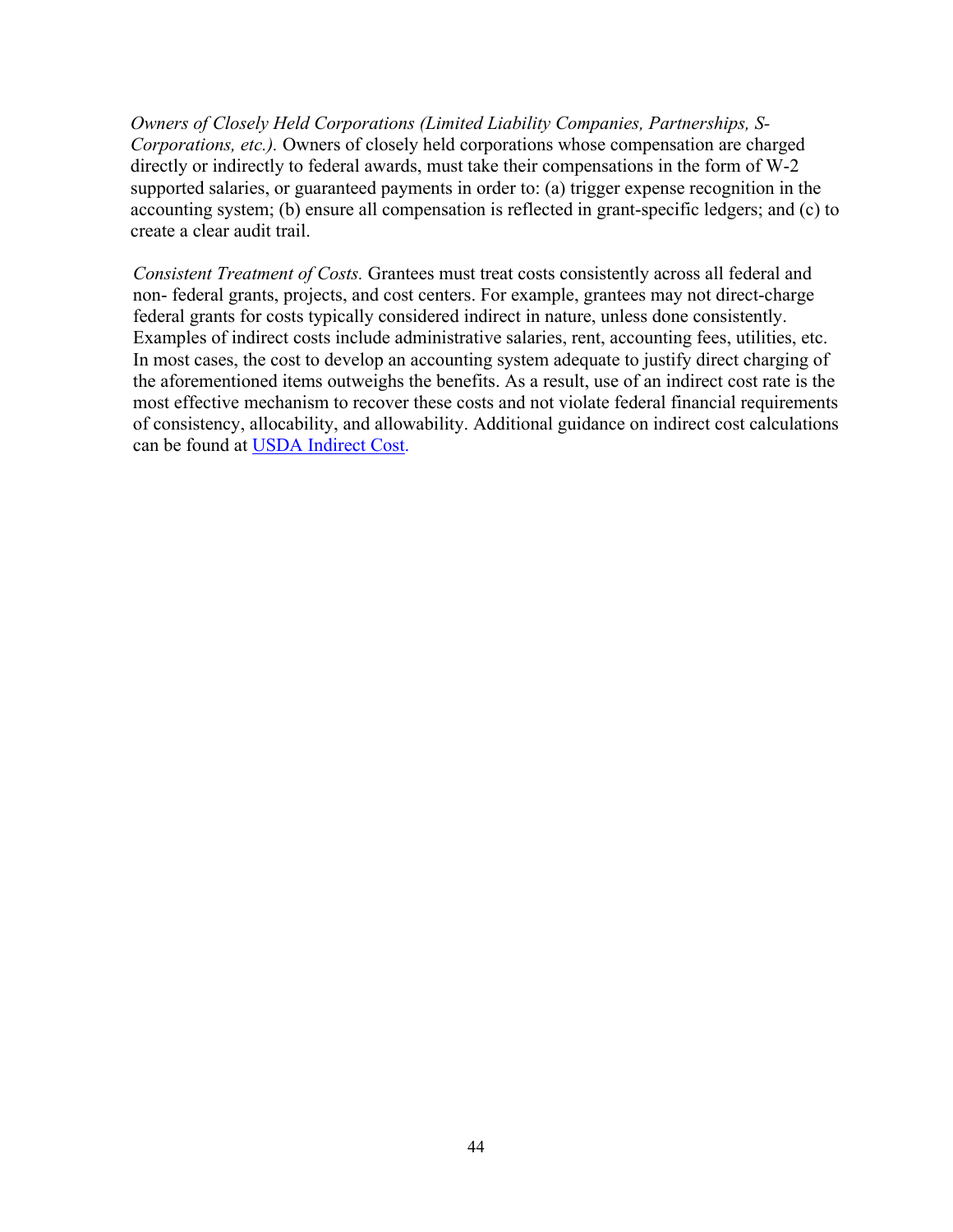*Owners of Closely Held Corporations (Limited Liability Companies, Partnerships, S-Corporations, etc.).* Owners of closely held corporations whose compensation are charged directly or indirectly to federal awards, must take their compensations in the form of W-2 supported salaries, or guaranteed payments in order to: (a) trigger expense recognition in the accounting system; (b) ensure all compensation is reflected in grant-specific ledgers; and (c) to create a clear audit trail.

*Consistent Treatment of Costs.* Grantees must treat costs consistently across all federal and non- federal grants, projects, and cost centers. For example, grantees may not direct-charge federal grants for costs typically considered indirect in nature, unless done consistently. Examples of indirect costs include administrative salaries, rent, accounting fees, utilities, etc. In most cases, the cost to develop an accounting system adequate to justify direct charging of the aforementioned items outweighs the benefits. As a result, use of an indirect cost rate is the most effective mechanism to recover these costs and not violate federal financial requirements of consistency, allocability, and allowability. Additional guidance on indirect cost calculations can be found at USDA [Indirect](https://nifa.usda.gov/indirect-costs) Cost.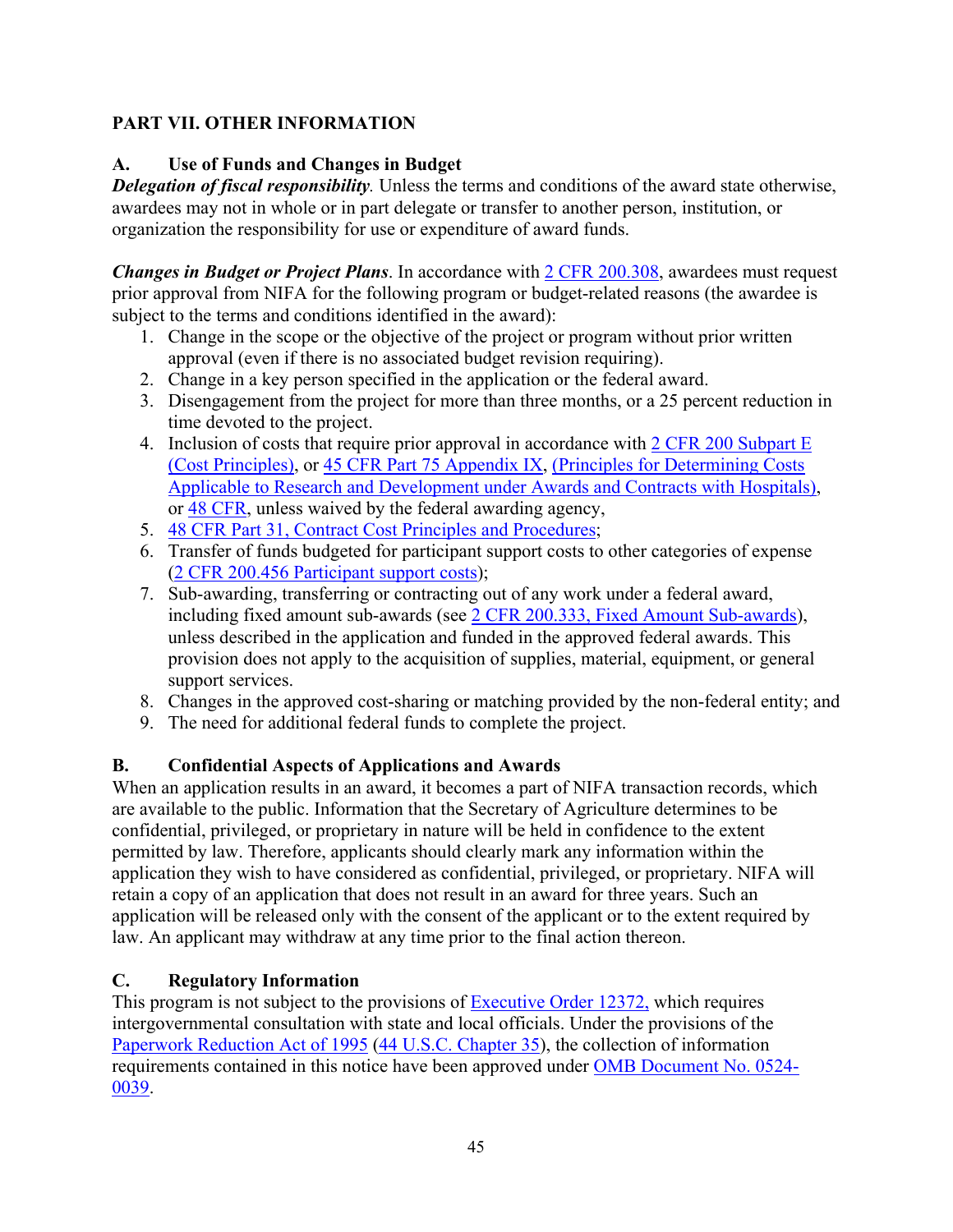# <span id="page-44-0"></span>**PART VII. OTHER INFORMATION**

# **A. Use of Funds and Changes in Budget**

*Delegation of fiscal responsibility.* Unless the terms and conditions of the award state otherwise, awardees may not in whole or in part delegate or transfer to another person, institution, or organization the responsibility for use or expenditure of award funds.

*Changes in Budget or Project Plans*. In accordance with [2 CFR 200.308,](https://www.ecfr.gov/cgi-bin/text-idx?SID=3af89506559b05297e7d0334cb283e24&mc=true&node=se2.1.200_1308&rgn=div8) awardees must request prior approval from NIFA for the following program or budget-related reasons (the awardee is subject to the terms and conditions identified in the award):

- 1. Change in the scope or the objective of the project or program without prior written approval (even if there is no associated budget revision requiring).
- 2. Change in a key person specified in the application or the federal award.
- 3. Disengagement from the project for more than three months, or a 25 percent reduction in time devoted to the project.
- 4. Inclusion of costs that require prior approval in accordance with  $2 \text{ CFR } 200 \text{ Subpart E}$ [\(Cost Principles\),](https://www.ecfr.gov/cgi-bin/text-idx?SID=dc069d42776cd3451f66232d56026057&mc=true&node=pt2.1.200&rgn=div5#sp2.1.200.e) or [45 CFR Part 75 Appendix IX,](https://www.ecfr.gov/cgi-bin/text-idx?node=pt45.1.75#ap45.1.75_1521.ix) [\(Principles for Determining Costs](https://www.ecfr.gov/cgi-bin/text-idx?node=pt45.1.75#ap45.1.75_1521.ix)  [Applicable to Research and Development under Awards and Contracts with Hospitals\)](https://www.ecfr.gov/cgi-bin/text-idx?node=pt45.1.75#ap45.1.75_1521.ix), or [48 CFR,](https://www.ecfr.gov/cgi-bin/text-idx?SID=4d9d83a5cef52c19c5ff83421fa48a4b&mc=true&tpl=/ecfrbrowse/Title48/48tab_02.tpl) unless waived by the federal awarding agency,
- 5. [48 CFR Part 31, Contract Cost Principles and Procedures;](https://www.ecfr.gov/cgi-bin/text-idx?SID=4d9d83a5cef52c19c5ff83421fa48a4b&mc=true&node=pt48.1.31&rgn=div5)
- 6. Transfer of funds budgeted for participant support costs to other categories of expense [\(2 CFR 200.456 Participant support costs\)](https://www.ecfr.gov/cgi-bin/text-idx?SID=875f7422535a157681c65d5ff44deb32&mc=true&node=pt2.1.200&rgn=div5#se2.1.200_1456);
- 7. Sub-awarding, transferring or contracting out of any work under a federal award, including fixed amount sub-awards (see [2 CFR 200.333, Fixed Amount Sub-awards\)](https://www.ecfr.gov/cgi-bin/text-idx?SID=9eaf9554e1f32bf0d83aca55646e9b7e&mc=true&node=pt2.1.200&rgn=div5#se2.1.200_1333), unless described in the application and funded in the approved federal awards. This provision does not apply to the acquisition of supplies, material, equipment, or general support services.
- 8. Changes in the approved cost-sharing or matching provided by the non-federal entity; and
- 9. The need for additional federal funds to complete the project.

## **B. Confidential Aspects of Applications and Awards**

When an application results in an award, it becomes a part of NIFA transaction records, which are available to the public. Information that the Secretary of Agriculture determines to be confidential, privileged, or proprietary in nature will be held in confidence to the extent permitted by law. Therefore, applicants should clearly mark any information within the application they wish to have considered as confidential, privileged, or proprietary. NIFA will retain a copy of an application that does not result in an award for three years. Such an application will be released only with the consent of the applicant or to the extent required by law. An applicant may withdraw at any time prior to the final action thereon.

## **C. Regulatory Information**

This program is not subject to the provisions of [Executive](https://www.fws.gov/policy/library/rgeo12372.pdf) Order 12372, which requires intergovernmental consultation with state and local officials. Under the provisions of the [Paperwork](https://www.reginfo.gov/public/reginfo/pra.pdf) Reduction Act of 1995 (44 U.S.C. Chapter 35), the collection of information requirements contained in this notice have been approved under OMB [Document](https://www.federalregister.gov/documents/2018/10/29/2018-23552/submission-for-omb-review-comment-request) No. 0524- [0039.](https://www.federalregister.gov/documents/2018/10/29/2018-23552/submission-for-omb-review-comment-request)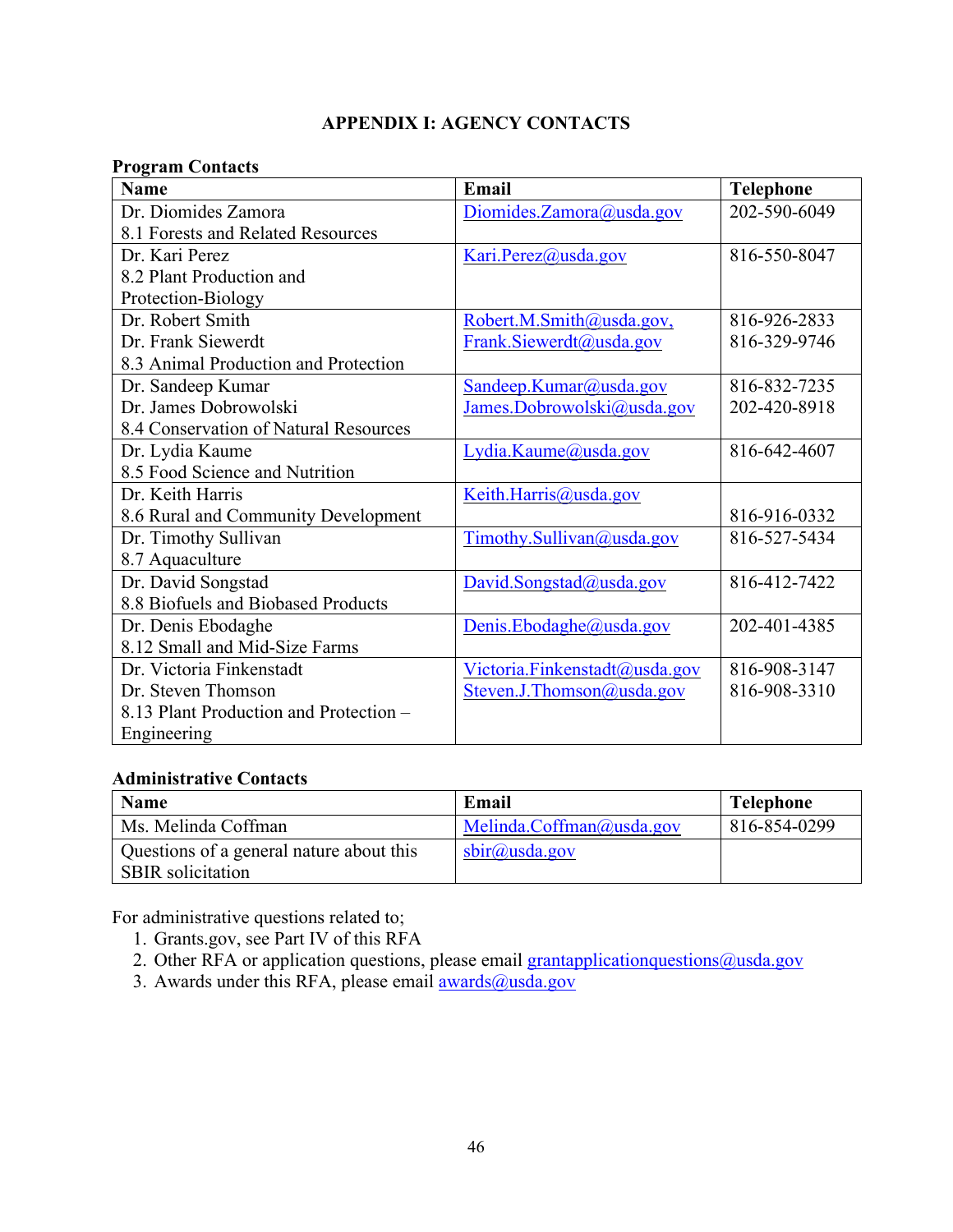# **APPENDIX I: AGENCY CONTACTS**

#### <span id="page-45-0"></span>**Program Contacts**

| <b>Name</b>                            | Email                         | <b>Telephone</b> |
|----------------------------------------|-------------------------------|------------------|
| Dr. Diomides Zamora                    | Diomides.Zamora@usda.gov      | 202-590-6049     |
| 8.1 Forests and Related Resources      |                               |                  |
| Dr. Kari Perez                         | Kari.Perez@usda.gov           | 816-550-8047     |
| 8.2 Plant Production and               |                               |                  |
| Protection-Biology                     |                               |                  |
| Dr. Robert Smith                       | Robert.M.Smith@usda.gov,      | 816-926-2833     |
| Dr. Frank Siewerdt                     | Frank.Siewerdt@usda.gov       | 816-329-9746     |
| 8.3 Animal Production and Protection   |                               |                  |
| Dr. Sandeep Kumar                      | Sandeep.Kumar@usda.gov        | 816-832-7235     |
| Dr. James Dobrowolski                  | James.Dobrowolski@usda.gov    | 202-420-8918     |
| 8.4 Conservation of Natural Resources  |                               |                  |
| Dr. Lydia Kaume                        | Lydia.Kaume@usda.gov          | 816-642-4607     |
| 8.5 Food Science and Nutrition         |                               |                  |
| Dr. Keith Harris                       | Keith.Harris@usda.gov         |                  |
| 8.6 Rural and Community Development    |                               | 816-916-0332     |
| Dr. Timothy Sullivan                   | Timothy.Sullivan@usda.gov     | 816-527-5434     |
| 8.7 Aquaculture                        |                               |                  |
| Dr. David Songstad                     | David.Songstad@usda.gov       | 816-412-7422     |
| 8.8 Biofuels and Biobased Products     |                               |                  |
| Dr. Denis Ebodaghe                     | Denis.Ebodaghe@usda.gov       | 202-401-4385     |
| 8.12 Small and Mid-Size Farms          |                               |                  |
| Dr. Victoria Finkenstadt               | Victoria.Finkenstadt@usda.gov | 816-908-3147     |
| Dr. Steven Thomson                     | Steven.J.Thomson@usda.gov     | 816-908-3310     |
| 8.13 Plant Production and Protection - |                               |                  |
| Engineering                            |                               |                  |

#### **Administrative Contacts**

| <b>Name</b>                              | Email                        | <b>Telephone</b> |
|------------------------------------------|------------------------------|------------------|
| Ms. Melinda Coffman                      | Melinda. $C$ offman@usda.gov | 816-854-0299     |
| Questions of a general nature about this | $\text{sbir}(a)$ usda.gov    |                  |
| <b>SBIR</b> solicitation                 |                              |                  |

For administrative questions related to;

- 1. Grants.gov, see Part IV of this RFA
- 2. Other RFA or application questions, please email  $grantapplication questions@usda.gov$
- 3. Awards under this RFA, please email <u>awards@usda.gov</u>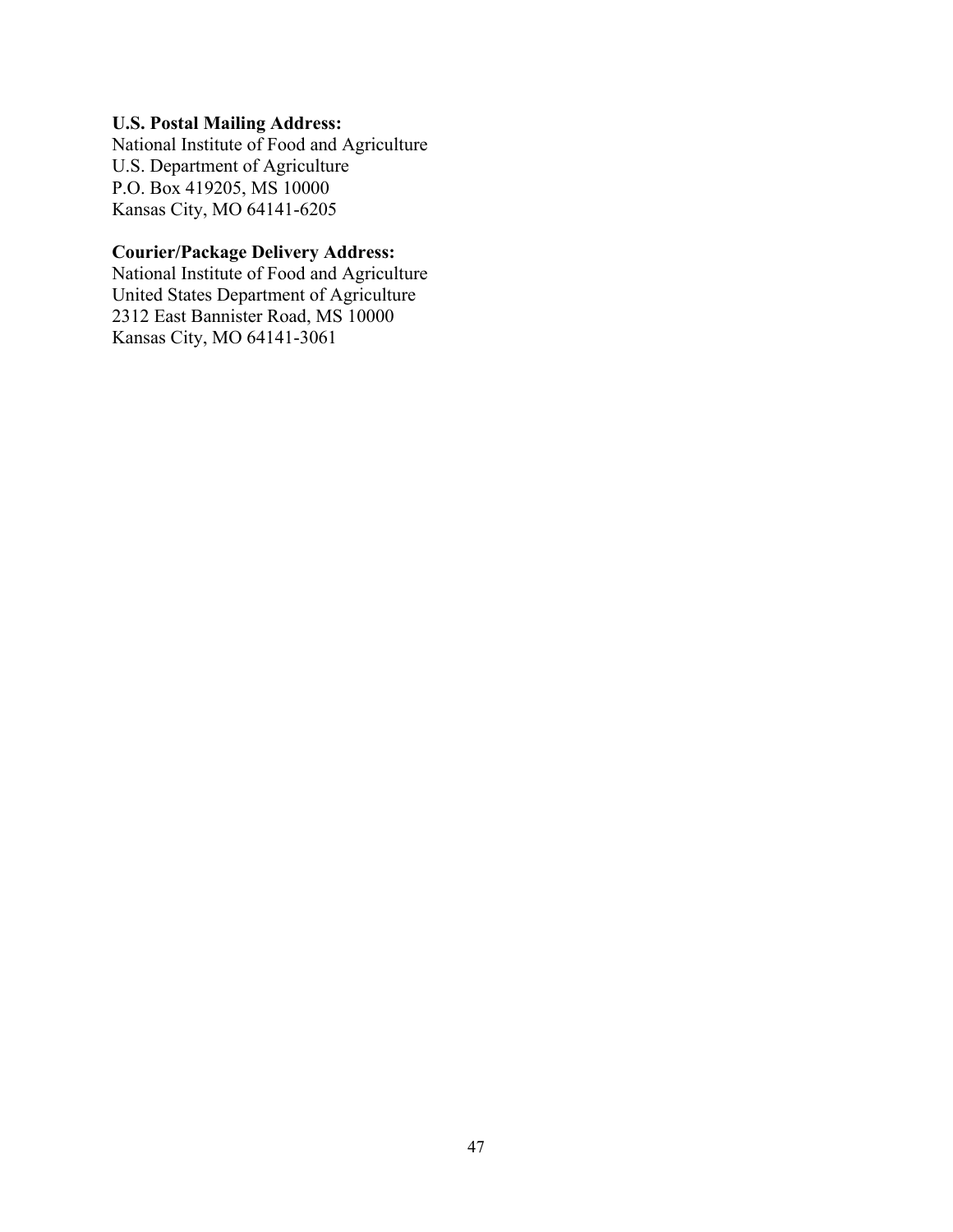#### **U.S. Postal Mailing Address:**

National Institute of Food and Agriculture U.S. Department of Agriculture P.O. Box 419205, MS 10000 Kansas City, MO 64141-6205

# **Courier/Package Delivery Address:**

National Institute of Food and Agriculture United States Department of Agriculture 2312 East Bannister Road, MS 10000 Kansas City, MO 64141-3061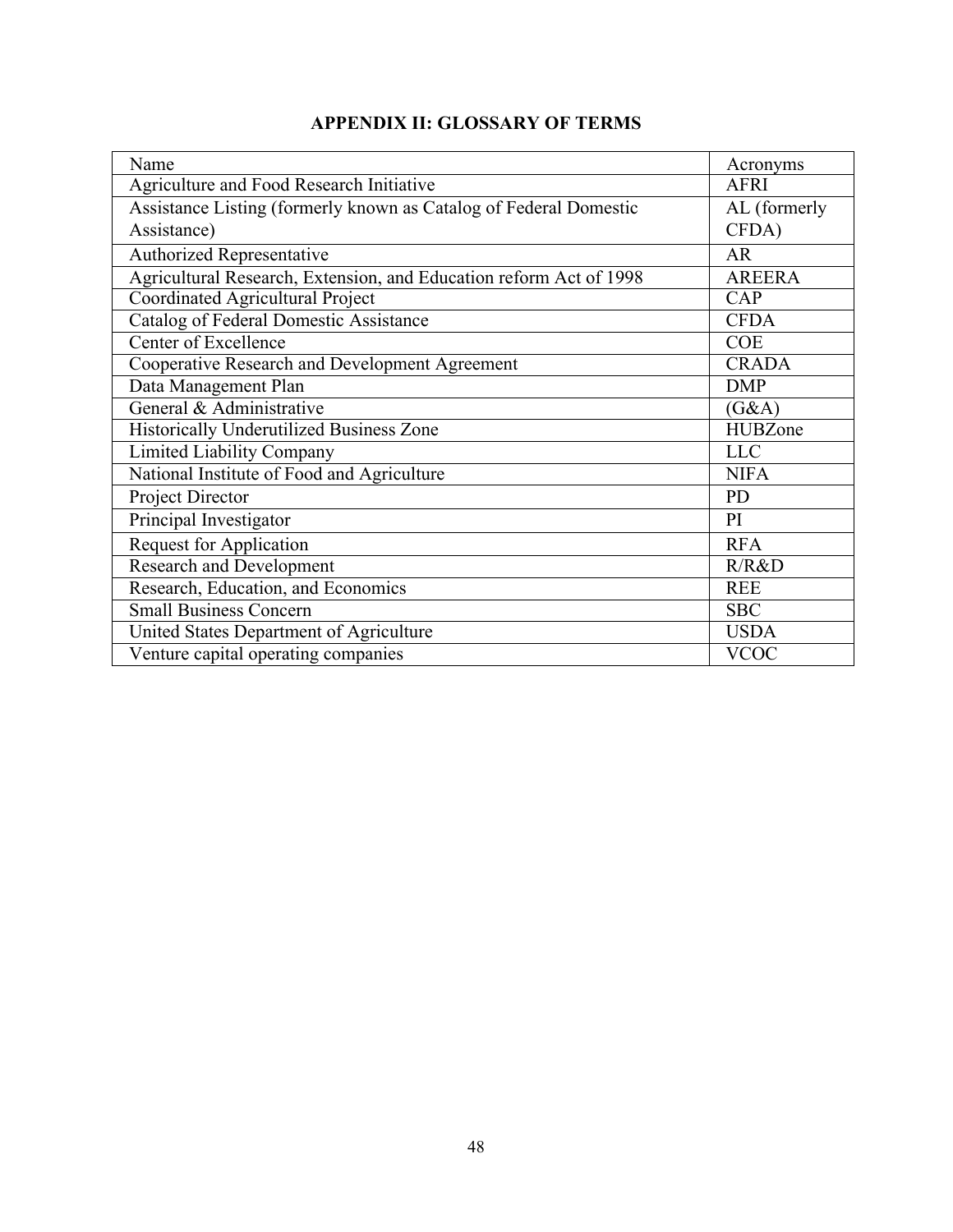<span id="page-47-0"></span>

| Name                                                               | Acronyms       |
|--------------------------------------------------------------------|----------------|
| Agriculture and Food Research Initiative                           | <b>AFRI</b>    |
| Assistance Listing (formerly known as Catalog of Federal Domestic  | AL (formerly   |
| Assistance)                                                        | CFDA)          |
| Authorized Representative                                          | <b>AR</b>      |
| Agricultural Research, Extension, and Education reform Act of 1998 | <b>AREERA</b>  |
| Coordinated Agricultural Project                                   | CAP            |
| <b>Catalog of Federal Domestic Assistance</b>                      | <b>CFDA</b>    |
| Center of Excellence                                               | <b>COE</b>     |
| Cooperative Research and Development Agreement                     | <b>CRADA</b>   |
| Data Management Plan                                               | <b>DMP</b>     |
| General & Administrative                                           | (G&A)          |
| Historically Underutilized Business Zone                           | <b>HUBZone</b> |
| <b>Limited Liability Company</b>                                   | <b>LLC</b>     |
| National Institute of Food and Agriculture                         | <b>NIFA</b>    |
| Project Director                                                   | <b>PD</b>      |
| Principal Investigator                                             | PI             |
| <b>Request for Application</b>                                     | <b>RFA</b>     |
| <b>Research and Development</b>                                    | R/R&D          |
| Research, Education, and Economics                                 | <b>REE</b>     |
| <b>Small Business Concern</b>                                      | <b>SBC</b>     |
| United States Department of Agriculture                            | <b>USDA</b>    |
| Venture capital operating companies                                | <b>VCOC</b>    |

# **APPENDIX II: GLOSSARY OF TERMS**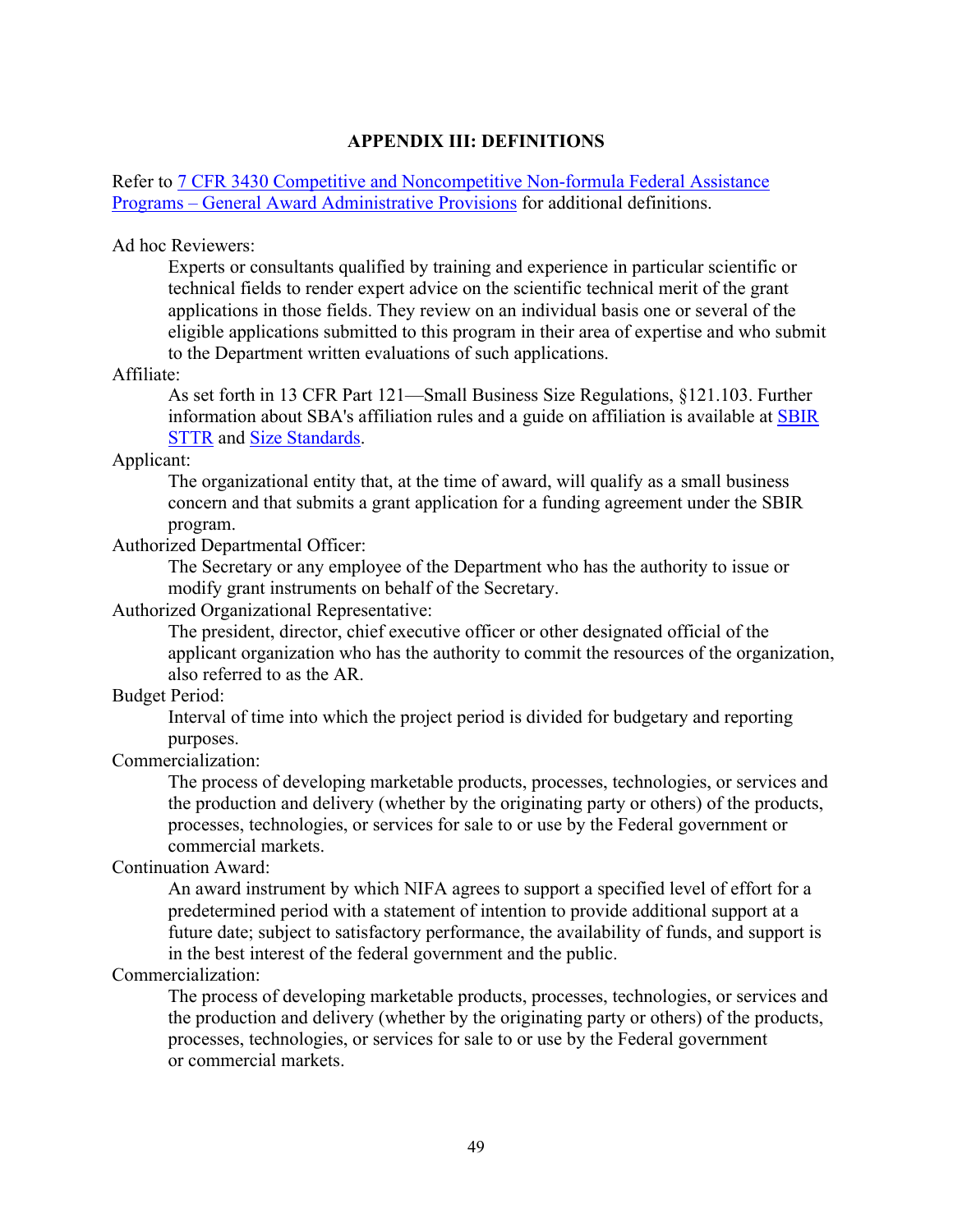#### **APPENDIX III: DEFINITIONS**

#### Refer to [7 CFR 3430 Competitive and Noncompetitive Non-formula Federal Assistance](https://www.ecfr.gov/current/title-7/subtitle-B/chapter-XXXIV/part-3430)  Programs – [General Award Administrative Provisions](https://www.ecfr.gov/current/title-7/subtitle-B/chapter-XXXIV/part-3430) for additional definitions.

#### Ad hoc Reviewers:

Experts or consultants qualified by training and experience in particular scientific or technical fields to render expert advice on the scientific technical merit of the grant applications in those fields. They review on an individual basis one or several of the eligible applications submitted to this program in their area of expertise and who submit to the Department written evaluations of such applications.

#### Affiliate:

As set forth in 13 CFR Part 121—Small Business Size Regulations, §121.103. Further information about SBA's affiliation rules and a guide on affiliation is available at [SBIR](https://www.sbir.gov/registration) [STTR](https://www.sbir.gov/registration) and Size [Standards.](https://www.sba.gov/federal-contracting/contracting-guide/size-standards)

#### Applicant:

The organizational entity that, at the time of award, will qualify as a small business concern and that submits a grant application for a funding agreement under the SBIR program.

#### Authorized Departmental Officer:

The Secretary or any employee of the Department who has the authority to issue or modify grant instruments on behalf of the Secretary.

#### Authorized Organizational Representative:

The president, director, chief executive officer or other designated official of the applicant organization who has the authority to commit the resources of the organization, also referred to as the AR.

#### Budget Period:

Interval of time into which the project period is divided for budgetary and reporting purposes.

#### Commercialization:

The process of developing marketable products, processes, technologies, or services and the production and delivery (whether by the originating party or others) of the products, processes, technologies, or services for sale to or use by the Federal government or commercial markets.

#### Continuation Award:

An award instrument by which NIFA agrees to support a specified level of effort for a predetermined period with a statement of intention to provide additional support at a future date; subject to satisfactory performance, the availability of funds, and support is in the best interest of the federal government and the public.

#### Commercialization:

The process of developing marketable products, processes, technologies, or services and the production and delivery (whether by the originating party or others) of the products, processes, technologies, or services for sale to or use by the Federal government or commercial markets.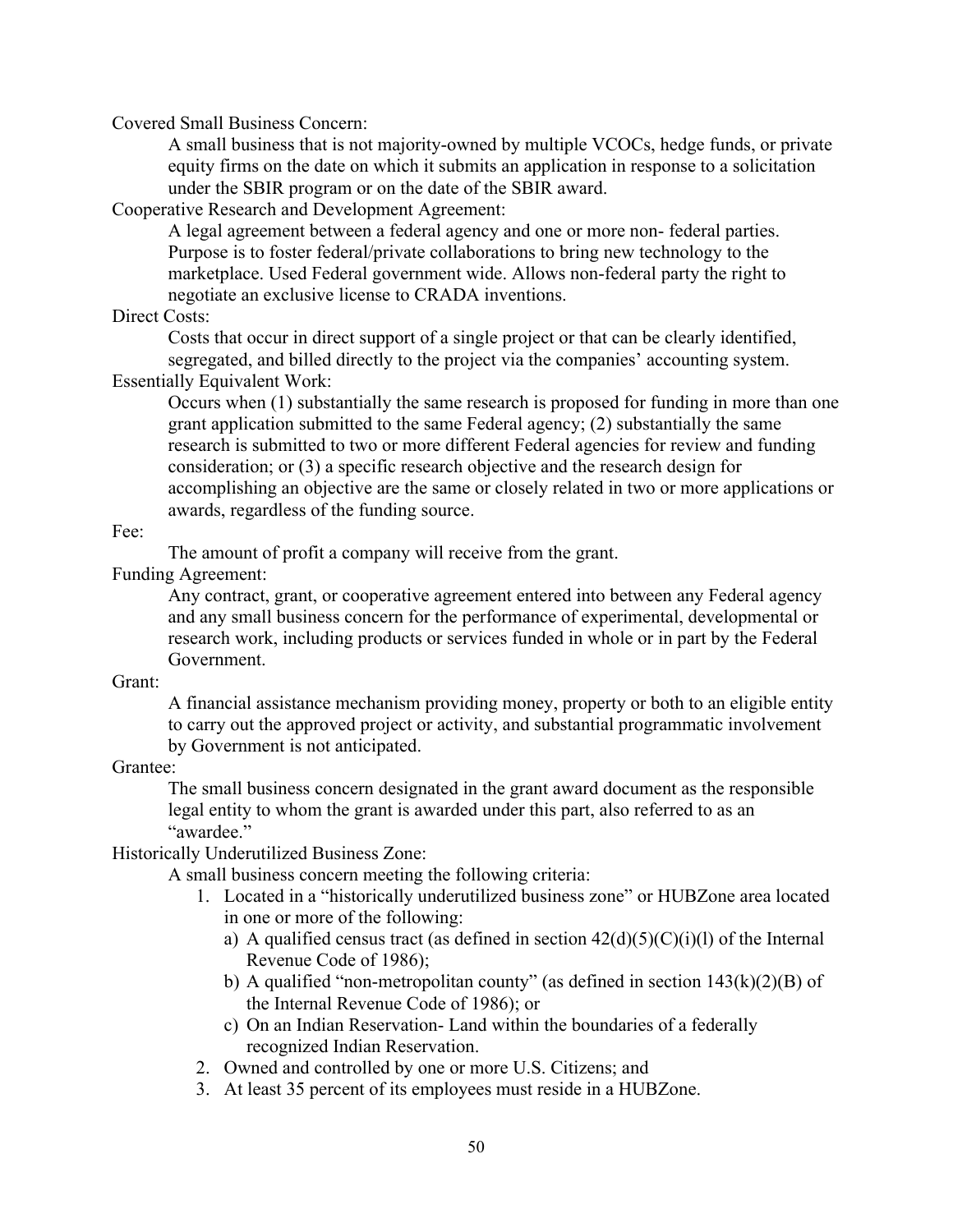Covered Small Business Concern:

A small business that is not majority-owned by multiple VCOCs, hedge funds, or private equity firms on the date on which it submits an application in response to a solicitation under the SBIR program or on the date of the SBIR award.

Cooperative Research and Development Agreement:

A legal agreement between a federal agency and one or more non- federal parties. Purpose is to foster federal/private collaborations to bring new technology to the marketplace. Used Federal government wide. Allows non-federal party the right to negotiate an exclusive license to CRADA inventions.

Direct Costs:

Costs that occur in direct support of a single project or that can be clearly identified, segregated, and billed directly to the project via the companies' accounting system.

Essentially Equivalent Work:

Occurs when (1) substantially the same research is proposed for funding in more than one grant application submitted to the same Federal agency; (2) substantially the same research is submitted to two or more different Federal agencies for review and funding consideration; or (3) a specific research objective and the research design for accomplishing an objective are the same or closely related in two or more applications or awards, regardless of the funding source.

Fee:

The amount of profit a company will receive from the grant.

Funding Agreement:

Any contract, grant, or cooperative agreement entered into between any Federal agency and any small business concern for the performance of experimental, developmental or research work, including products or services funded in whole or in part by the Federal Government.

Grant:

A financial assistance mechanism providing money, property or both to an eligible entity to carry out the approved project or activity, and substantial programmatic involvement by Government is not anticipated.

Grantee:

The small business concern designated in the grant award document as the responsible legal entity to whom the grant is awarded under this part, also referred to as an "awardee."

Historically Underutilized Business Zone:

A small business concern meeting the following criteria:

- 1. Located in a "historically underutilized business zone" or HUBZone area located in one or more of the following:
	- a) A qualified census tract (as defined in section  $42(d)(5)(C)(i)(l)$  of the Internal Revenue Code of 1986);
	- b) A qualified "non-metropolitan county" (as defined in section  $143(k)(2)(B)$  of the Internal Revenue Code of 1986); or
	- c) On an Indian Reservation- Land within the boundaries of a federally recognized Indian Reservation.
- 2. Owned and controlled by one or more U.S. Citizens; and
- 3. At least 35 percent of its employees must reside in a HUBZone.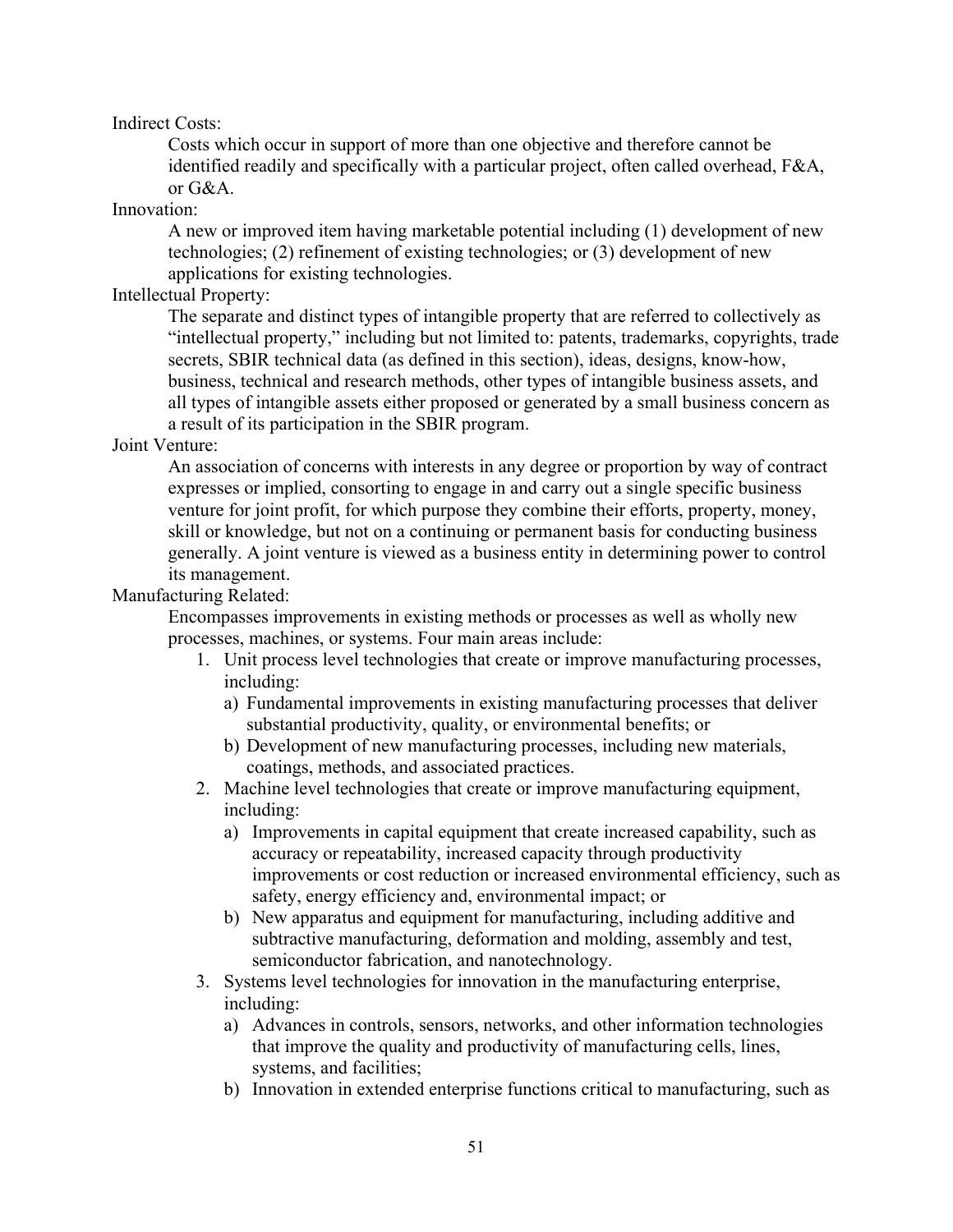#### Indirect Costs:

Costs which occur in support of more than one objective and therefore cannot be identified readily and specifically with a particular project, often called overhead, F&A, or G&A.

#### Innovation:

A new or improved item having marketable potential including (1) development of new technologies; (2) refinement of existing technologies; or (3) development of new applications for existing technologies.

#### Intellectual Property:

The separate and distinct types of intangible property that are referred to collectively as "intellectual property," including but not limited to: patents, trademarks, copyrights, trade secrets, SBIR technical data (as defined in this section), ideas, designs, know-how, business, technical and research methods, other types of intangible business assets, and all types of intangible assets either proposed or generated by a small business concern as a result of its participation in the SBIR program.

#### Joint Venture:

An association of concerns with interests in any degree or proportion by way of contract expresses or implied, consorting to engage in and carry out a single specific business venture for joint profit, for which purpose they combine their efforts, property, money, skill or knowledge, but not on a continuing or permanent basis for conducting business generally. A joint venture is viewed as a business entity in determining power to control its management.

#### Manufacturing Related:

Encompasses improvements in existing methods or processes as well as wholly new processes, machines, or systems. Four main areas include:

- 1. Unit process level technologies that create or improve manufacturing processes, including:
	- a) Fundamental improvements in existing manufacturing processes that deliver substantial productivity, quality, or environmental benefits; or
	- b) Development of new manufacturing processes, including new materials, coatings, methods, and associated practices.
- 2. Machine level technologies that create or improve manufacturing equipment, including:
	- a) Improvements in capital equipment that create increased capability, such as accuracy or repeatability, increased capacity through productivity improvements or cost reduction or increased environmental efficiency, such as safety, energy efficiency and, environmental impact; or
	- b) New apparatus and equipment for manufacturing, including additive and subtractive manufacturing, deformation and molding, assembly and test, semiconductor fabrication, and nanotechnology.
- 3. Systems level technologies for innovation in the manufacturing enterprise, including:
	- a) Advances in controls, sensors, networks, and other information technologies that improve the quality and productivity of manufacturing cells, lines, systems, and facilities;
	- b) Innovation in extended enterprise functions critical to manufacturing, such as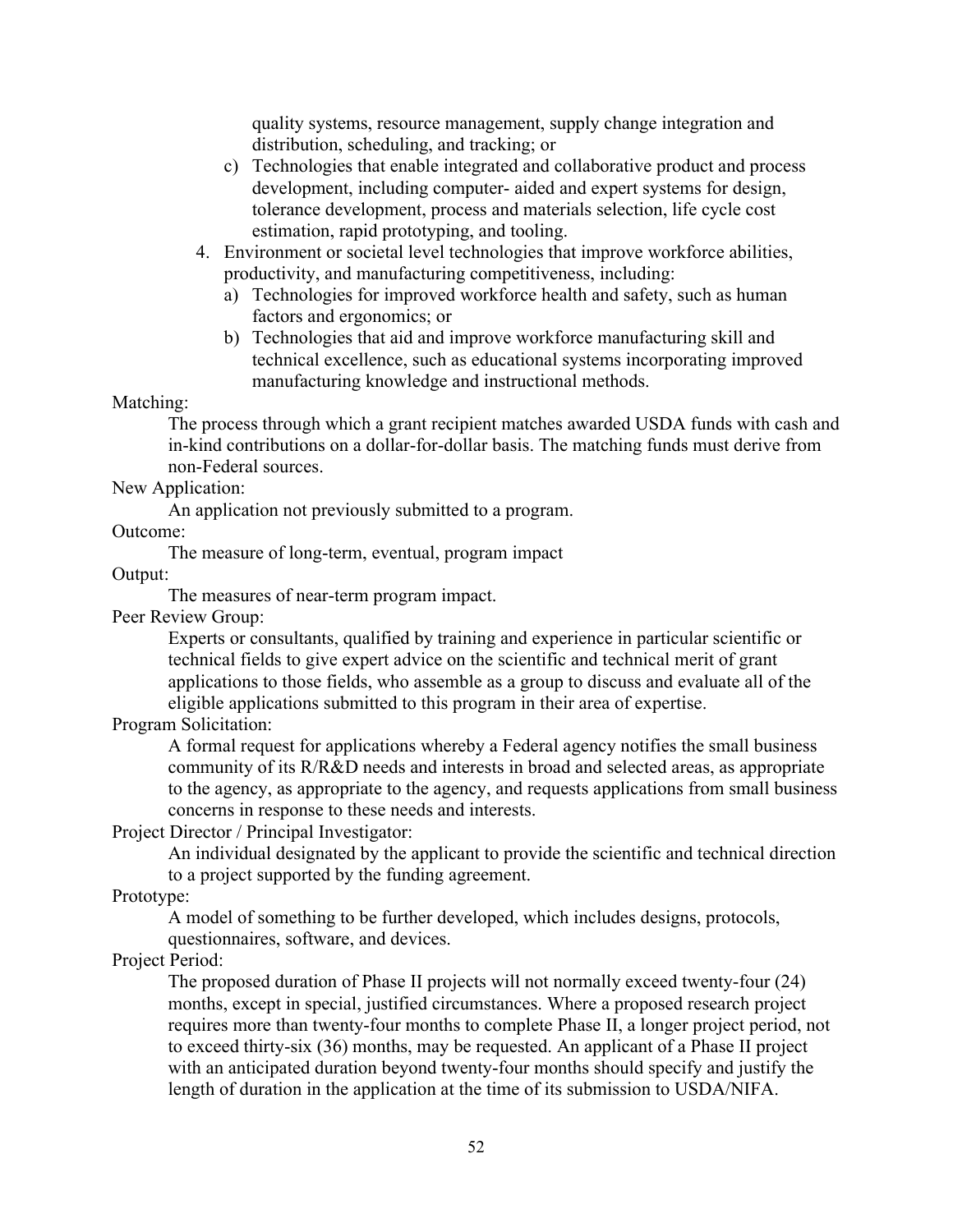quality systems, resource management, supply change integration and distribution, scheduling, and tracking; or

- c) Technologies that enable integrated and collaborative product and process development, including computer- aided and expert systems for design, tolerance development, process and materials selection, life cycle cost estimation, rapid prototyping, and tooling.
- 4. Environment or societal level technologies that improve workforce abilities, productivity, and manufacturing competitiveness, including:
	- a) Technologies for improved workforce health and safety, such as human factors and ergonomics; or
	- b) Technologies that aid and improve workforce manufacturing skill and technical excellence, such as educational systems incorporating improved manufacturing knowledge and instructional methods.

Matching:

The process through which a grant recipient matches awarded USDA funds with cash and in-kind contributions on a dollar-for-dollar basis. The matching funds must derive from non-Federal sources.

#### New Application:

An application not previously submitted to a program.

Outcome:

The measure of long-term, eventual, program impact

Output:

The measures of near-term program impact.

Peer Review Group:

Experts or consultants, qualified by training and experience in particular scientific or technical fields to give expert advice on the scientific and technical merit of grant applications to those fields, who assemble as a group to discuss and evaluate all of the eligible applications submitted to this program in their area of expertise.

Program Solicitation:

A formal request for applications whereby a Federal agency notifies the small business community of its R/R&D needs and interests in broad and selected areas, as appropriate to the agency, as appropriate to the agency, and requests applications from small business concerns in response to these needs and interests.

Project Director / Principal Investigator:

An individual designated by the applicant to provide the scientific and technical direction to a project supported by the funding agreement.

Prototype:

A model of something to be further developed, which includes designs, protocols, questionnaires, software, and devices.

Project Period:

The proposed duration of Phase II projects will not normally exceed twenty-four (24) months, except in special, justified circumstances. Where a proposed research project requires more than twenty-four months to complete Phase II, a longer project period, not to exceed thirty-six (36) months, may be requested. An applicant of a Phase II project with an anticipated duration beyond twenty-four months should specify and justify the length of duration in the application at the time of its submission to USDA/NIFA.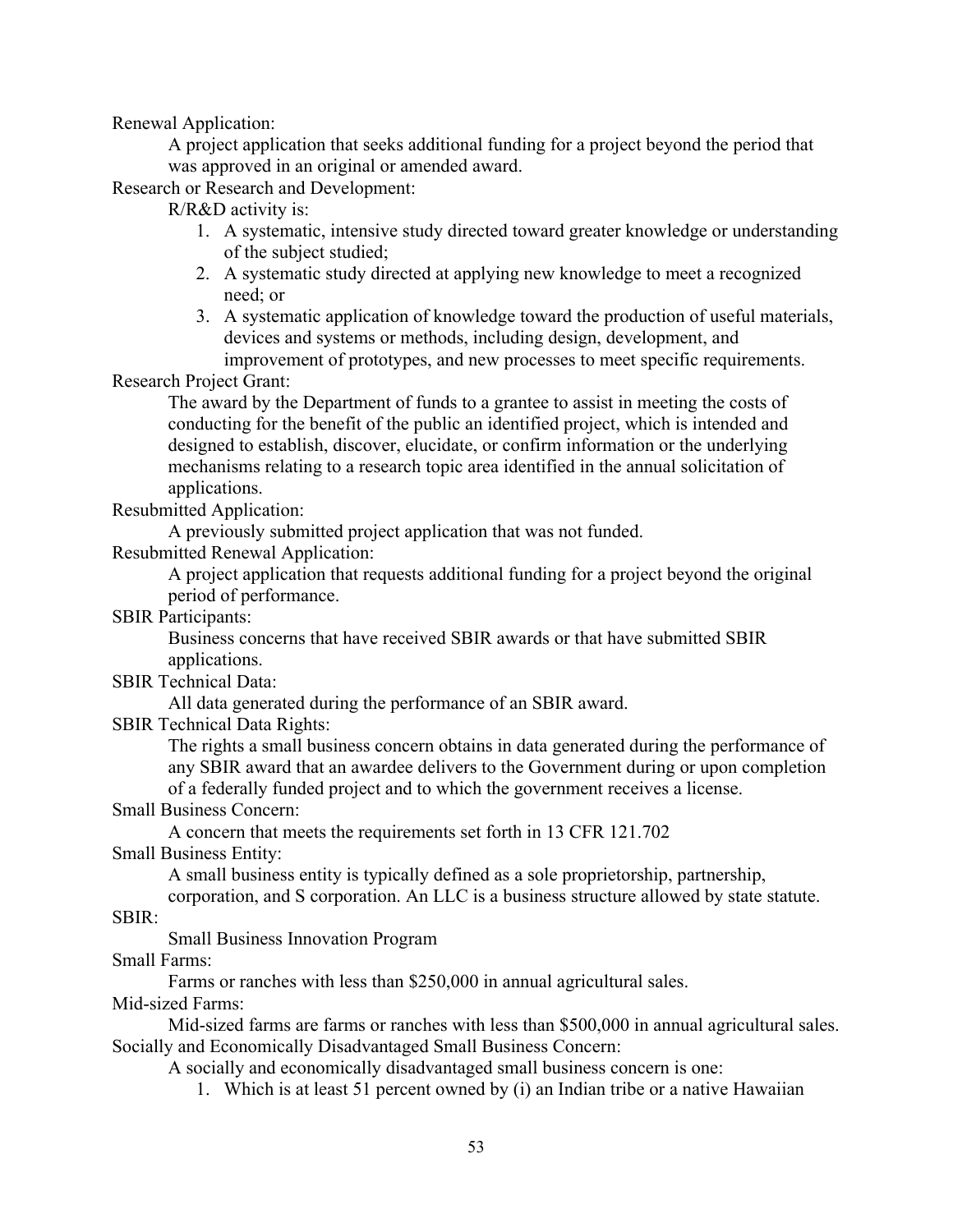Renewal Application:

A project application that seeks additional funding for a project beyond the period that was approved in an original or amended award.

Research or Research and Development:

R/R&D activity is:

- 1. A systematic, intensive study directed toward greater knowledge or understanding of the subject studied;
- 2. A systematic study directed at applying new knowledge to meet a recognized need; or
- 3. A systematic application of knowledge toward the production of useful materials, devices and systems or methods, including design, development, and improvement of prototypes, and new processes to meet specific requirements.

Research Project Grant:

The award by the Department of funds to a grantee to assist in meeting the costs of conducting for the benefit of the public an identified project, which is intended and designed to establish, discover, elucidate, or confirm information or the underlying mechanisms relating to a research topic area identified in the annual solicitation of applications.

Resubmitted Application:

A previously submitted project application that was not funded.

Resubmitted Renewal Application:

A project application that requests additional funding for a project beyond the original period of performance.

SBIR Participants:

Business concerns that have received SBIR awards or that have submitted SBIR applications.

SBIR Technical Data:

All data generated during the performance of an SBIR award.

SBIR Technical Data Rights:

The rights a small business concern obtains in data generated during the performance of any SBIR award that an awardee delivers to the Government during or upon completion of a federally funded project and to which the government receives a license.

#### Small Business Concern:

A concern that meets the requirements set forth in 13 CFR 121.702

Small Business Entity:

A small business entity is typically defined as a sole proprietorship, partnership,

corporation, and S corporation. An LLC is a business structure allowed by state statute.

SBIR:

Small Business Innovation Program

Small Farms:

Farms or ranches with less than \$250,000 in annual agricultural sales.

Mid-sized Farms:

Mid-sized farms are farms or ranches with less than \$500,000 in annual agricultural sales. Socially and Economically Disadvantaged Small Business Concern:

A socially and economically disadvantaged small business concern is one:

1. Which is at least 51 percent owned by (i) an Indian tribe or a native Hawaiian